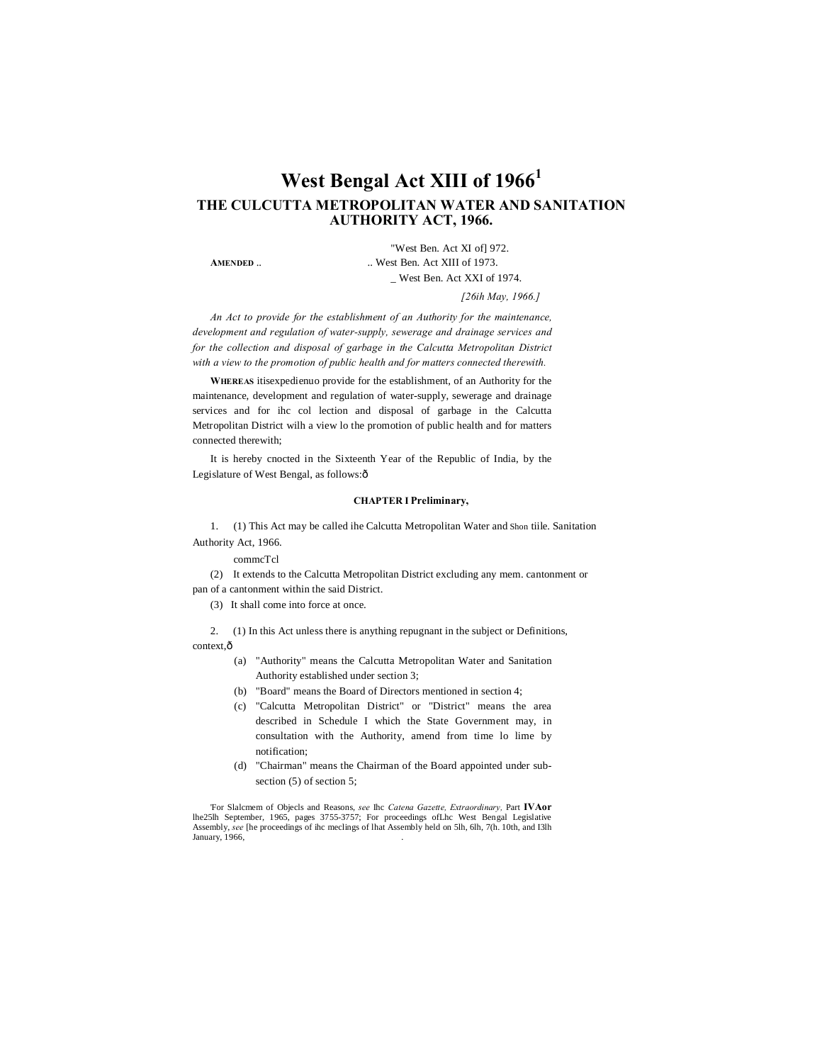# **West Bengal Act XIII of 1966<sup>1</sup> THE CULCUTTA METROPOLITAN WATER AND SANITATION AUTHORITY ACT, 1966.**

"West Ben. Act XI of] 972. **AMENDED** .. West Ben. Act XIII of 1973. \_ West Ben. Act XXI of 1974.

*[26ih May, 1966.]*

*An Act to provide for the establishment of an Authority for the maintenance, development and regulation of water-supply, sewerage and drainage services and for the collection and disposal of garbage in the Calcutta Metropolitan District with a view to the promotion of public health and for matters connected therewith.*

**WHEREAS** itisexpedienuo provide for the establishment, of an Authority for the maintenance, development and regulation of water-supply, sewerage and drainage services and for ihc col lection and disposal of garbage in the Calcutta Metropolitan District wilh a view lo the promotion of public health and for matters connected therewith;

It is hereby cnocted in the Sixteenth Year of the Republic of India, by the Legislature of West Bengal, as follows: ô

#### **CHAPTER I Preliminary,**

1. (1) This Act may be called ihe Calcutta Metropolitan Water and Shon tiile. Sanitation Authority Act, 1966.

commcTcl

(2) It extends to the Calcutta Metropolitan District excluding any mem. cantonment or pan of a cantonment within the said District.

(3) It shall come into force at once.

2. (1) In this Act unless there is anything repugnant in the subject or Definitions, context.ô

- (a) "Authority" means the Calcutta Metropolitan Water and Sanitation Authority established under section 3;
- (b) "Board" means the Board of Directors mentioned in section 4;
- (c) "Calcutta Metropolitan District" or "District" means the area described in Schedule I which the State Government may, in consultation with the Authority, amend from time lo lime by notification;
- (d) "Chairman" means the Chairman of the Board appointed under subsection (5) of section 5;

'For Slalcmem of Objecls and Reasons, *see* Ihc *Catena Gazette, Extraordinary,* Part **IVAor** lhe25lh September, 1965, pages 3755-3757; For proceedings ofLhc West Bengal Legislative Assembly, *see* [he proceedings of ihc meclings of lhat Assembly held on 5lh, 6lh, 7(h. 10th, and I3lh January, 1966,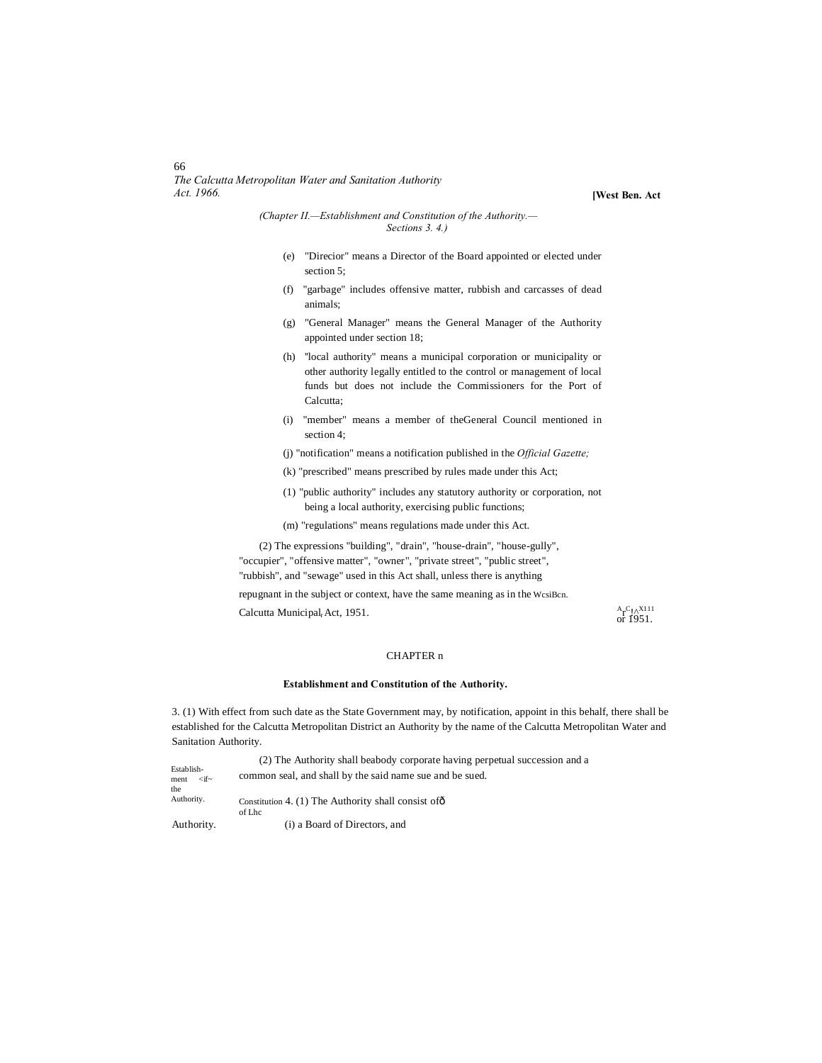66 *The Calcutta Metropolitan Water and Sanitation Authority Act. 1966.*

**[West Ben. Act**

*(Chapter II.—Establishment and Constitution of the Authority.— Sections 3. 4.)*

- (e) "Direcior" means a Director of the Board appointed or elected under section 5;
- (f) "garbage" includes offensive matter, rubbish and carcasses of dead animals;
- (g) "General Manager" means the General Manager of the Authority appointed under section 18;
- (h) ''local authority" means a municipal corporation or municipality or other authority legally entitled to the control or management of local funds but does not include the Commissioners for the Port of Calcutta;
- (i) "member" means a member of theGeneral Council mentioned in section 4;
- (j) "notification" means a notification published in the *Official Gazette;*
- (k) "prescribed" means prescribed by rules made under this Act;
- (1) "public authority" includes any statutory authority or corporation, not being a local authority, exercising public functions;
- (m) "regulations" means regulations made under this Act.

(2) The expressions "building", "drain", "house-drain", "house-gully",

"occupier", "offensive matter", "owner", "private street", "public street", "rubbish", and "sewage" used in this Act shall, unless there is anything

repugnant in the subject or context, have the same meaning as in the WcsiBcn. Calcutta Municipal<sub>r</sub> Act, 1951.  ${}_{r}$ Act, 1951.<br>
or 1951.

#### CHAPTER n

#### **Establishment and Constitution of the Authority.**

3. (1) With effect from such date as the State Government may, by notification, appoint in this behalf, there shall be established for the Calcutta Metropolitan District an Authority by the name of the Calcutta Metropolitan Water and Sanitation Authority.

|                                       | (2) The Authority shall be abody corporate having perpetual succession and a |
|---------------------------------------|------------------------------------------------------------------------------|
| Establish-<br>$\lt$ if $\sim$<br>ment | common seal, and shall by the said name sue and be sued.                     |
| the                                   |                                                                              |
| Authority.                            | Constitution 4. (1) The Authority shall consist of $\hat{o}$<br>of Lhc       |
| Authority.                            | (i) a Board of Directors, and                                                |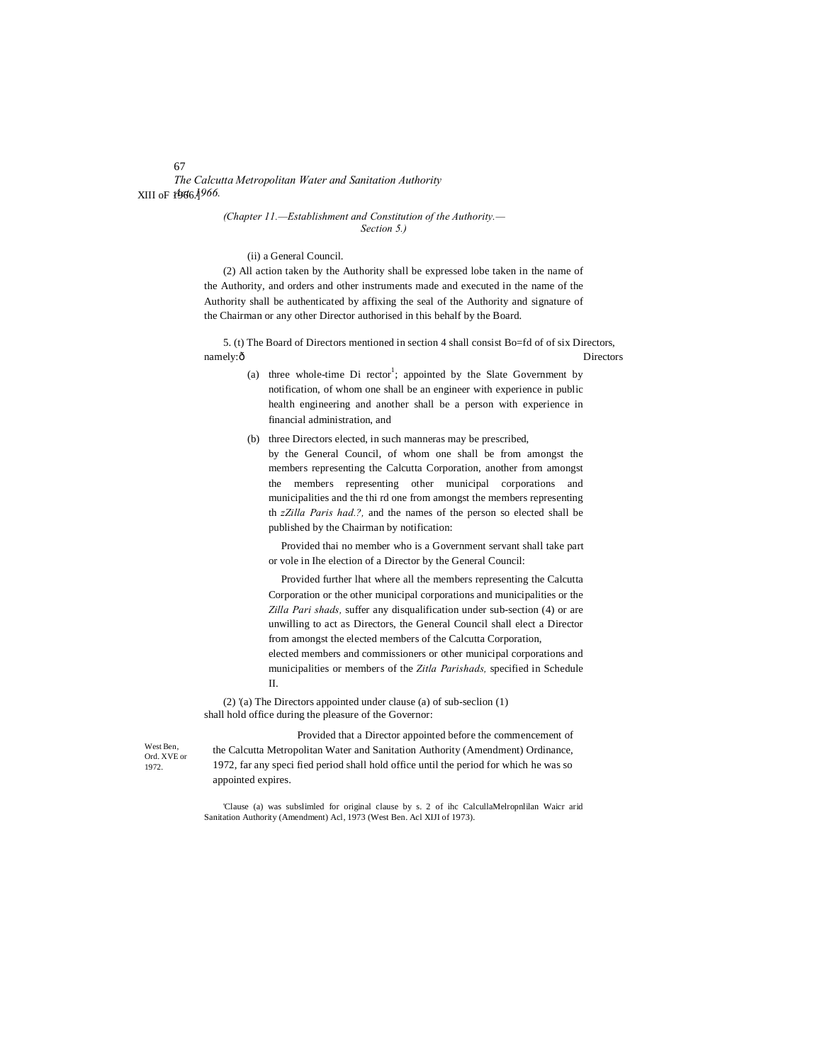*The Calcutta Metropolitan Water and Sanitation Authority Act. 1966.* XIII oF 1966.]

#### *(Chapter 11.—Establishment and Constitution of the Authority.— Section 5.)*

#### (ii) a General Council.

(2) All action taken by the Authority shall be expressed lobe taken in the name of the Authority, and orders and other instruments made and executed in the name of the Authority shall be authenticated by affixing the seal of the Authority and signature of the Chairman or any other Director authorised in this behalf by the Board.

5. (t) The Board of Directors mentioned in section 4 shall consist Bo=fd of of six Directors, namely: $\delta$  Directors

- (a) three whole-time  $Di$  rector<sup>1</sup>; appointed by the Slate Government by notification, of whom one shall be an engineer with experience in public health engineering and another shall be a person with experience in financial administration, and
- (b) three Directors elected, in such manneras may be prescribed, by the General Council, of whom one shall be from amongst the members representing the Calcutta Corporation, another from amongst the members representing other municipal corporations and municipalities and the thi rd one from amongst the members representing th *zZilla Paris had.?,* and the names of the person so elected shall be published by the Chairman by notification:

Provided thai no member who is a Government servant shall take part or vole in Ihe election of a Director by the General Council:

Provided further lhat where all the members representing the Calcutta Corporation or the other municipal corporations and municipalities or the *Zilla Pari shads,* suffer any disqualification under sub-section (4) or are unwilling to act as Directors, the General Council shall elect a Director from amongst the elected members of the Calcutta Corporation, elected members and commissioners or other municipal corporations and municipalities or members of the *Zitla Parishads,* specified in Schedule II.

(2) '(a) The Directors appointed under clause (a) of sub-seclion (1) shall hold office during the pleasure of the Governor:

West Ben Ord. XVE or 1972.

Provided that a Director appointed before the commencement of the Calcutta Metropolitan Water and Sanitation Authority (Amendment) Ordinance, 1972, far any speci fied period shall hold office until the period for which he was so appointed expires.

'Clause (a) was subslimled for original clause by s. 2 of ihc CalcullaMelropnlilan Waicr arid Sanitation Authority (Amendment) Acl, 1973 (West Ben. Acl XIJI of 1973).

# 67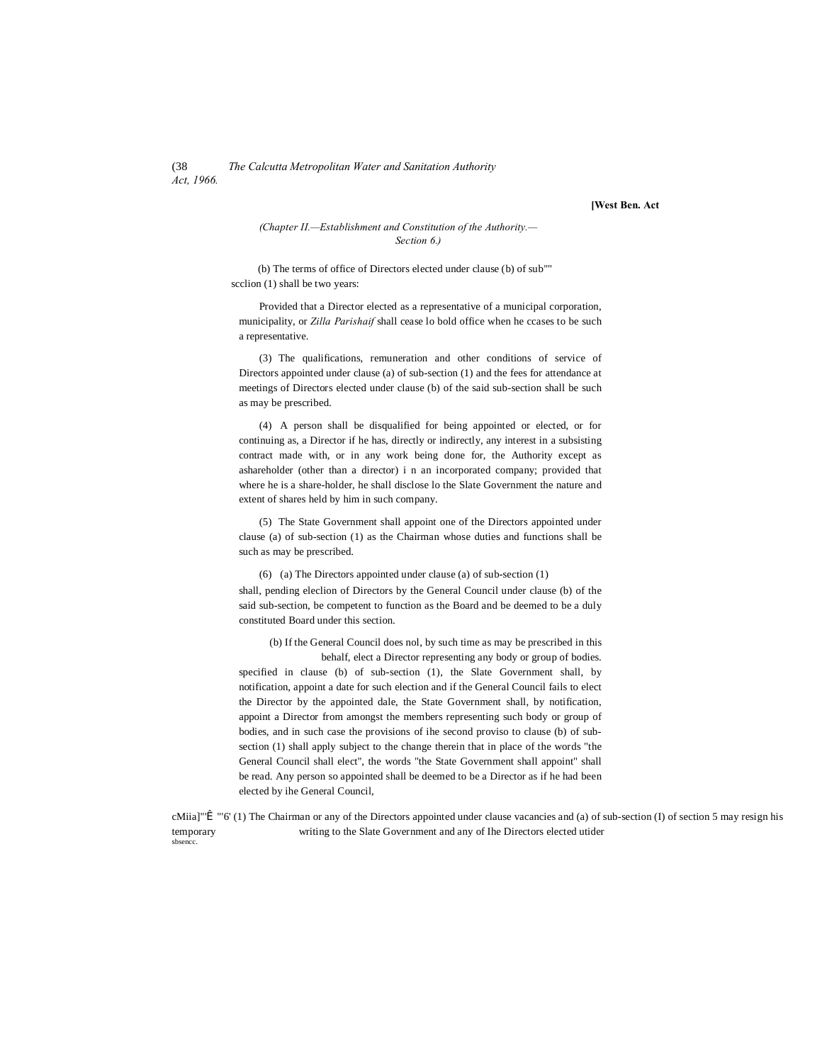#### (38 *The Calcutta Metropolitan Water and Sanitation Authority Act, 1966.*

**[West Ben. Act**

#### *(Chapter II.—Establishment and Constitution of the Authority.— Section 6.)*

(b) The terms of office of Directors elected under clause (b) of sub"" scclion (1) shall be two years:

Provided that a Director elected as a representative of a municipal corporation, municipality, or *Zilla Parishaif* shall cease lo bold office when he ccases to be such a representative.

(3) The qualifications, remuneration and other conditions of service of Directors appointed under clause (a) of sub-section (1) and the fees for attendance at meetings of Directors elected under clause (b) of the said sub-section shall be such as may be prescribed.

(4) A person shall be disqualified for being appointed or elected, or for continuing as, a Director if he has, directly or indirectly, any interest in a subsisting contract made with, or in any work being done for, the Authority except as ashareholder (other than a director) i n an incorporated company; provided that where he is a share-holder, he shall disclose lo the Slate Government the nature and extent of shares held by him in such company.

(5) The State Government shall appoint one of the Directors appointed under clause (a) of sub-section (1) as the Chairman whose duties and functions shall be such as may be prescribed.

(6) (a) The Directors appointed under clause (a) of sub-section (1) shall, pending eleclion of Directors by the General Council under clause (b) of the said sub-section, be competent to function as the Board and be deemed to be a duly constituted Board under this section.

(b) If the General Council does nol, by such time as may be prescribed in this behalf, elect a Director representing any body or group of bodies.

specified in clause (b) of sub-section (1), the Slate Government shall, by notification, appoint a date for such election and if the General Council fails to elect the Director by the appointed dale, the State Government shall, by notification, appoint a Director from amongst the members representing such body or group of bodies, and in such case the provisions of ihe second proviso to clause (b) of subsection (1) shall apply subject to the change therein that in place of the words "the General Council shall elect", the words "the State Government shall appoint" shall be read. Any person so appointed shall be deemed to be a Director as if he had been elected by ihe General Council,

cMiia]"Î "'6' (1) The Chairman or any of the Directors appointed under clause vacancies and (a) of sub-section (I) of section 5 may resign his temporary writing to the Slate Government and any of Ihe Directors elected utider sbsencc.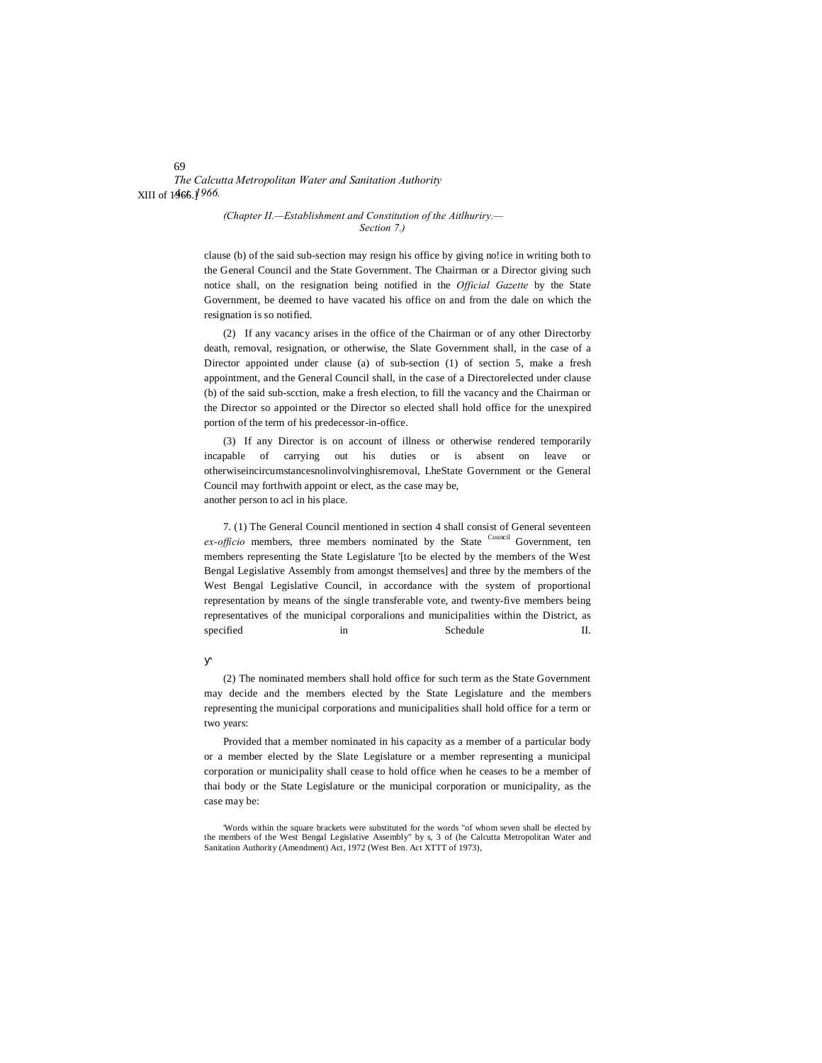*The Calcutta Metropolitan Water and Sanitation Authority* XIII of 1966.] *Act. 1966.*

#### *(Chapter II.—Establishment and Constitution of the Aitlhuriry.— Section 7.)*

clause (b) of the said sub-section may resign his office by giving no!ice in writing both to the General Council and the State Government. The Chairman or a Director giving such notice shall, on the resignation being notified in the *Official Gazette* by the State Government, be deemed to have vacated his office on and from the dale on which the resignation is so notified.

(2) If any vacancy arises in the office of the Chairman or of any other Directorby death, removal, resignation, or otherwise, the Slate Government shall, in the case of a Director appointed under clause (a) of sub-section (1) of section 5, make a fresh appointment, and the General Council shall, in the case of a Directorelected under clause (b) of the said sub-scction, make a fresh election, to fill the vacancy and the Chairman or the Director so appointed or the Director so elected shall hold office for the unexpired portion of the term of his predecessor-in-office.

(3) If any Director is on account of illness or otherwise rendered temporarily incapable of carrying out his duties or is absent on leave or otherwiseincircumstancesnolinvolvinghisremoval, LheState Government or the General Council may forthwith appoint or elect, as the case may be, another person to acl in his place.

7. (1) The General Council mentioned in section 4 shall consist of General seventeen *ex-officio* members, three members nominated by the State Council Government, ten members representing the State Legislature '[to be elected by the members of the West Bengal Legislative Assembly from amongst themselves] and three by the members of the West Bengal Legislative Council, in accordance with the system of proportional representation by means of the single transferable vote, and twenty-five members being representatives of the municipal corporalions and municipalities within the District, as specified in Schedule II.

(2) The nominated members shall hold office for such term as the State Government may decide and the members elected by the State Legislature and the members representing the municipal corporations and municipalities shall hold office for a term or two years:

Provided that a member nominated in his capacity as a member of a particular body or a member elected by the Slate Legislature or a member representing a municipal corporation or municipality shall cease to hold office when he ceases to be a member of thai body or the State Legislature or the municipal corporation or municipality, as the case may be:

69

<sup>&#</sup>x27;Words within the square brackets were substituted for the words "of whom seven shall be elected by the members of the West Bengal Legislative Assembly" by s, 3 of (he Calcutta Metropolitan Water and Sanitation Authority (Amendment) Act, 1972 (West Ben. Act XTTT of 1973),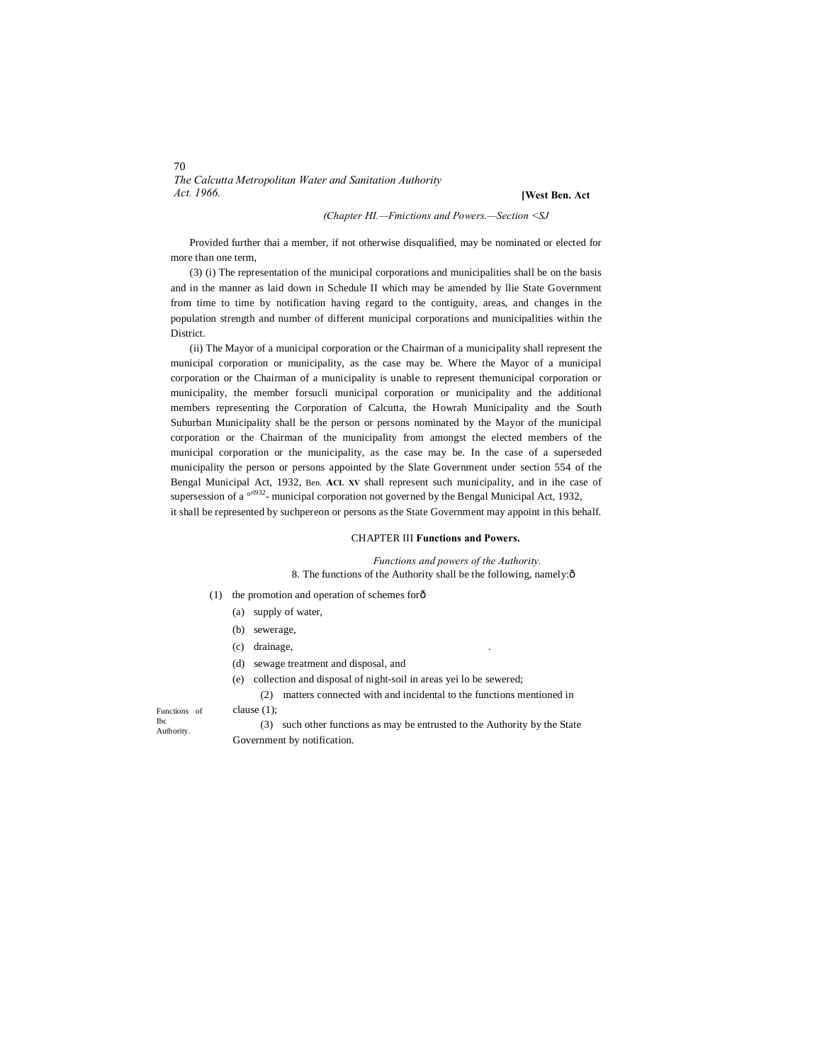# *The Calcutta Metropolitan Water and Sanitation Authority Act. 1966.*

#### **[West Ben. Act**

#### *(Chapter HI.—Fmictions and Powers.—Section <SJ*

Provided further thai a member, if not otherwise disqualified, may be nominated or elected for more than one term,

(3) (i) The representation of the municipal corporations and municipalities shall be on the basis and in the manner as laid down in Schedule II which may be amended by llie State Government from time to time by notification having regard to the contiguity, areas, and changes in the population strength and number of different municipal corporations and municipalities within the District.

(ii) The Mayor of a municipal corporation or the Chairman of a municipality shall represent the municipal corporation or municipality, as the case may be. Where the Mayor of a municipal corporation or the Chairman of a municipality is unable to represent themunicipal corporation or municipality, the member forsucli municipal corporation or municipality and the additional members representing the Corporation of Calcutta, the Howrah Municipality and the South Suburban Municipality shall be the person or persons nominated by the Mayor of the municipal corporation or the Chairman of the municipality from amongst the elected members of the municipal corporation or the municipality, as the case may be. In the case of a superseded municipality the person or persons appointed by the Slate Government under section 554 of the Bengal Municipal Act, 1932, Ben. **ACL XV** shall represent such municipality, and in ihe case of supersession of a  $\frac{\text{o} \cdot \text{r}^{j932}}{n}$ - municipal corporation not governed by the Bengal Municipal Act, 1932, it shall be represented by suchpereon or persons as the State Government may appoint in this behalf.

#### CHAPTER III **Functions and Powers.**

*Functions and powers of the Authority.* 8. The functions of the Authority shall be the following, namely: $\delta$ 

- (1) the promotion and operation of schemes forô
	- (a) supply of water,
	- (b) sewerage,
	- (c) drainage,
	- (d) sewage treatment and disposal, and
	- (e) collection and disposal of night-soil in areas yei lo be sewered;

(2) matters connected with and incidental to the functions mentioned in clause (1);

Functions of Ihc Authority.

(3) such other functions as may be entrusted to the Authority by the State Government by notification.

70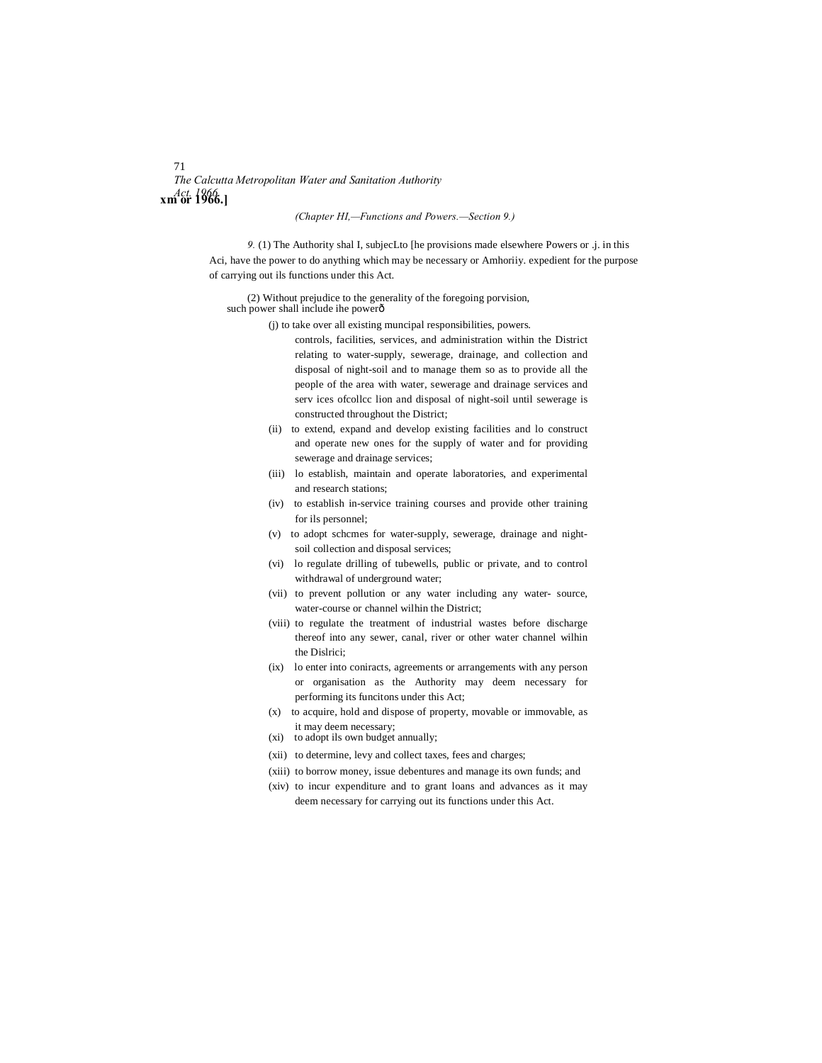# 71 *The Calcutta Metropolitan Water and Sanitation Authority Act. 1966.* **xm or 1966.]**

#### *(Chapter HI,—Functions and Powers.—Section 9.)*

*9.* (1) The Authority shal I, subjecLto [he provisions made elsewhere Powers or .j. in this Aci, have the power to do anything which may be necessary or Amhoriiy. expedient for the purpose of carrying out ils functions under this Act.

(2) Without prejudice to the generality of the foregoing porvision, such power shall include ihe power $\hat{\sigma}$ 

- (j) to take over all existing muncipal responsibilities, powers.
	- controls, facilities, services, and administration within the District relating to water-supply, sewerage, drainage, and collection and disposal of night-soil and to manage them so as to provide all the people of the area with water, sewerage and drainage services and serv ices ofcollcc lion and disposal of night-soil until sewerage is constructed throughout the District;
- (ii) to extend, expand and develop existing facilities and lo construct and operate new ones for the supply of water and for providing sewerage and drainage services;
- (iii) lo establish, maintain and operate laboratories, and experimental and research stations;
- (iv) to establish in-service training courses and provide other training for ils personnel;
- (v) to adopt schcmes for water-supply, sewerage, drainage and nightsoil collection and disposal services;
- (vi) lo regulate drilling of tubewells, public or private, and to control withdrawal of underground water;
- (vii) to prevent pollution or any water including any water- source, water-course or channel wilhin the District;
- (viii) to regulate the treatment of industrial wastes before discharge thereof into any sewer, canal, river or other water channel wilhin the Dislrici;
- (ix) lo enter into coniracts, agreements or arrangements with any person or organisation as the Authority may deem necessary for performing its funcitons under this Act;
- (x) to acquire, hold and dispose of property, movable or immovable, as it may deem necessary;
- (xi) to adopt ils own budget annually;
- (xii) to determine, levy and collect taxes, fees and charges;
- (xiii) to borrow money, issue debentures and manage its own funds; and
- (xiv) to incur expenditure and to grant loans and advances as it may deem necessary for carrying out its functions under this Act.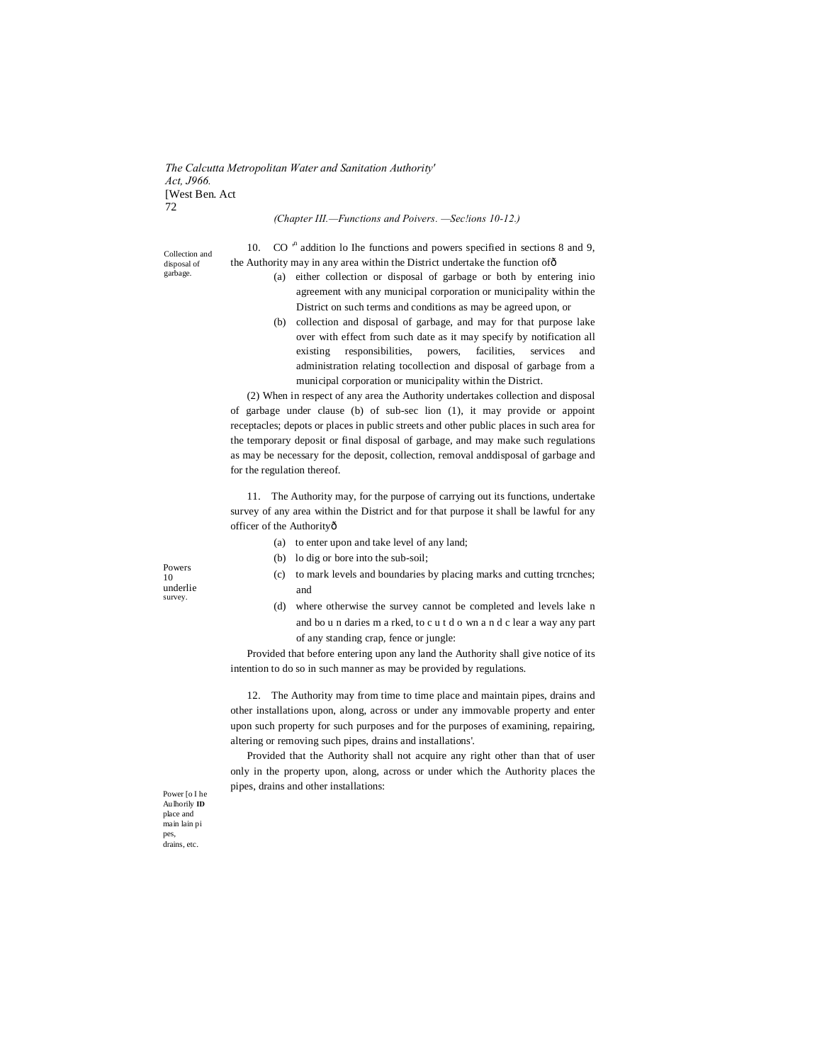*The Calcutta Metropolitan Water and Sanitation Authority' Act, J966.* [West Ben. Act 72

#### *(Chapter III.—Functions and Poivers. —Sec!ions 10-12.)*

10.  $CO<sup>n</sup>$  addition lo Ihe functions and powers specified in sections 8 and 9, the Authority may in any area within the District undertake the function of—

- (a) either collection or disposal of garbage or both by entering inio agreement with any municipal corporation or municipality within the District on such terms and conditions as may be agreed upon, or
- (b) collection and disposal of garbage, and may for that purpose lake over with effect from such date as it may specify by notification all existing responsibilities, powers, facilities, services and administration relating tocollection and disposal of garbage from a municipal corporation or municipality within the District.

(2) When in respect of any area the Authority undertakes collection and disposal of garbage under clause (b) of sub-sec lion (1), it may provide or appoint receptacles; depots or places in public streets and other public places in such area for the temporary deposit or final disposal of garbage, and may make such regulations as may be necessary for the deposit, collection, removal anddisposal of garbage and for the regulation thereof.

11. The Authority may, for the purpose of carrying out its functions, undertake survey of any area within the District and for that purpose it shall be lawful for any officer of the Authority—

- (a) to enter upon and take level of any land;
- (b) lo dig or bore into the sub-soil;
- (c) to mark levels and boundaries by placing marks and cutting trcnches; and
- (d) where otherwise the survey cannot be completed and levels lake n and bo u n daries m a rked, to c u t d o wn a n d c lear a way any part of any standing crap, fence or jungle:

Provided that before entering upon any land the Authority shall give notice of its intention to do so in such manner as may be provided by regulations.

12. The Authority may from time to time place and maintain pipes, drains and other installations upon, along, across or under any immovable property and enter upon such property for such purposes and for the purposes of examining, repairing, altering or removing such pipes, drains and installations'.

Provided that the Authority shall not acquire any right other than that of user only in the property upon, along, across or under which the Authority places the pipes, drains and other installations:

Powers 10 underlie survey.

Collection and disposal of garbage.

Power [o I he Aulhorily **ID**  place and main lain pi pes, drains, etc.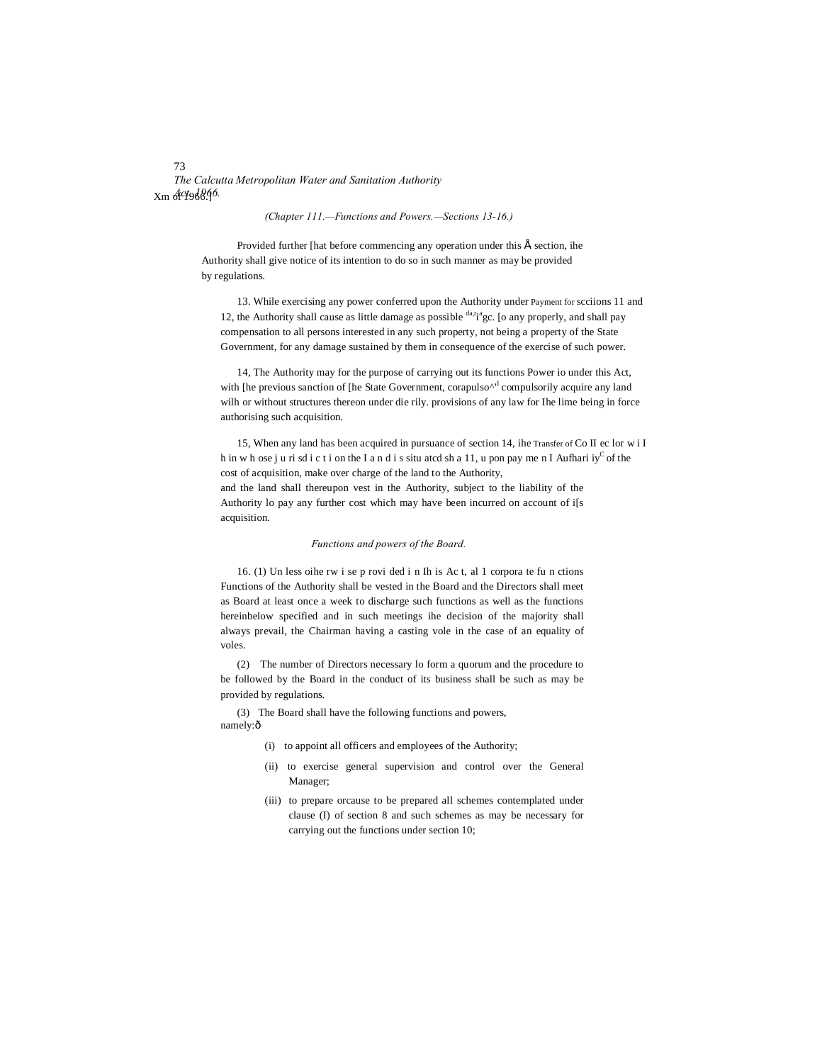73 *The Calcutta Metropolitan Water and Sanitation Authority* Xm of 1966.] *Act. 1966.*

#### *(Chapter 111.—Functions and Powers.—Sections 13-16.)*

Provided further [hat before commencing any operation under this  $\hat{E}$  section, ihe Authority shall give notice of its intention to do so in such manner as may be provided by regulations.

13. While exercising any power conferred upon the Authority under Payment for scciions 11 and 12, the Authority shall cause as little damage as possible  $\frac{da_r a}{g}$  [o any properly, and shall pay compensation to all persons interested in any such property, not being a property of the State Government, for any damage sustained by them in consequence of the exercise of such power.

14, The Authority may for the purpose of carrying out its functions Power io under this Act, with  $\pi$  [he previous sanction of [he State Government, corapulso $\Lambda$ <sup>1</sup> compulsorily acquire any land wilh or without structures thereon under die rily. provisions of any law for Ihe lime being in force authorising such acquisition.

15, When any land has been acquired in pursuance of section 14, ihe Transfer of Co II ec lor w i I h in w h ose j u ri sd i c t i on the I a n d i s situ atcd sh a 11, u pon pay me n I Aufhari iy<sup>C</sup> of the cost of acquisition, make over charge of the land to the Authority, and the land shall thereupon vest in the Authority, subject to the liability of the Authority lo pay any further cost which may have been incurred on account of i[s acquisition.

#### *Functions and powers of the Board.*

16. (1) Un less oihe rw i se p rovi ded i n Ih is Ac t, al 1 corpora te fu n ctions Functions of the Authority shall be vested in the Board and the Directors shall meet as Board at least once a week to discharge such functions as well as the functions hereinbelow specified and in such meetings ihe decision of the majority shall always prevail, the Chairman having a casting vole in the case of an equality of voles.

(2) The number of Directors necessary lo form a quorum and the procedure to be followed by the Board in the conduct of its business shall be such as may be provided by regulations.

(3) The Board shall have the following functions and powers, namely: $ô$ 

(i) to appoint all officers and employees of the Authority;

- (ii) to exercise general supervision and control over the General Manager;
- (iii) to prepare orcause to be prepared all schemes contemplated under clause (I) of section 8 and such schemes as may be necessary for carrying out the functions under section 10;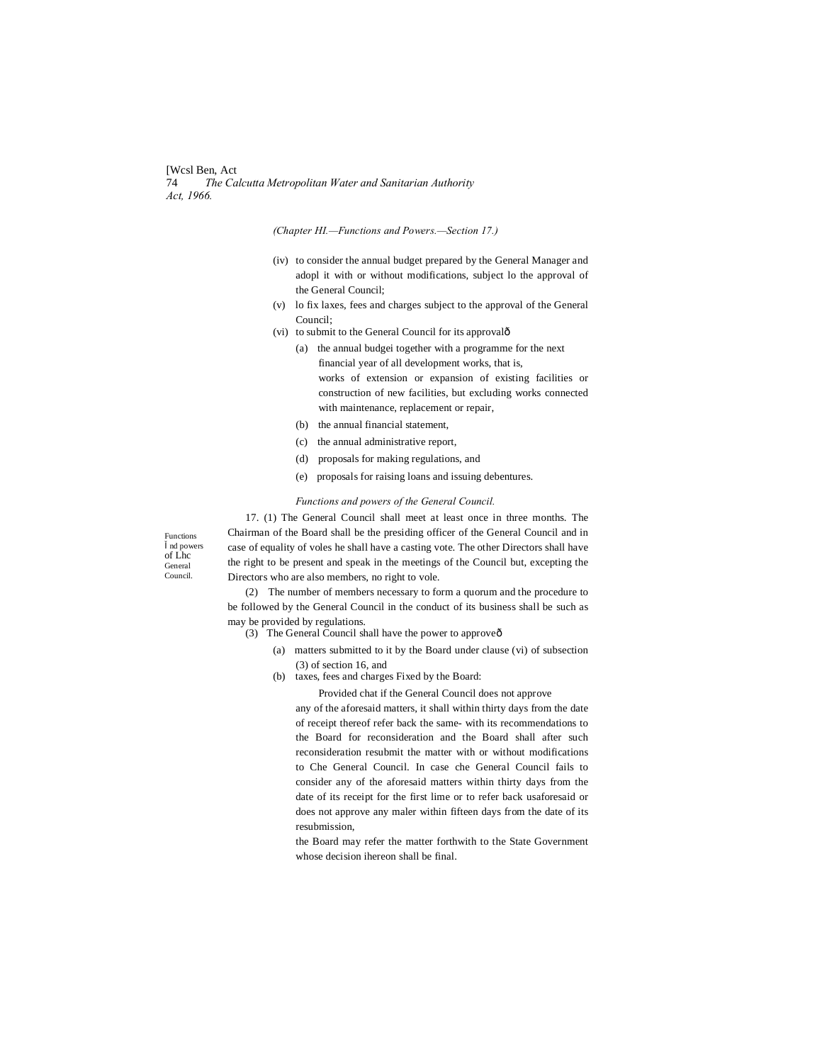[Wcsl Ben, Act 74 *The Calcutta Metropolitan Water and Sanitarian Authority Act, 1966.*

*(Chapter HI.—Functions and Powers.—Section 17.)*

- (iv) to consider the annual budget prepared by the General Manager and adopl it with or without modifications, subject lo the approval of the General Council;
- (v) lo fix laxes, fees and charges subject to the approval of the General Council;
- (vi) to submit to the General Council for its approvalô
	- (a) the annual budgei together with a programme for the next financial year of all development works, that is, works of extension or expansion of existing facilities or construction of new facilities, but excluding works connected with maintenance, replacement or repair,
	- (b) the annual financial statement,
	- (c) the annual administrative report,
	- (d) proposals for making regulations, and
	- (e) proposals for raising loans and issuing debentures.

#### *Functions and powers of the General Council.*

Functions nd powers of Lhc General Council.

17. (1) The General Council shall meet at least once in three months. The Chairman of the Board shall be the presiding officer of the General Council and in case of equality of voles he shall have a casting vote. The other Directors shall have the right to be present and speak in the meetings of the Council but, excepting the Directors who are also members, no right to vole.

(2) The number of members necessary to form a quorum and the procedure to be followed by the General Council in the conduct of its business shall be such as may be provided by regulations.

- (3) The General Council shall have the power to approveô
	- (a) matters submitted to it by the Board under clause (vi) of subsection (3) of section 16, and
	- (b) taxes, fees and charges Fixed by the Board:

Provided chat if the General Council does not approve

any of the aforesaid matters, it shall within thirty days from the date of receipt thereof refer back the same- with its recommendations to the Board for reconsideration and the Board shall after such reconsideration resubmit the matter with or without modifications to Che General Council. In case che General Council fails to consider any of the aforesaid matters within thirty days from the date of its receipt for the first lime or to refer back usaforesaid or does not approve any maler within fifteen days from the date of its resubmission,

the Board may refer the matter forthwith to the State Government whose decision ihereon shall be final.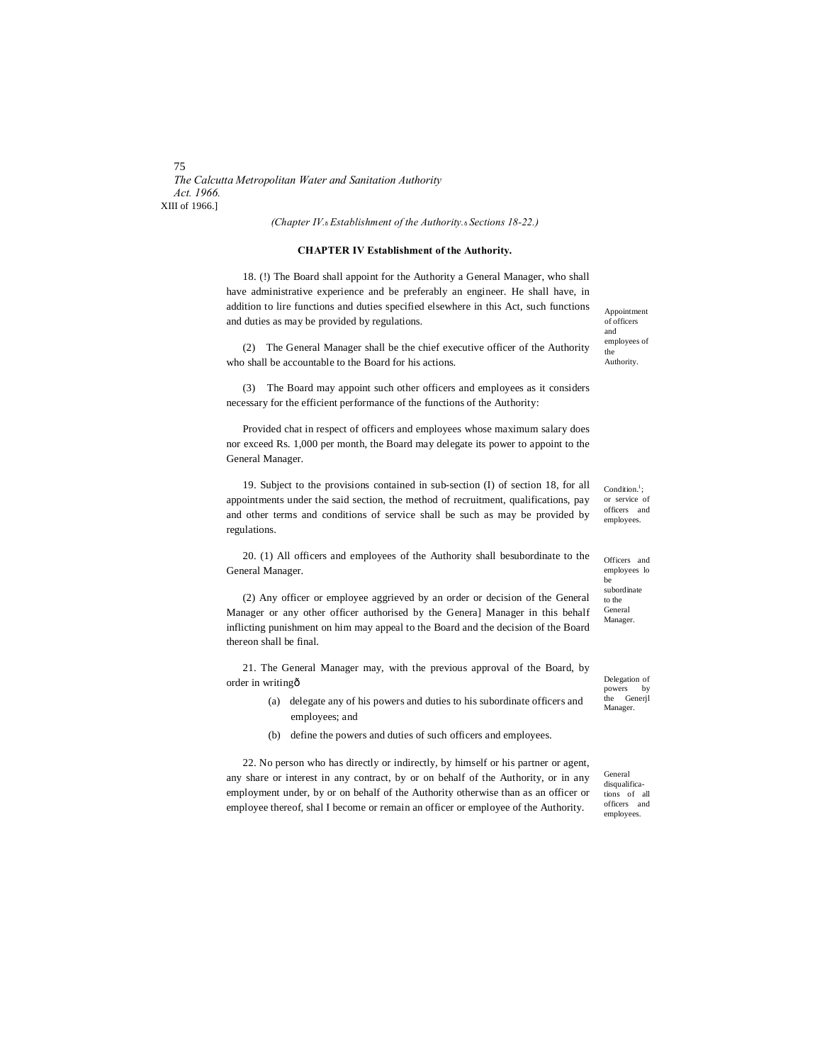75 *The Calcutta Metropolitan Water and Sanitation Authority Act. 1966.* XIII of 1966.]

*(Chapter IV.*—*Establishment of the Authority.*—*Sections 18-22.)*

#### **CHAPTER IV Establishment of the Authority.**

18. (!) The Board shall appoint for the Authority a General Manager, who shall have administrative experience and be preferably an engineer. He shall have, in addition to lire functions and duties specified elsewhere in this Act, such functions and duties as may be provided by regulations.

(2) The General Manager shall be the chief executive officer of the Authority who shall be accountable to the Board for his actions.

(3) The Board may appoint such other officers and employees as it considers necessary for the efficient performance of the functions of the Authority:

Provided chat in respect of officers and employees whose maximum salary does nor exceed Rs. 1,000 per month, the Board may delegate its power to appoint to the General Manager.

19. Subject to the provisions contained in sub-section (I) of section 18, for all appointments under the said section, the method of recruitment, qualifications, pay and other terms and conditions of service shall be such as may be provided by regulations.

20. (1) All officers and employees of the Authority shall besubordinate to the General Manager.

(2) Any officer or employee aggrieved by an order or decision of the General Manager or any other officer authorised by the Genera] Manager in this behalf inflicting punishment on him may appeal to the Board and the decision of the Board thereon shall be final.

21. The General Manager may, with the previous approval of the Board, by order in writing—

- (a) delegate any of his powers and duties to his subordinate officers and employees; and
- (b) define the powers and duties of such officers and employees.

22. No person who has directly or indirectly, by himself or his partner or agent, any share or interest in any contract, by or on behalf of the Authority, or in any employment under, by or on behalf of the Authority otherwise than as an officer or employee thereof, shal I become or remain an officer or employee of the Authority.

Appointment of officers and employees of the Authority.

Condition.<sup>1</sup>; or service of officers and employees.

Officers and employees lo be subordinate to the General Manager.

Delegation of powers by the Generjl Manager.

General disqualifications of all officers and employees.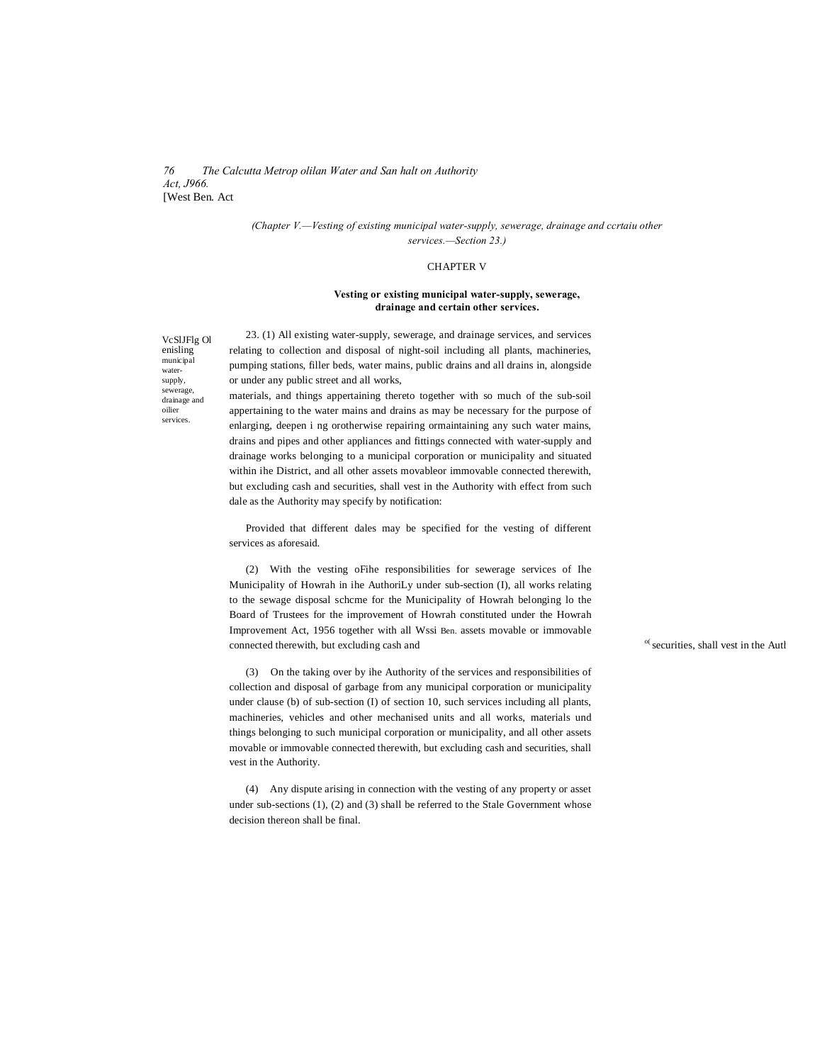#### *76 The Calcutta Metrop olilan Water and San halt on Authority Act, J966.* [West Ben. Act

#### *(Chapter V.—Vesting of existing municipal water-supply, sewerage, drainage and ccrtaiu other services.—Section 23.)*

## CHAPTER V

#### **Vesting or existing municipal water-supply, sewerage, drainage and certain other services.**

VcSlJFlg Ol enisling municipal watersupply, sewerage, drainage and oilier services.

23. (1) All existing water-supply, sewerage, and drainage services, and services relating to collection and disposal of night-soil including all plants, machineries, pumping stations, filler beds, water mains, public drains and all drains in, alongside or under any public street and all works,

materials, and things appertaining thereto together with so much of the sub-soil appertaining to the water mains and drains as may be necessary for the purpose of enlarging, deepen i ng orotherwise repairing ormaintaining any such water mains, drains and pipes and other appliances and fittings connected with water-supply and drainage works belonging to a municipal corporation or municipality and situated within ihe District, and all other assets movableor immovable connected therewith, but excluding cash and securities, shall vest in the Authority with effect from such dale as the Authority may specify by notification:

Provided that different dales may be specified for the vesting of different services as aforesaid.

(2) With the vesting oFihe responsibilities for sewerage services of Ihe Municipality of Howrah in ihe AuthoriLy under sub-section (I), all works relating to the sewage disposal schcme for the Municipality of Howrah belonging lo the Board of Trustees for the improvement of Howrah constituted under the Howrah Improvement Act, 1956 together with all Wssi Ben. assets movable or immovable connected therewith, but excluding cash and  $\sim$  securities, shall vest in the Authority. .

(3) On the taking over by ihe Authority of the services and responsibilities of collection and disposal of garbage from any municipal corporation or municipality under clause (b) of sub-section (I) of section 10, such services including all plants, machineries, vehicles and other mechanised units and all works, materials und things belonging to such municipal corporation or municipality, and all other assets movable or immovable connected therewith, but excluding cash and securities, shall vest in the Authority.

(4) Any dispute arising in connection with the vesting of any property or asset under sub-sections (1), (2) and (3) shall be referred to the Stale Government whose decision thereon shall be final.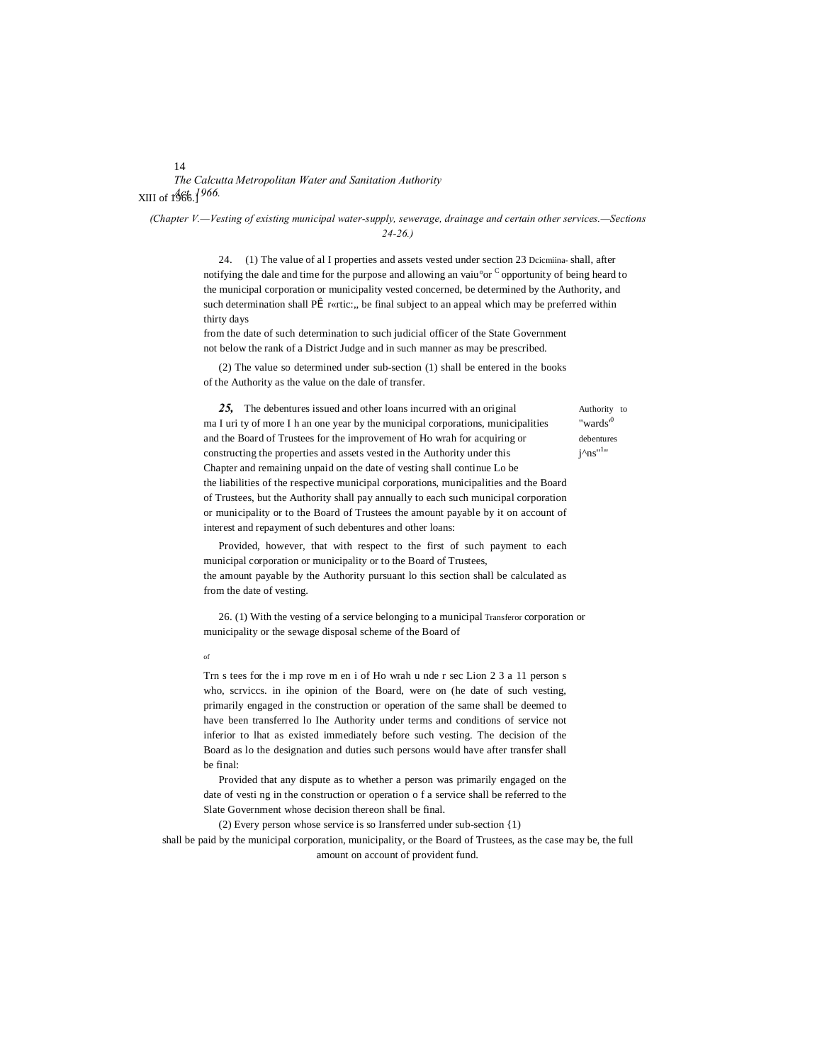# *The Calcutta Metropolitan Water and Sanitation Authority Act. 1966.* XIII of 1966.]

*(Chapter V.—Vesting of existing municipal water-supply, sewerage, drainage and certain other services.—Sections 24-26.)*

> 24. (1) The value of al I properties and assets vested under section 23 Dcicmiina- shall, after notifying the dale and time for the purpose and allowing an vaiu°or C opportunity of being heard to the municipal corporation or municipality vested concerned, be determined by the Authority, and such determination shall P $\hat{\mathbf{I}}$  r«rtic:, be final subject to an appeal which may be preferred within thirty days

from the date of such determination to such judicial officer of the State Government not below the rank of a District Judge and in such manner as may be prescribed.

(2) The value so determined under sub-section (1) shall be entered in the books of the Authority as the value on the dale of transfer.

 $j^{\wedge}$ ns"<sup>1</sup>"

**25,** The debentures issued and other loans incurred with an original Authority to ma I uri ty of more I h an one year by the municipal corporations, municipalities "wards" and the Board of Trustees for the improvement of Ho wrah for acquiring or debentures constructing the properties and assets vested in the Authority under this Chapter and remaining unpaid on the date of vesting shall continue Lo be the liabilities of the respective municipal corporations, municipalities and the Board of Trustees, but the Authority shall pay annually to each such municipal corporation or municipality or to the Board of Trustees the amount payable by it on account of interest and repayment of such debentures and other loans:

Provided, however, that with respect to the first of such payment to each municipal corporation or municipality or to the Board of Trustees, the amount payable by the Authority pursuant lo this section shall be calculated as from the date of vesting.

26. (1) With the vesting of a service belonging to a municipal Transferor corporation or municipality or the sewage disposal scheme of the Board of

of

Trn s tees for the i mp rove m en i of Ho wrah u nde r sec Lion 2 3 a 11 person s who, scrviccs. in ihe opinion of the Board, were on (he date of such vesting, primarily engaged in the construction or operation of the same shall be deemed to have been transferred lo Ihe Authority under terms and conditions of service not inferior to lhat as existed immediately before such vesting. The decision of the Board as lo the designation and duties such persons would have after transfer shall be final:

Provided that any dispute as to whether a person was primarily engaged on the date of vesti ng in the construction or operation o f a service shall be referred to the Slate Government whose decision thereon shall be final.

(2) Every person whose service is so Iransferred under sub-section {1) shall be paid by the municipal corporation, municipality, or the Board of Trustees, as the case may be, the full amount on account of provident fund.

#### 14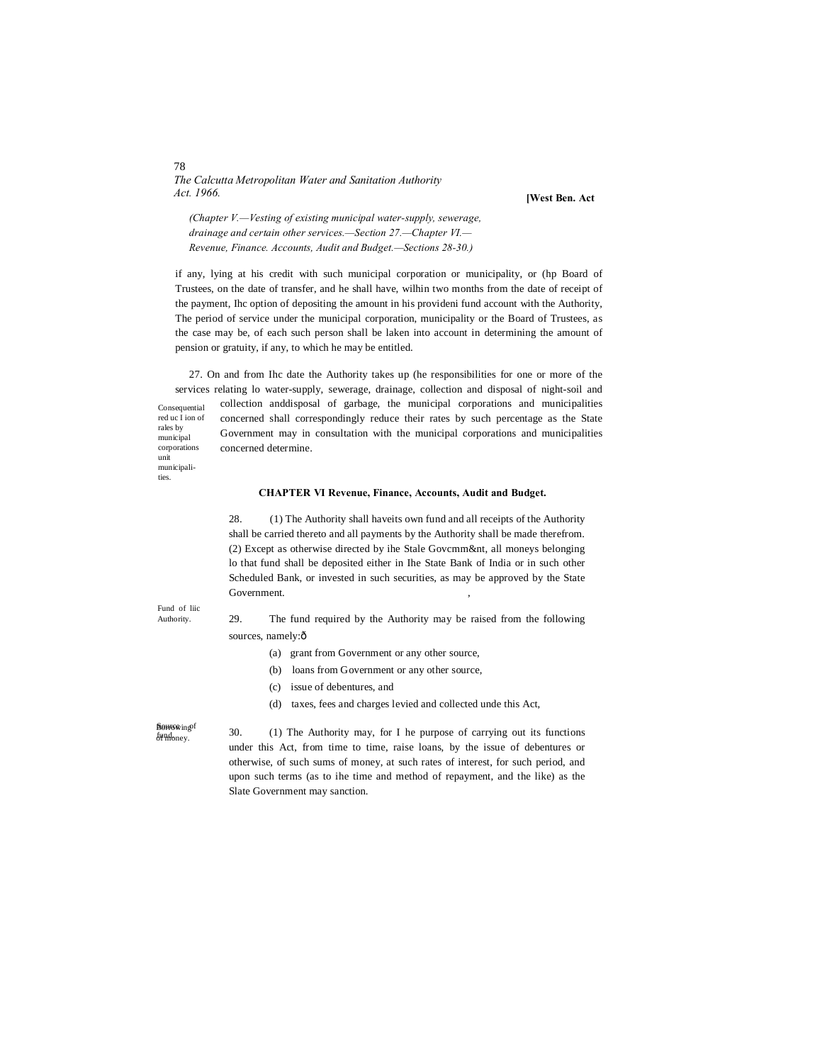*The Calcutta Metropolitan Water and Sanitation Authority Act. 1966.*

**[West Ben. Act**

*(Chapter V.—Vesting of existing municipal water-supply, sewerage, drainage and certain other services.—Section 27.—Chapter VI.— Revenue, Finance. Accounts, Audit and Budget.—Sections 28-30.)*

if any, lying at his credit with such municipal corporation or municipality, or (hp Board of Trustees, on the date of transfer, and he shall have, wilhin two months from the date of receipt of the payment, Ihc option of depositing the amount in his provideni fund account with the Authority, The period of service under the municipal corporation, municipality or the Board of Trustees, as the case may be, of each such person shall be laken into account in determining the amount of pension or gratuity, if any, to which he may be entitled.

Consequential red uc I ion of municipal corporations 27. On and from Ihc date the Authority takes up (he responsibilities for one or more of the services relating lo water-supply, sewerage, drainage, collection and disposal of night-soil and collection anddisposal of garbage, the municipal corporations and municipalities concerned shall correspondingly reduce their rates by such percentage as the State Government may in consultation with the municipal corporations and municipalities concerned determine.

#### **CHAPTER VI Revenue, Finance, Accounts, Audit and Budget.**

28. (1) The Authority shall haveits own fund and all receipts of the Authority shall be carried thereto and all payments by the Authority shall be made therefrom. (2) Except as otherwise directed by ihe Stale Govcmm&nt, all moneys belonging lo that fund shall be deposited either in Ihe State Bank of India or in such other Scheduled Bank, or invested in such securities, as may be approved by the State Government.

Fund of liic Authority.

rales by

unit municipalities.

> 29. The fund required by the Authority may be raised from the following sources, namely: $ô$

- (a) grant from Government or any other source,
- (b) loans from Government or any other source,
- (c) issue of debentures, and
- (d) taxes, fees and charges levied and collected unde this Act,

**Borrowing**f fund<sub>oney</sub>.

30. (1) The Authority may, for I he purpose of carrying out its functions under this Act, from time to time, raise loans, by the issue of debentures or otherwise, of such sums of money, at such rates of interest, for such period, and upon such terms (as to ihe time and method of repayment, and the like) as the Slate Government may sanction.

78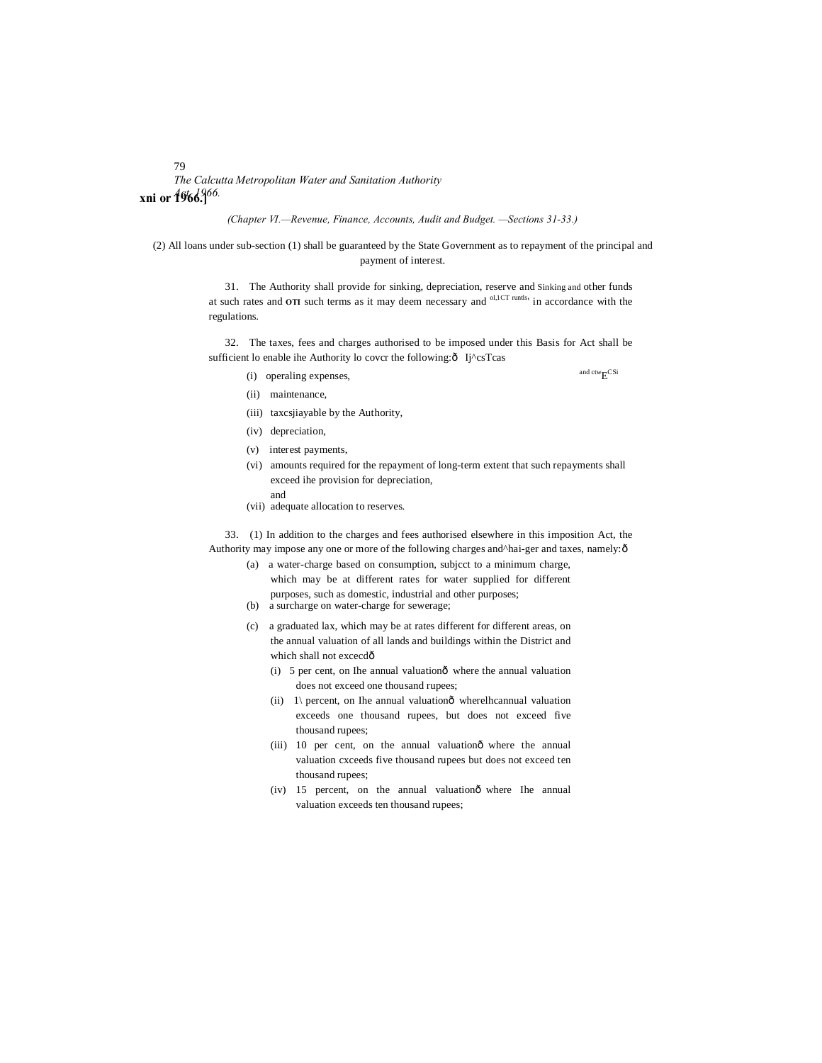79 *The Calcutta Metropolitan Water and Sanitation Authority Act. 1966.* **xni or 1966.]**

*(Chapter VI.—Revenue, Finance, Accounts, Audit and Budget. —Sections 31-33.)*

(2) All loans under sub-section (1) shall be guaranteed by the State Government as to repayment of the principal and payment of interest.

> 31. The Authority shall provide for sinking, depreciation, reserve and Sinking and other funds at such rates and **OTI** such terms as it may deem necessary and <sup>ol,1CT</sup> runtls<sub>'</sub> in accordance with the regulations.

> 32. The taxes, fees and charges authorised to be imposed under this Basis for Act shall be sufficient lo enable ihe Authority lo covcr the following: $\delta$  Ij^csTcas

(i) operaling expenses,  $\qquad$  and ctw<sub>E</sub>CSi

- (ii) maintenance,
- (iii) taxcsjiayable by the Authority,
- (iv) depreciation,
- (v) interest payments,
- (vi) amounts required for the repayment of long-term extent that such repayments shall exceed ihe provision for depreciation,
	- and
- (vii) adequate allocation to reserves.

33. (1) In addition to the charges and fees authorised elsewhere in this imposition Act, the Authority may impose any one or more of the following charges and^hai-ger and taxes, namely: $\hat{o}$ 

- (a) a water-charge based on consumption, subjcct to a minimum charge, which may be at different rates for water supplied for different purposes, such as domestic, industrial and other purposes;
- (b) a surcharge on water-charge for sewerage;
- (c) a graduated lax, which may be at rates different for different areas, on the annual valuation of all lands and buildings within the District and which shall not excecdô
	- $(i)$  5 per cent, on Ihe annual valuation $\hat{o}$  where the annual valuation does not exceed one thousand rupees;
	- (ii)  $1\$  percent, on Ihe annual valuation $\hat{o}$  wherelhcannual valuation exceeds one thousand rupees, but does not exceed five thousand rupees;
	- (iii) 10 per cent, on the annual valuationô where the annual valuation cxceeds five thousand rupees but does not exceed ten thousand rupees;
	- (iv) 15 percent, on the annual valuationô where Ihe annual valuation exceeds ten thousand rupees;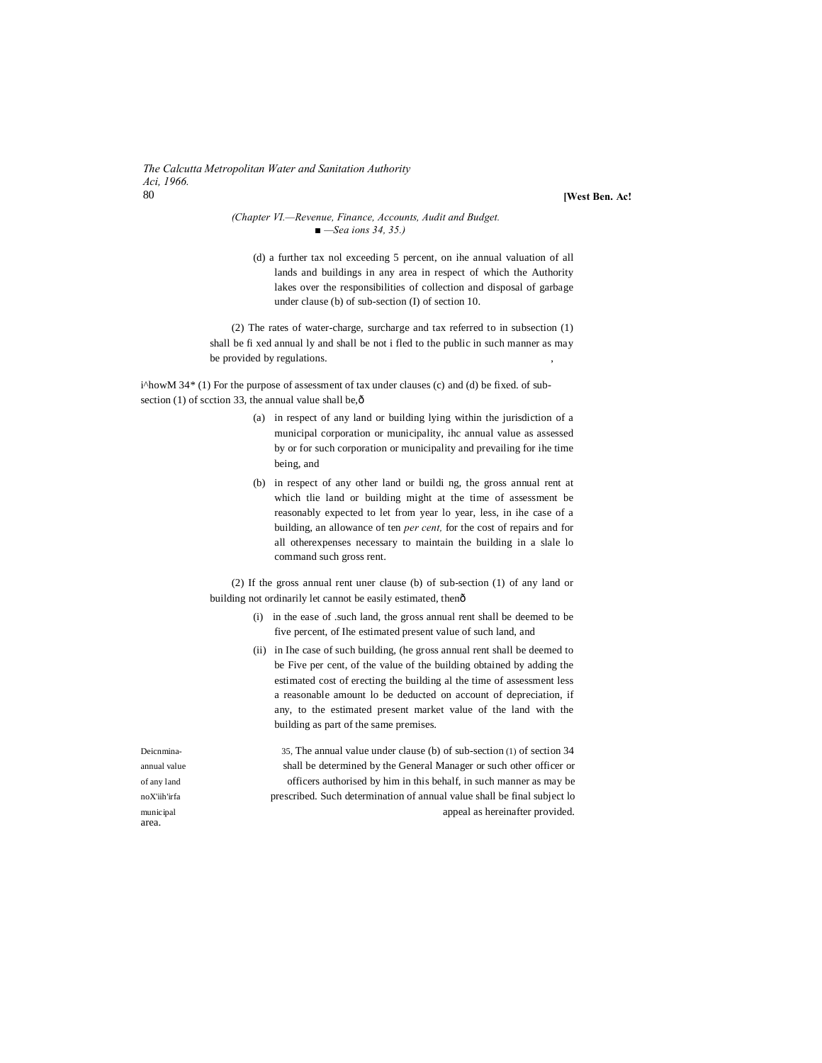*The Calcutta Metropolitan Water and Sanitation Authority Aci, 1966.* 80 **[West Ben. Ac!**

#### *(Chapter VI.—Revenue, Finance, Accounts, Audit and Budget. ■ —Sea ions 34, 35.)*

(d) a further tax nol exceeding 5 percent, on ihe annual valuation of all lands and buildings in any area in respect of which the Authority lakes over the responsibilities of collection and disposal of garbage under clause (b) of sub-section (I) of section 10.

(2) The rates of water-charge, surcharge and tax referred to in subsection (1) shall be fi xed annual ly and shall be not i fled to the public in such manner as may be provided by regulations.

i^howM 34\* (1) For the purpose of assessment of tax under clauses (c) and (d) be fixed. of subsection (1) of scction 33, the annual value shall be, $\hat{o}$ 

- (a) in respect of any land or building lying within the jurisdiction of a municipal corporation or municipality, ihc annual value as assessed by or for such corporation or municipality and prevailing for ihe time being, and
- (b) in respect of any other land or buildi ng, the gross annual rent at which tlie land or building might at the time of assessment be reasonably expected to let from year lo year, less, in ihe case of a building, an allowance of ten *per cent,* for the cost of repairs and for all otherexpenses necessary to maintain the building in a slale lo command such gross rent.

(2) If the gross annual rent uner clause (b) of sub-section (1) of any land or building not ordinarily let cannot be easily estimated, thenô

- (i) in the ease of .such land, the gross annual rent shall be deemed to be five percent, of Ihe estimated present value of such land, and
- (ii) in Ihe case of such building, (he gross annual rent shall be deemed to be Five per cent, of the value of the building obtained by adding the estimated cost of erecting the building al the time of assessment less a reasonable amount lo be deducted on account of depreciation, if any, to the estimated present market value of the land with the building as part of the same premises.

Deicnmina- 35, The annual value under clause (b) of sub-section (1) of section 34 annual value shall be determined by the General Manager or such other officer or of any land officers authorised by him in this behalf, in such manner as may be noX'iih'irfa prescribed. Such determination of annual value shall be final subject lo municipal appeal as hereinafter provided.

area.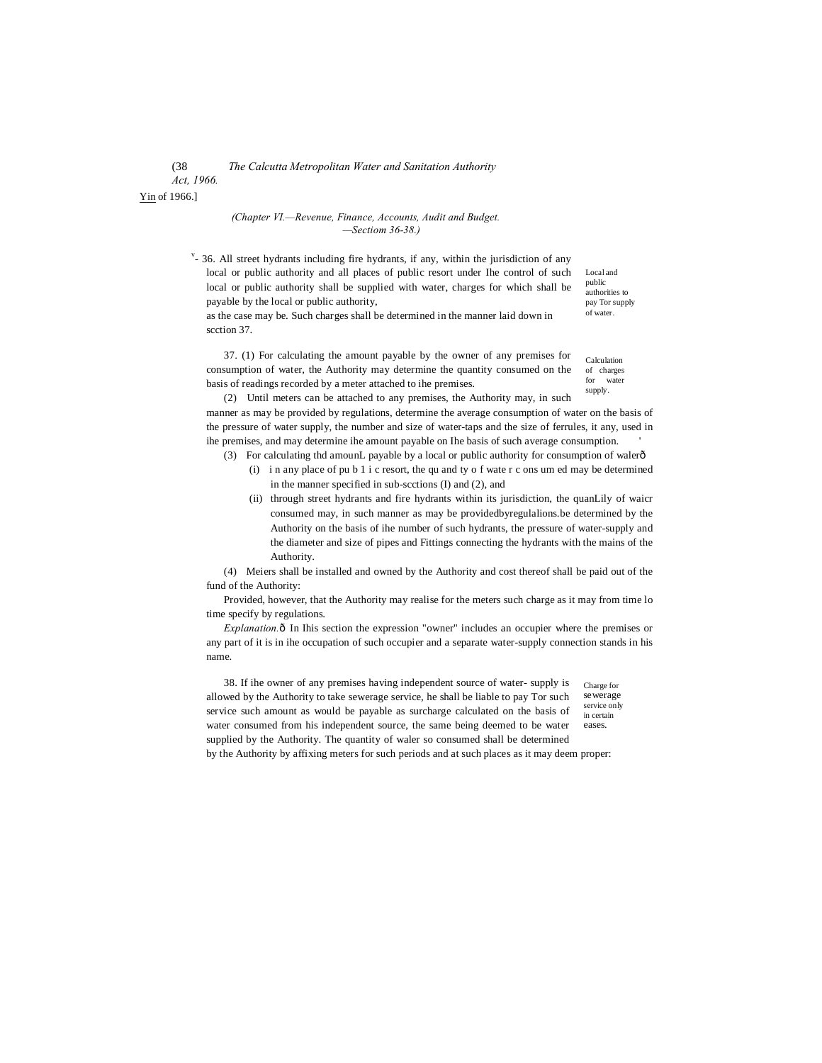#### (38 *The Calcutta Metropolitan Water and Sanitation Authority Act, 1966.*

basis of readings recorded by a meter attached to ihe premises.

Yin of 1966.]

#### *(Chapter VI.—Revenue, Finance, Accounts, Audit and Budget. —Sectiom 36-38.)*

 $v$ - 36. All street hydrants including fire hydrants, if any, within the jurisdiction of any local or public authority and all places of public resort under Ihe control of such local or public authority shall be supplied with water, charges for which shall be payable by the local or public authority, as the case may be. Such charges shall be determined in the manner laid down in

Local and public authorities to pay Tor supply of water.

scction 37. 37. (1) For calculating the amount payable by the owner of any premises for consumption of water, the Authority may determine the quantity consumed on the

Calculation of charges for water supply.

(2) Until meters can be attached to any premises, the Authority may, in such manner as may be provided by regulations, determine the average consumption of water on the basis of the pressure of water supply, the number and size of water-taps and the size of ferrules, it any, used in ihe premises, and may determine ihe amount payable on Ihe basis of such average consumption. '

- (3) For calculating thd amounL payable by a local or public authority for consumption of walerô
	- (i) i n any place of pu b 1 i c resort, the qu and ty o f wate r c ons um ed may be determined in the manner specified in sub-scctions (I) and (2), and
	- (ii) through street hydrants and fire hydrants within its jurisdiction, the quanLily of waicr consumed may, in such manner as may be providedbyregulalions.be determined by the Authority on the basis of ihe number of such hydrants, the pressure of water-supply and the diameter and size of pipes and Fittings connecting the hydrants with the mains of the Authority.

(4) Meiers shall be installed and owned by the Authority and cost thereof shall be paid out of the fund of the Authority:

Provided, however, that the Authority may realise for the meters such charge as it may from time lo time specify by regulations.

*Explanation.* $\delta$  In Ihis section the expression "owner" includes an occupier where the premises or any part of it is in ihe occupation of such occupier and a separate water-supply connection stands in his name.

38. If ihe owner of any premises having independent source of water- supply is allowed by the Authority to take sewerage service, he shall be liable to pay Tor such service such amount as would be payable as surcharge calculated on the basis of water consumed from his independent source, the same being deemed to be water supplied by the Authority. The quantity of waler so consumed shall be determined

Charge for sewerage service only in certain eases.

by the Authority by affixing meters for such periods and at such places as it may deem proper: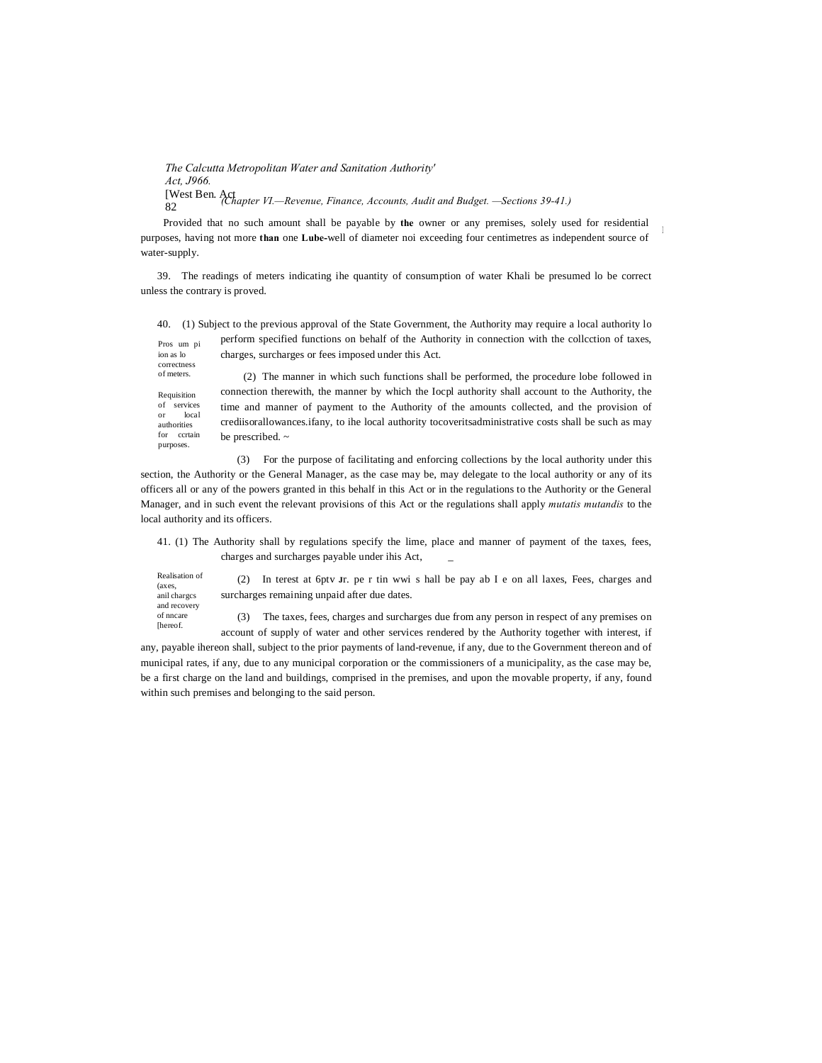*The Calcutta Metropolitan Water and Sanitation Authority' Act, J966.* [West Ben. Act 82 *(Chapter VI.—Revenue, Finance, Accounts, Audit and Budget. —Sections 39-41.)*

Provided that no such amount shall be payable by **the** owner or any premises, solely used for residential purposes, having not more **than** one **Lube-**well of diameter noi exceeding four centimetres as independent source of water-supply.

I

39. The readings of meters indicating ihe quantity of consumption of water Khali be presumed lo be correct unless the contrary is proved.

|                                                                  | 40. (1) Subject to the previous approval of the State Government, the Authority may require a local authority lo |
|------------------------------------------------------------------|------------------------------------------------------------------------------------------------------------------|
| Pros um pi                                                       | perform specified functions on behalf of the Authority in connection with the collection of taxes,               |
| ion as lo                                                        | charges, surcharges or fees imposed under this Act.                                                              |
| correctness<br>of meters.                                        | (2) The manner in which such functions shall be performed, the procedure lobe followed in                        |
| Requisition<br>of services<br>local<br>$\alpha$ r<br>authorities | connection therewith, the manner by which the locpl authority shall account to the Authority, the                |
|                                                                  | time and manner of payment to the Authority of the amounts collected, and the provision of                       |
|                                                                  | crediisorallowances.ifany, to ihe local authority tocoverits administrative costs shall be such as may           |

(3) For the purpose of facilitating and enforcing collections by the local authority under this section, the Authority or the General Manager, as the case may be, may delegate to the local authority or any of its officers all or any of the powers granted in this behalf in this Act or in the regulations to the Authority or the General Manager, and in such event the relevant provisions of this Act or the regulations shall apply *mutatis mutandis* to the local authority and its officers.

41. (1) The Authority shall by regulations specify the lime, place and manner of payment of the taxes, fees, charges and surcharges payable under ihis Act, \_

| Realisation of |
|----------------|
| (axes,         |
| anil charges   |
| and recovery   |
| of nncare      |
| <b>Thereof</b> |

for ccrtain purposes.

be prescribed. ~

(2) In terest at 6ptv **J**r. pe r tin wwi s hall be pay ab I e on all laxes, Fees, charges and surcharges remaining unpaid after due dates.

(3) The taxes, fees, charges and surcharges due from any person in respect of any premises on account of supply of water and other services rendered by the Authority together with interest, if

any, payable ihereon shall, subject to the prior payments of land-revenue, if any, due to the Government thereon and of municipal rates, if any, due to any municipal corporation or the commissioners of a municipality, as the case may be, be a first charge on the land and buildings, comprised in the premises, and upon the movable property, if any, found within such premises and belonging to the said person.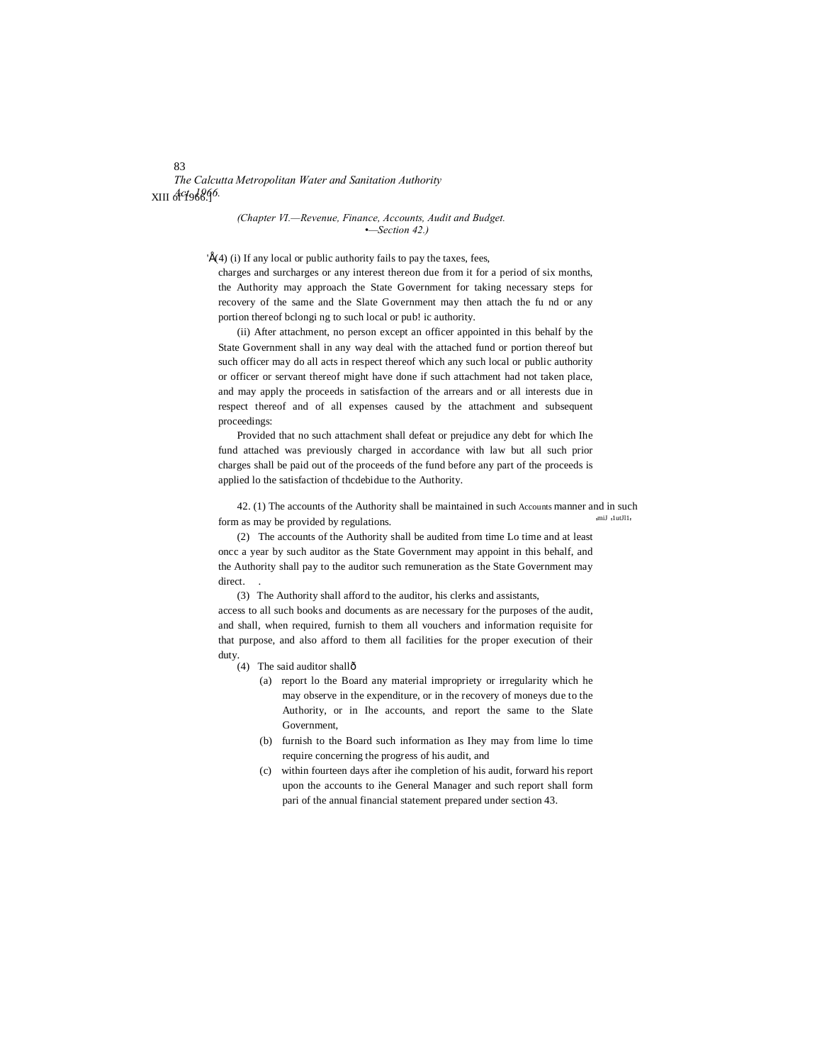*The Calcutta Metropolitan Water and Sanitation Authority Act. 1966.* XIII of 1966.]

> *(Chapter VI.—Revenue, Finance, Accounts, Audit and Budget. •—Section 42.)*

' $E(4)$  (i) If any local or public authority fails to pay the taxes, fees,

charges and surcharges or any interest thereon due from it for a period of six months, the Authority may approach the State Government for taking necessary steps for recovery of the same and the Slate Government may then attach the fu nd or any portion thereof bclongi ng to such local or pub! ic authority.

(ii) After attachment, no person except an officer appointed in this behalf by the State Government shall in any way deal with the attached fund or portion thereof but such officer may do all acts in respect thereof which any such local or public authority or officer or servant thereof might have done if such attachment had not taken place, and may apply the proceeds in satisfaction of the arrears and or all interests due in respect thereof and of all expenses caused by the attachment and subsequent proceedings:

Provided that no such attachment shall defeat or prejudice any debt for which Ihe fund attached was previously charged in accordance with law but all such prior charges shall be paid out of the proceeds of the fund before any part of the proceeds is applied lo the satisfaction of thcdebidue to the Authority.

42. (1) The accounts of the Authority shall be maintained in such Accounts manner and in such form as may be provided by regulations. miJ '1utJl1'

(2) The accounts of the Authority shall be audited from time Lo time and at least oncc a year by such auditor as the State Government may appoint in this behalf, and the Authority shall pay to the auditor such remuneration as the State Government may direct.

(3) The Authority shall afford to the auditor, his clerks and assistants,

access to all such books and documents as are necessary for the purposes of the audit, and shall, when required, furnish to them all vouchers and information requisite for that purpose, and also afford to them all facilities for the proper execution of their duty.

- (4) The said auditor shallô
	- (a) report lo the Board any material impropriety or irregularity which he may observe in the expenditure, or in the recovery of moneys due to the Authority, or in Ihe accounts, and report the same to the Slate Government,
	- (b) furnish to the Board such information as Ihey may from lime lo time require concerning the progress of his audit, and
	- (c) within fourteen days after ihe completion of his audit, forward his report upon the accounts to ihe General Manager and such report shall form pari of the annual financial statement prepared under section 43.

#### 83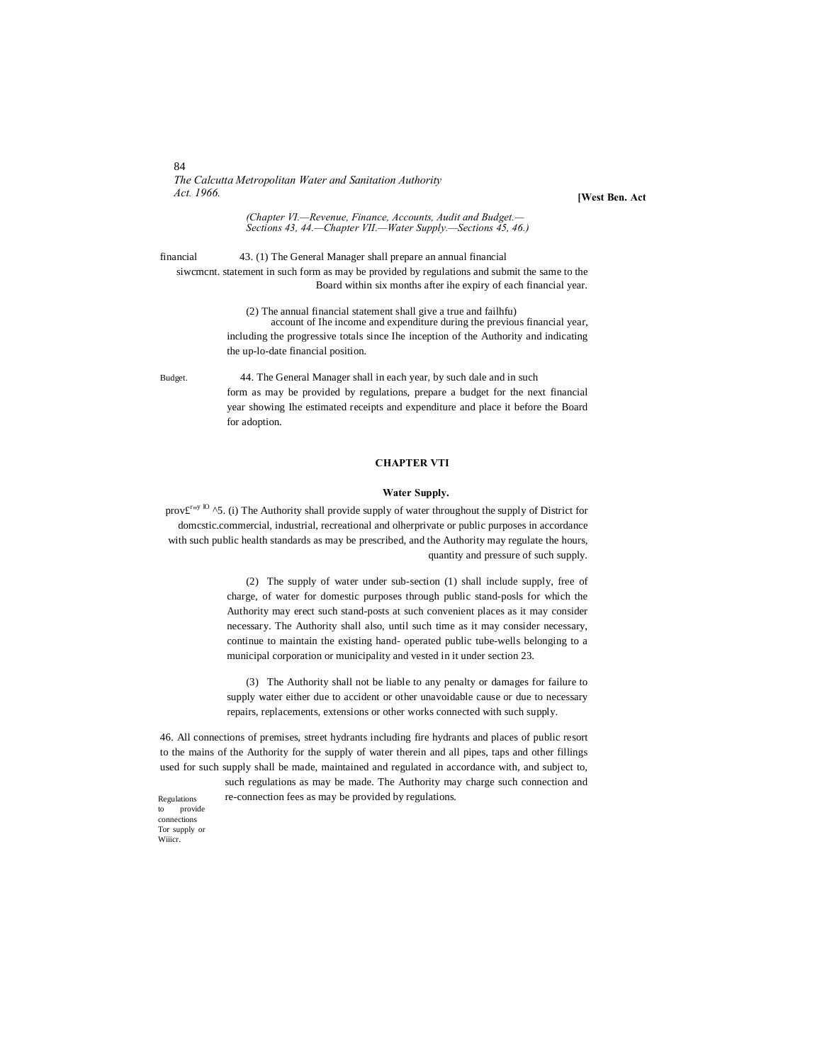84 *The Calcutta Metropolitan Water and Sanitation Authority Act. 1966.*

**[West Ben. Act**

*(Chapter VI.—Revenue, Finance, Accounts, Audit and Budget.— Sections 43, 44.—Chapter VII.—Water Supply.—Sections 45, 46.)*

financial 43. (1) The General Manager shall prepare an annual financial siwcmcnt. statement in such form as may be provided by regulations and submit the same to the Board within six months after ihe expiry of each financial year.

> (2) The annual financial statement shall give a true and failhfu) account of Ihe income and expenditure during the previous financial year, including the progressive totals since Ihe inception of the Authority and indicating the up-lo-date financial position.

Budget. 44. The General Manager shall in each year, by such dale and in such form as may be provided by regulations, prepare a budget for the next financial year showing Ihe estimated receipts and expenditure and place it before the Board for adoption.

#### **CHAPTER VTI**

#### **Water Supply.**

prov $\mathbf{f}^{\text{r}_{\text{ny}}\text{IO}}$  ^5. (i) The Authority shall provide supply of water throughout the supply of District for domcstic.commercial, industrial, recreational and olherprivate or public purposes in accordance with such public health standards as may be prescribed, and the Authority may regulate the hours, quantity and pressure of such supply.

> (2) The supply of water under sub-section (1) shall include supply, free of charge, of water for domestic purposes through public stand-posls for which the Authority may erect such stand-posts at such convenient places as it may consider necessary. The Authority shall also, until such time as it may consider necessary, continue to maintain the existing hand- operated public tube-wells belonging to a municipal corporation or municipality and vested in it under section 23.

> (3) The Authority shall not be liable to any penalty or damages for failure to supply water either due to accident or other unavoidable cause or due to necessary repairs, replacements, extensions or other works connected with such supply.

46. All connections of premises, street hydrants including fire hydrants and places of public resort to the mains of the Authority for the supply of water therein and all pipes, taps and other fillings used for such supply shall be made, maintained and regulated in accordance with, and subject to,

> such regulations as may be made. The Authority may charge such connection and re-connection fees as may be provided by regulations.

Regulations to provide connections Tor supply or Wiiicr.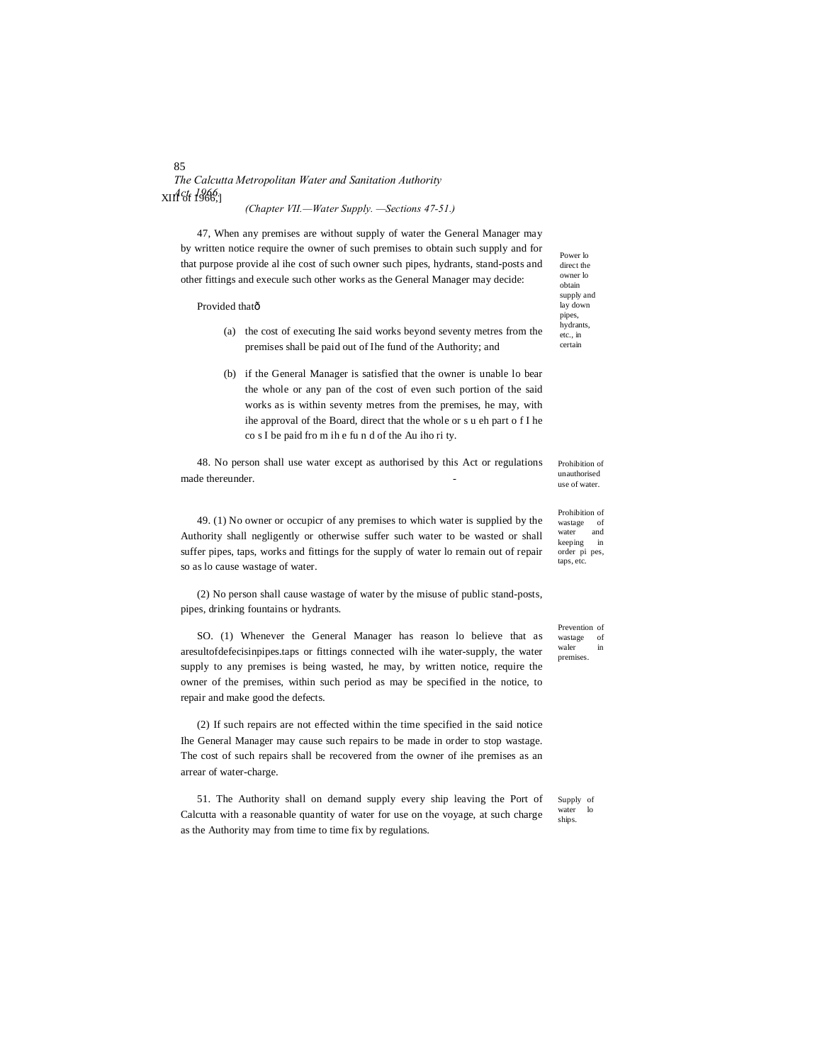# *The Calcutta Metropolitan Water and Sanitation Authority Act. 1966.* XIII of 1966,]

*(Chapter VII.—Water Supply. —Sections 47-51.)*

47, When any premises are without supply of water the General Manager may by written notice require the owner of such premises to obtain such supply and for that purpose provide al ihe cost of such owner such pipes, hydrants, stand-posts and other fittings and execule such other works as the General Manager may decide:

| Provided thatô                   |                                                                                                                                                                                                                                                                                                                                                | supply and<br>lay down<br>pipes,                                                                |
|----------------------------------|------------------------------------------------------------------------------------------------------------------------------------------------------------------------------------------------------------------------------------------------------------------------------------------------------------------------------------------------|-------------------------------------------------------------------------------------------------|
| (a)                              | the cost of executing the said works beyond seventy metres from the<br>premises shall be paid out of Ihe fund of the Authority; and                                                                                                                                                                                                            | hydrants.<br>etc., in<br>certain                                                                |
| (b)                              | if the General Manager is satisfied that the owner is unable to bear<br>the whole or any pan of the cost of even such portion of the said<br>works as is within seventy metres from the premises, he may, with<br>ihe approval of the Board, direct that the whole or s u eh part of I he<br>co s I be paid from ihe fund of the Au iho ri ty. |                                                                                                 |
| made thereunder.                 | 48. No person shall use water except as authorised by this Act or regulations                                                                                                                                                                                                                                                                  | Prohibition of<br>unauthorised<br>use of water.                                                 |
| so as lo cause wastage of water. | 49. (1) No owner or occupicr of any premises to which water is supplied by the<br>Authority shall negligently or otherwise suffer such water to be wasted or shall<br>suffer pipes, taps, works and fittings for the supply of water to remain out of repair                                                                                   | Prohibition of<br>of<br>wastage<br>and<br>water<br>keeping<br>in<br>order pi pes,<br>taps, etc. |
|                                  | (2) No person shall cause wastage of water by the misuse of public stand-posts,                                                                                                                                                                                                                                                                |                                                                                                 |

pipes, drinking fountains or hydrants.

SO. (1) Whenever the General Manager has reason lo believe that as aresultofdefecisinpipes.taps or fittings connected wilh ihe water-supply, the water supply to any premises is being wasted, he may, by written notice, require the owner of the premises, within such period as may be specified in the notice, to repair and make good the defects.

(2) If such repairs are not effected within the time specified in the said notice Ihe General Manager may cause such repairs to be made in order to stop wastage. The cost of such repairs shall be recovered from the owner of ihe premises as an arrear of water-charge.

Supply of<br>water lo water ships. 51. The Authority shall on demand supply every ship leaving the Port of Calcutta with a reasonable quantity of water for use on the voyage, at such charge as the Authority may from time to time fix by regulations.

Prevention of wastage of<br>waler in waler premises.

Power lo direct the owner lo obtain

#### 85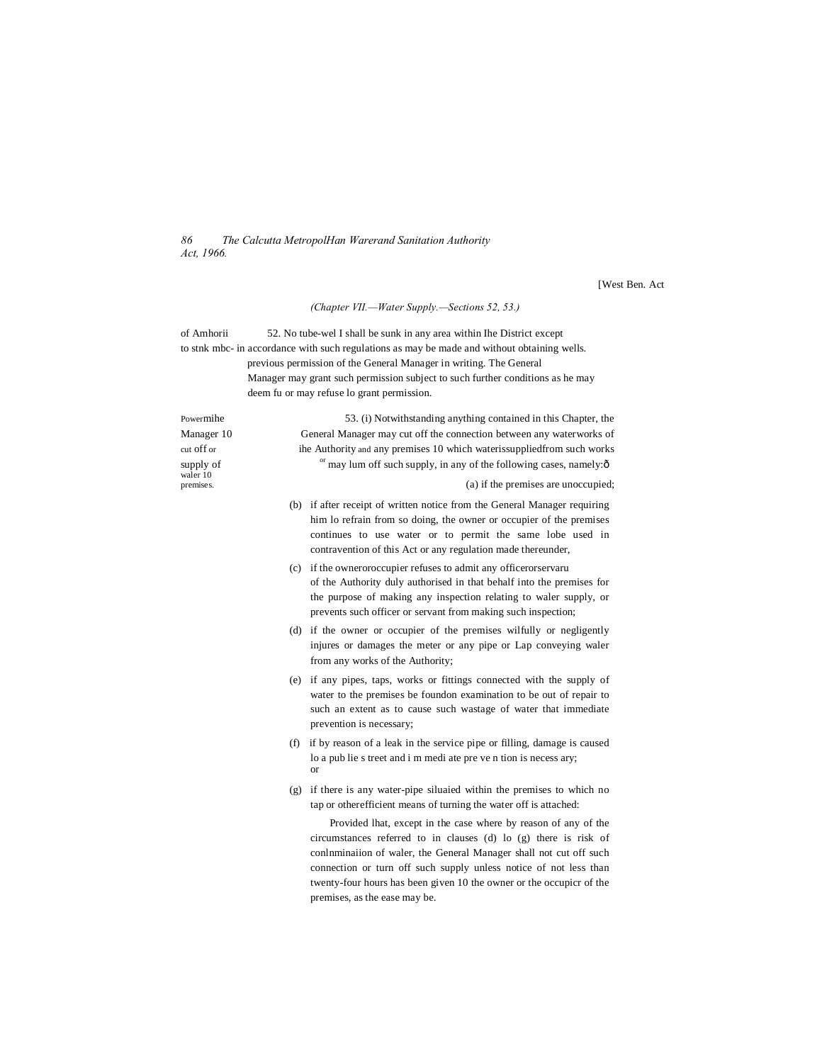*86 The Calcutta MetropolHan Warerand Sanitation Authority Act, 1966.*

[West Ben. Act

#### *(Chapter VII.—Water Supply.—Sections 52, 53.)*

of Amhorii 52. No tube-wel I shall be sunk in any area within Ihe District except to stnk mbc- in accordance with such regulations as may be made and without obtaining wells. previous permission of the General Manager in writing. The General Manager may grant such permission subject to such further conditions as he may deem fu or may refuse lo grant permission.

Powermihe 53. (i) Notwithstanding anything contained in this Chapter, the Manager 10 General Manager may cut off the connection between any waterworks of cut off or ihe Authority and any premises 10 which waterissuppliedfrom such works supply of <sup>or</sup> may lum off such supply, in any of the following cases, namely: $\hat{o}$ waler 10<br>premises. (a) if the premises are unoccupied; (b) if after receipt of written notice from the General Manager requiring him lo refrain from so doing, the owner or occupier of the premises continues to use water or to permit the same lobe used in contravention of this Act or any regulation made thereunder, (c) if the owneroroccupier refuses to admit any officerorservaru of the Authority duly authorised in that behalf into the premises for the purpose of making any inspection relating to waler supply, or prevents such officer or servant from making such inspection; (d) if the owner or occupier of the premises wilfully or negligently injures or damages the meter or any pipe or Lap conveying waler from any works of the Authority; (e) if any pipes, taps, works or fittings connected with the supply of water to the premises be foundon examination to be out of repair to such an extent as to cause such wastage of water that immediate prevention is necessary; (f) if by reason of a leak in the service pipe or filling, damage is caused lo a pub lie s treet and i m medi ate pre ve n tion is necess ary; or (g) if there is any water-pipe siluaied within the premises to which no tap or otherefficient means of turning the water off is attached: Provided lhat, except in the case where by reason of any of the

circumstances referred to in clauses (d) lo (g) there is risk of conlnminaiion of waler, the General Manager shall not cut off such connection or turn off such supply unless notice of not less than twenty-four hours has been given 10 the owner or the occupicr of the premises, as the ease may be.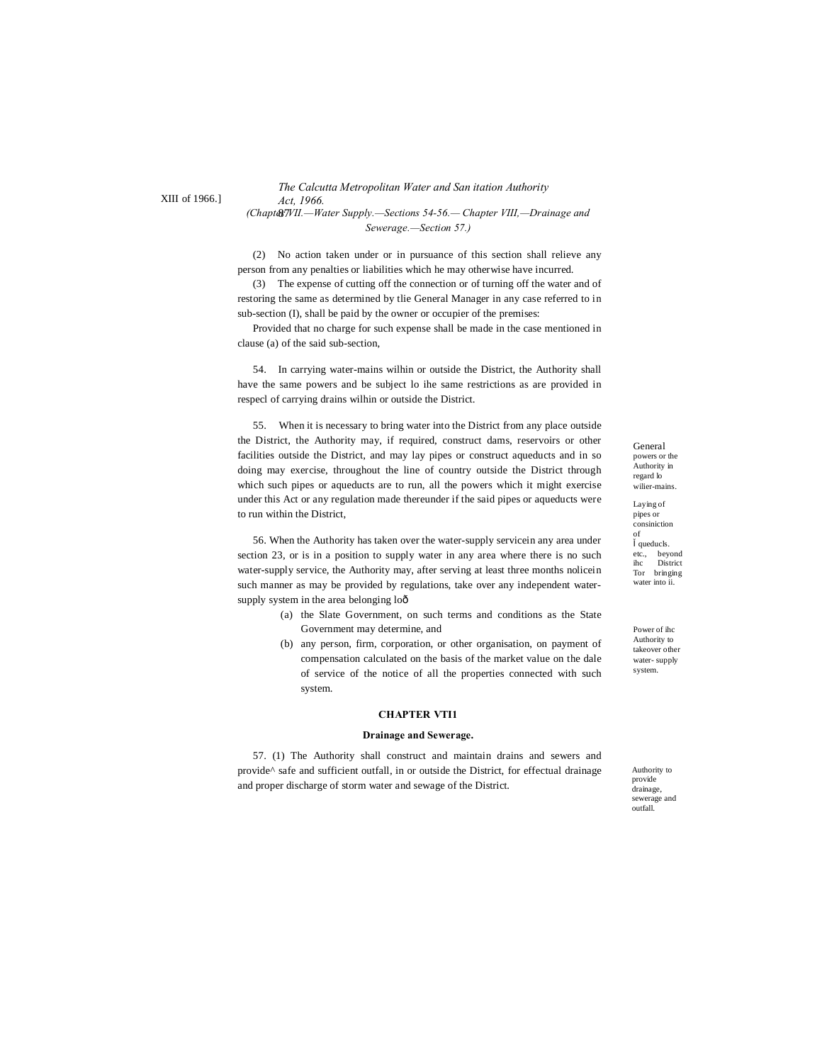XIII of 1966.]

# *The Calcutta Metropolitan Water and San itation Authority Act, 1966.*

87 *(Chapter VII.—Water Supply.—Sections 54-56.— Chapter VIII,—Drainage and Sewerage.—Section 57.)*

(2) No action taken under or in pursuance of this section shall relieve any person from any penalties or liabilities which he may otherwise have incurred.

(3) The expense of cutting off the connection or of turning off the water and of restoring the same as determined by tlie General Manager in any case referred to in sub-section (I), shall be paid by the owner or occupier of the premises:

Provided that no charge for such expense shall be made in the case mentioned in clause (a) of the said sub-section,

54. In carrying water-mains wilhin or outside the District, the Authority shall have the same powers and be subject lo ihe same restrictions as are provided in respecl of carrying drains wilhin or outside the District.

55. When it is necessary to bring water into the District from any place outside the District, the Authority may, if required, construct dams, reservoirs or other facilities outside the District, and may lay pipes or construct aqueducts and in so doing may exercise, throughout the line of country outside the District through which such pipes or aqueducts are to run, all the powers which it might exercise under this Act or any regulation made thereunder if the said pipes or aqueducts were to run within the District,

56. When the Authority has taken over the water-supply servicein any area under section 23, or is in a position to supply water in any area where there is no such water-supply service, the Authority may, after serving at least three months nolicein such manner as may be provided by regulations, take over any independent watersupply system in the area belonging loô

- (a) the Slate Government, on such terms and conditions as the State Government may determine, and
- (b) any person, firm, corporation, or other organisation, on payment of compensation calculated on the basis of the market value on the dale of service of the notice of all the properties connected with such system.

#### **CHAPTER VTI1**

#### **Drainage and Sewerage.**

57. (1) The Authority shall construct and maintain drains and sewers and provide^ safe and sufficient outfall, in or outside the District, for effectual drainage and proper discharge of storm water and sewage of the District.

General powers or the Authority in regard lo wilier-mains.

Laying of pipes or consiniction of queducls. etc., beyond District Tor bringing water into ii.

Power of ihc Authority to takeover other water- supply system.

Authority to provide drainage, sewerage and outfall.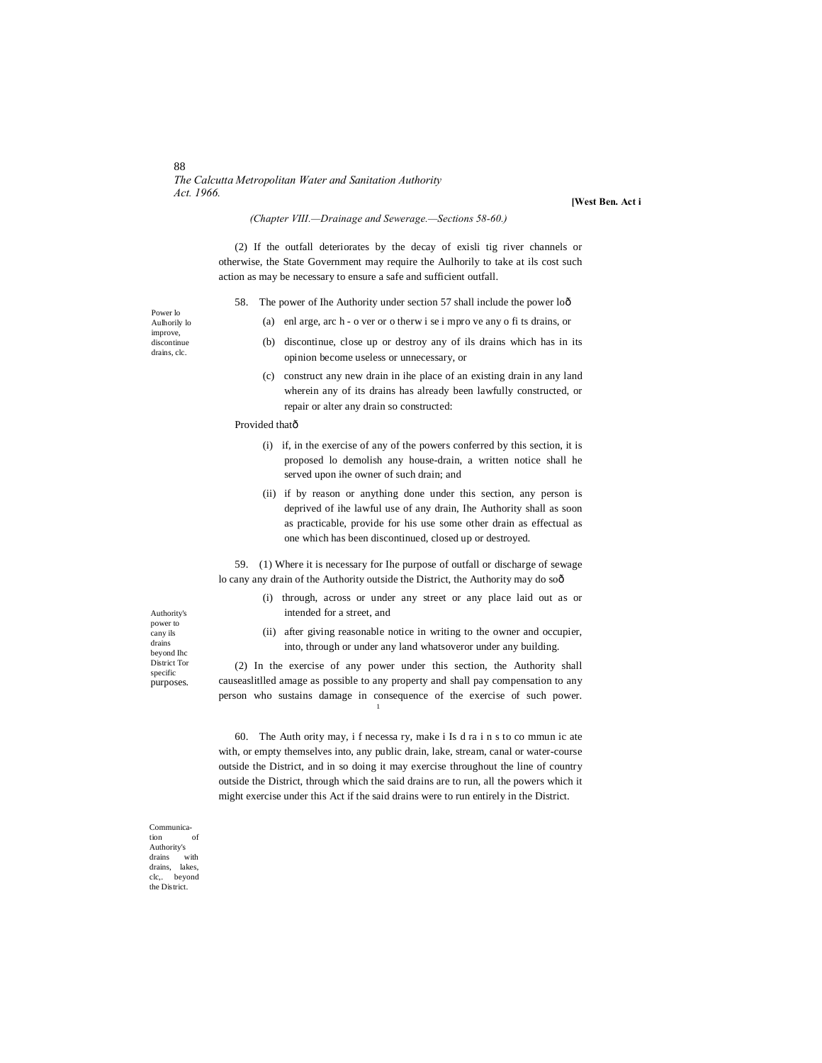#### 88 *The Calcutta Metropolitan Water and Sanitation Authority Act. 1966.*

**[West Ben. Act i**

#### *(Chapter VIII.—Drainage and Sewerage.—Sections 58-60.)*

(2) If the outfall deteriorates by the decay of exisli tig river channels or otherwise, the State Government may require the Aulhorily to take at ils cost such action as may be necessary to ensure a safe and sufficient outfall.

- 58. The power of Ihe Authority under section 57 shall include the power loô
	- (a) enl arge, arc h o ver or o therw i se i mpro ve any o fi ts drains, or

(b) discontinue, close up or destroy any of ils drains which has in its opinion become useless or unnecessary, or

> (c) construct any new drain in ihe place of an existing drain in any land wherein any of its drains has already been lawfully constructed, or repair or alter any drain so constructed:

#### Provided thatô

- (i) if, in the exercise of any of the powers conferred by this section, it is proposed lo demolish any house-drain, a written notice shall he served upon ihe owner of such drain; and
- (ii) if by reason or anything done under this section, any person is deprived of ihe lawful use of any drain, Ihe Authority shall as soon as practicable, provide for his use some other drain as effectual as one which has been discontinued, closed up or destroyed.

59. (1) Where it is necessary for Ihe purpose of outfall or discharge of sewage lo cany any drain of the Authority outside the District, the Authority may do soô

- (i) through, across or under any street or any place laid out as or intended for a street, and
- (ii) after giving reasonable notice in writing to the owner and occupier, into, through or under any land whatsoveror under any building.

(2) In the exercise of any power under this section, the Authority shall causeaslitlled amage as possible to any property and shall pay compensation to any person who sustains damage in consequence of the exercise of such power.

1

60. The Auth ority may, i f necessa ry, make i Is d ra i n s to co mmun ic ate with, or empty themselves into, any public drain, lake, stream, canal or water-course outside the District, and in so doing it may exercise throughout the line of country outside the District, through which the said drains are to run, all the powers which it might exercise under this Act if the said drains were to run entirely in the District.

Authority's power to cany ils drains beyond Ihc District Tor specific purposes.

Communication Authority's  $\rm{drains}$ drains, lakes, clc,. beyond the District.

Power lo Aulhorily lo improve, discontinue

drains, clc.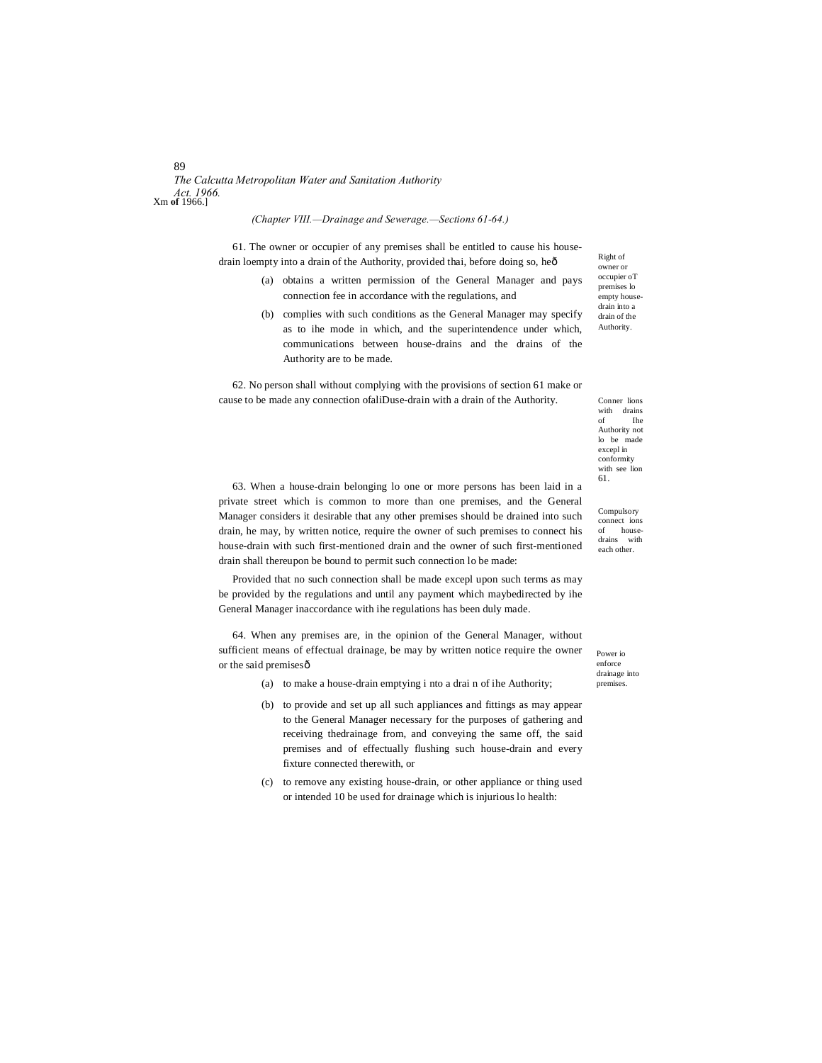# *The Calcutta Metropolitan Water and Sanitation Authority Act. 1966.* Xm **of** 1966.]

#### *(Chapter VIII.—Drainage and Sewerage.—Sections 61-64.)*

61. The owner or occupier of any premises shall be entitled to cause his housedrain loempty into a drain of the Authority, provided thai, before doing so, heô

- (a) obtains a written permission of the General Manager and pays connection fee in accordance with the regulations, and
- (b) complies with such conditions as the General Manager may specify as to ihe mode in which, and the superintendence under which, communications between house-drains and the drains of the Authority are to be made.

62. No person shall without complying with the provisions of section 61 make or cause to be made any connection ofaliDuse-drain with a drain of the Authority.

Right of owner or occupier oT premises lo empty house drain into a drain of the Authority.

Conner lions with drains<br>of the of Ihe Authority not lo be made excepl in conformity with see lion 61.

Compulsory connect ions of housedrains with each other.

63. When a house-drain belonging lo one or more persons has been laid in a private street which is common to more than one premises, and the General Manager considers it desirable that any other premises should be drained into such drain, he may, by written notice, require the owner of such premises to connect his house-drain with such first-mentioned drain and the owner of such first-mentioned drain shall thereupon be bound to permit such connection lo be made:

Provided that no such connection shall be made excepl upon such terms as may be provided by the regulations and until any payment which maybedirected by ihe General Manager inaccordance with ihe regulations has been duly made.

64. When any premises are, in the opinion of the General Manager, without sufficient means of effectual drainage, be may by written notice require the owner or the said premisesô

- (a) to make a house-drain emptying i nto a drai n of ihe Authority;
- (b) to provide and set up all such appliances and fittings as may appear to the General Manager necessary for the purposes of gathering and receiving thedrainage from, and conveying the same off, the said premises and of effectually flushing such house-drain and every fixture connected therewith, or
- (c) to remove any existing house-drain, or other appliance or thing used or intended 10 be used for drainage which is injurious lo health:

Power io enforce drainage into premises.

89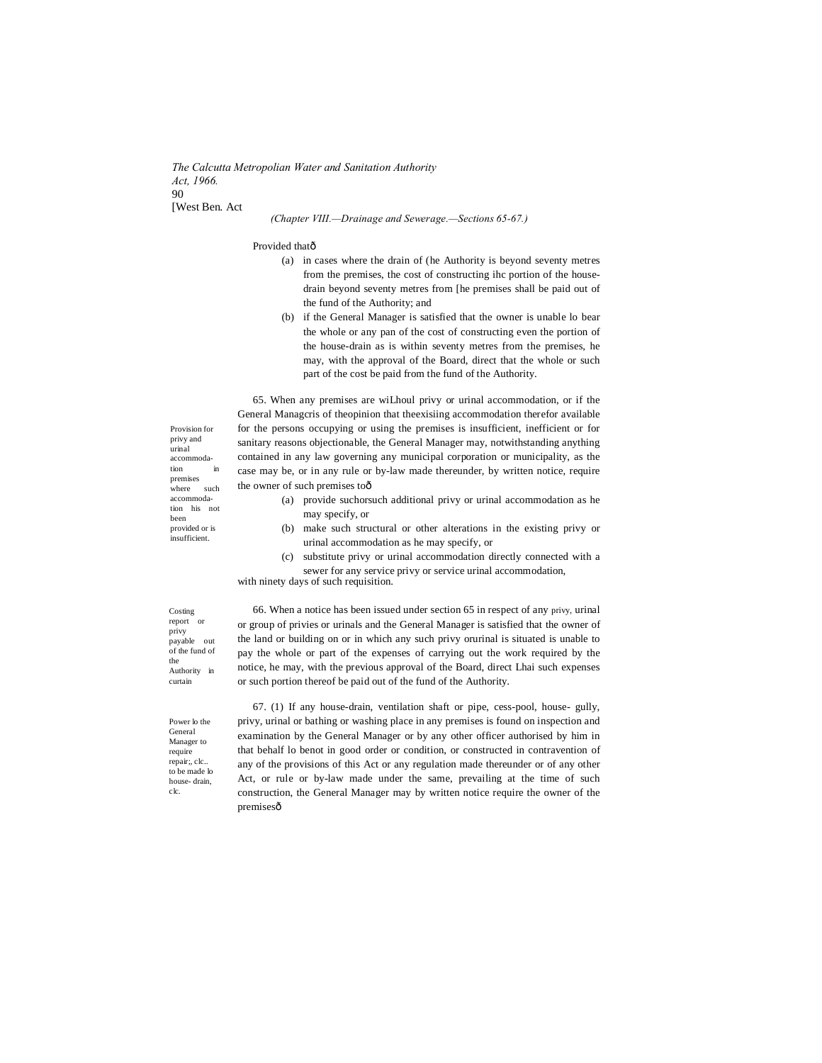*The Calcutta Metropolian Water and Sanitation Authority Act, 1966.*  $90$ [West Ben. Act

#### *(Chapter VIII.—Drainage and Sewerage.—Sections 65-67.)*

#### Provided thatô

- (a) in cases where the drain of (he Authority is beyond seventy metres from the premises, the cost of constructing ihc portion of the housedrain beyond seventy metres from [he premises shall be paid out of the fund of the Authority; and
- (b) if the General Manager is satisfied that the owner is unable lo bear the whole or any pan of the cost of constructing even the portion of the house-drain as is within seventy metres from the premises, he may, with the approval of the Board, direct that the whole or such part of the cost be paid from the fund of the Authority.

65. When any premises are wiLhoul privy or urinal accommodation, or if the General Managcris of theopinion that theexisiing accommodation therefor available for the persons occupying or using the premises is insufficient, inefficient or for sanitary reasons objectionable, the General Manager may, notwithstanding anything contained in any law governing any municipal corporation or municipality, as the case may be, or in any rule or by-law made thereunder, by written notice, require the owner of such premises toô

- (a) provide suchorsuch additional privy or urinal accommodation as he may specify, or
- (b) make such structural or other alterations in the existing privy or urinal accommodation as he may specify, or
- (c) substitute privy or urinal accommodation directly connected with a sewer for any service privy or service urinal accommodation,

with ninety days of such requisition.

Costing report or privy payable out of the fund of the Authority in curtain

66. When a notice has been issued under section 65 in respect of any privy, urinal or group of privies or urinals and the General Manager is satisfied that the owner of the land or building on or in which any such privy orurinal is situated is unable to pay the whole or part of the expenses of carrying out the work required by the notice, he may, with the previous approval of the Board, direct Lhai such expenses or such portion thereof be paid out of the fund of the Authority.

Power lo the General Manager to require repair;, clc.. to be made lo house- drain, clc.

67. (1) If any house-drain, ventilation shaft or pipe, cess-pool, house- gully, privy, urinal or bathing or washing place in any premises is found on inspection and examination by the General Manager or by any other officer authorised by him in that behalf lo benot in good order or condition, or constructed in contravention of any of the provisions of this Act or any regulation made thereunder or of any other Act, or rule or by-law made under the same, prevailing at the time of such construction, the General Manager may by written notice require the owner of the premisesô

Provision for privy and urinal accommodation premises<br>where such where accommodation his not been provided or is **insufficient**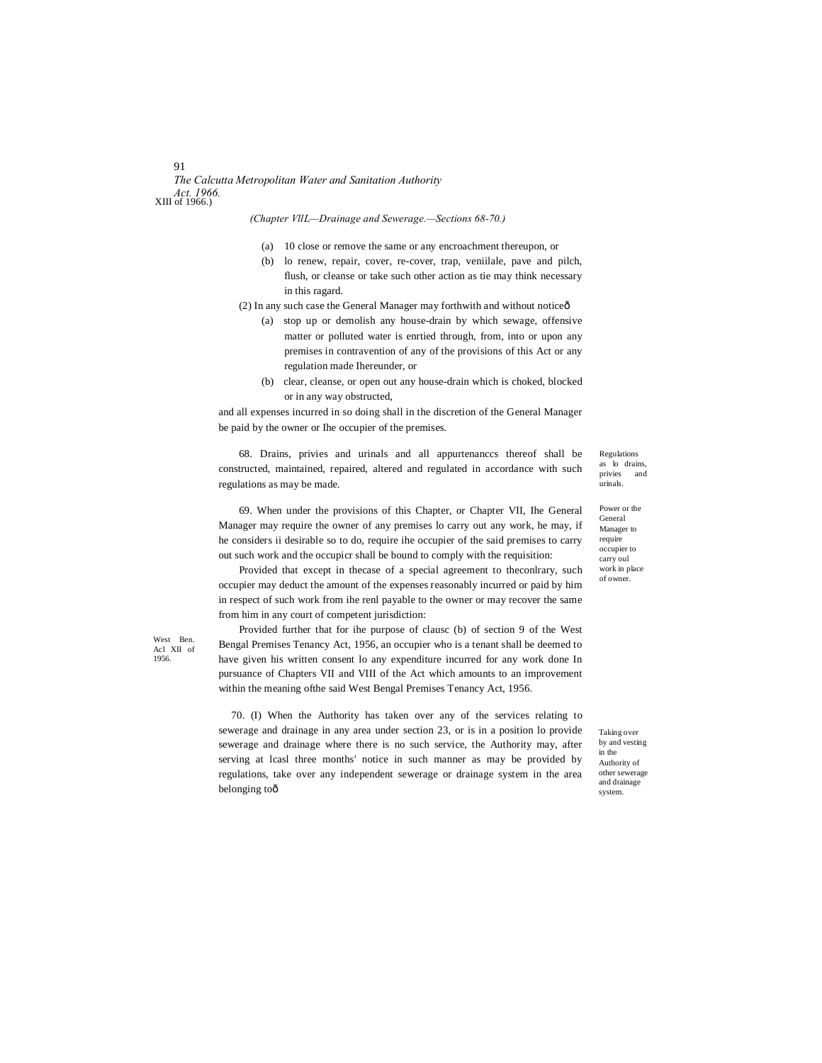*The Calcutta Metropolitan Water and Sanitation Authority Act. 1966.* XIII of 1966.)

*(Chapter VllL—Drainage and Sewerage.—Sections 68-70.)*

- (a) 10 close or remove the same or any encroachment thereupon, or
- (b) lo renew, repair, cover, re-cover, trap, veniilale, pave and pilch, flush, or cleanse or take such other action as tie may think necessary in this ragard.
- (2) In any such case the General Manager may forthwith and without noticeô
	- (a) stop up or demolish any house-drain by which sewage, offensive matter or polluted water is enrtied through, from, into or upon any premises in contravention of any of the provisions of this Act or any regulation made Ihereunder, or
	- (b) clear, cleanse, or open out any house-drain which is choked, blocked or in any way obstructed,

and all expenses incurred in so doing shall in the discretion of the General Manager be paid by the owner or Ihe occupier of the premises.

68. Drains, privies and urinals and all appurtenanccs thereof shall be constructed, maintained, repaired, altered and regulated in accordance with such regulations as may be made.

69. When under the provisions of this Chapter, or Chapter VII, Ihe General Manager may require the owner of any premises lo carry out any work, he may, if he considers ii desirable so to do, require ihe occupier of the said premises to carry out such work and the occupicr shall be bound to comply with the requisition:

Provided that except in thecase of a special agreement to theconlrary, such occupier may deduct the amount of the expenses reasonably incurred or paid by him in respect of such work from ihe renl payable to the owner or may recover the same from him in any court of competent jurisdiction:

Provided further that for ihe purpose of clausc (b) of section 9 of the West Bengal Premises Tenancy Act, 1956, an occupier who is a tenant shall be deemed to have given his written consent lo any expenditure incurred for any work done In pursuance of Chapters VII and VIII of the Act which amounts to an improvement within the meaning ofthe said West Bengal Premises Tenancy Act, 1956.

70. (I) When the Authority has taken over any of the services relating to sewerage and drainage in any area under section 23, or is in a position lo provide sewerage and drainage where there is no such service, the Authority may, after serving at lcasl three months' notice in such manner as may be provided by regulations, take over any independent sewerage or drainage system in the area belonging toô

Regulations as lo drains,<br>privies and privies urinals.

Power or the General Manager to require occupier to carry oul work in place of owner.

Taking over by and vesting in the Authority of other sewerage and drainage system.

## 91

West Ben. Acl XII of 1956.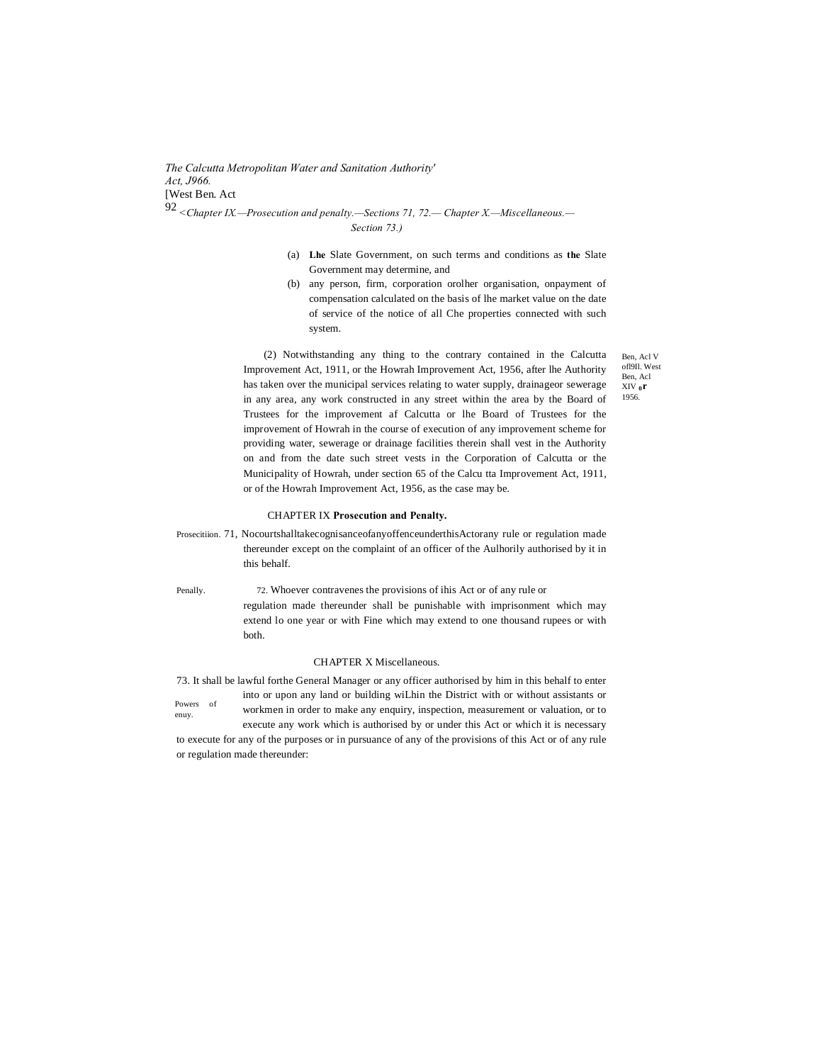*The Calcutta Metropolitan Water and Sanitation Authority' Act, J966.* [West Ben. Act 92 *<Chapter IX.—Prosecution and penalty.—Sections 71, 72.— Chapter X.—Miscellaneous.—*

*Section 73.)*

- (a) **Lhe** Slate Government, on such terms and conditions as **the** Slate Government may determine, and
- (b) any person, firm, corporation orolher organisation, onpayment of compensation calculated on the basis of lhe market value on the date of service of the notice of all Che properties connected with such system.

(2) Notwithstanding any thing to the contrary contained in the Calcutta Improvement Act, 1911, or the Howrah Improvement Act, 1956, after lhe Authority has taken over the municipal services relating to water supply, drainageor sewerage in any area, any work constructed in any street within the area by the Board of Trustees for the improvement af Calcutta or lhe Board of Trustees for the improvement of Howrah in the course of execution of any improvement scheme for providing water, sewerage or drainage facilities therein shall vest in the Authority on and from the date such street vests in the Corporation of Calcutta or the Municipality of Howrah, under section 65 of the Calcu tta Improvement Act, 1911, or of the Howrah Improvement Act, 1956, as the case may be.

#### CHAPTER IX **Prosecution and Penalty.**

Prosecitiion. 71, NocourtshalltakecognisanceofanyoffenceunderthisActorany rule or regulation made thereunder except on the complaint of an officer of the Aulhorily authorised by it in this behalf.

Penally. 72. Whoever contravenes the provisions of ihis Act or of any rule or regulation made thereunder shall be punishable with imprisonment which may extend lo one year or with Fine which may extend to one thousand rupees or with both.

#### CHAPTER X Miscellaneous.

Powers of 73. It shall be lawful forthe General Manager or any officer authorised by him in this behalf to enter into or upon any land or building wiLhin the District with or without assistants or

enuy.

workmen in order to make any enquiry, inspection, measurement or valuation, or to execute any work which is authorised by or under this Act or which it is necessary

to execute for any of the purposes or in pursuance of any of the provisions of this Act or of any rule or regulation made thereunder:

Ben, Acl V ofl9Il. West Ben, Acl XIV **0r** 1956.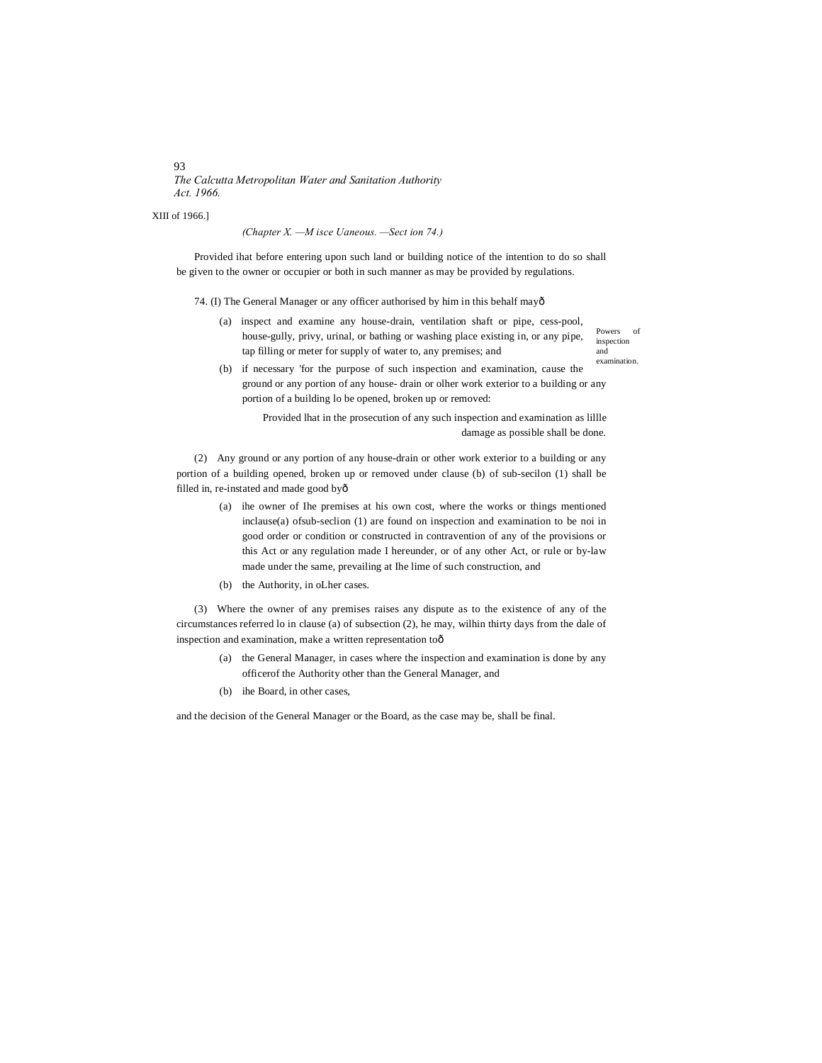*The Calcutta Metropolitan Water and Sanitation Authority Act. 1966.*

XIII of 1966.]

*(Chapter X. —M isce Uaneous. —Sect ion 74.)*

Provided ihat before entering upon such land or building notice of the intention to do so shall be given to the owner or occupier or both in such manner as may be provided by regulations.

74. (I) The General Manager or any officer authorised by him in this behalf mayô

(a) inspect and examine any house-drain, ventilation shaft or pipe, cess-pool, house-gully, privy, urinal, or bathing or washing place existing in, or any pipe, tap filling or meter for supply of water to, any premises; and

Powers of inspection and examination.

(b) if necessary 'for the purpose of such inspection and examination, cause the ground or any portion of any house- drain or olher work exterior to a building or any portion of a building lo be opened, broken up or removed:

> Provided lhat in the prosecution of any such inspection and examination as lillle damage as possible shall be done.

(2) Any ground or any portion of any house-drain or other work exterior to a building or any portion of a building opened, broken up or removed under clause (b) of sub-secilon (1) shall be filled in, re-instated and made good by—

- (a) ihe owner of Ihe premises at his own cost, where the works or things mentioned inclause(a) ofsub-seclion (1) are found on inspection and examination to be noi in good order or condition or constructed in contravention of any of the provisions or this Act or any regulation made I hereunder, or of any other Act, or rule or by-law made under the same, prevailing at Ihe lime of such construction, and
- (b) the Authority, in oLher cases.

(3) Where the owner of any premises raises any dispute as to the existence of any of the circumstances referred lo in clause (a) of subsection (2), he may, wilhin thirty days from the dale of inspection and examination, make a written representation toô

- (a) the General Manager, in cases where the inspection and examination is done by any officerof the Authority other than the General Manager, and
- (b) ihe Board, in other cases,

and the decision of the General Manager or the Board, as the case may be, shall be final.

93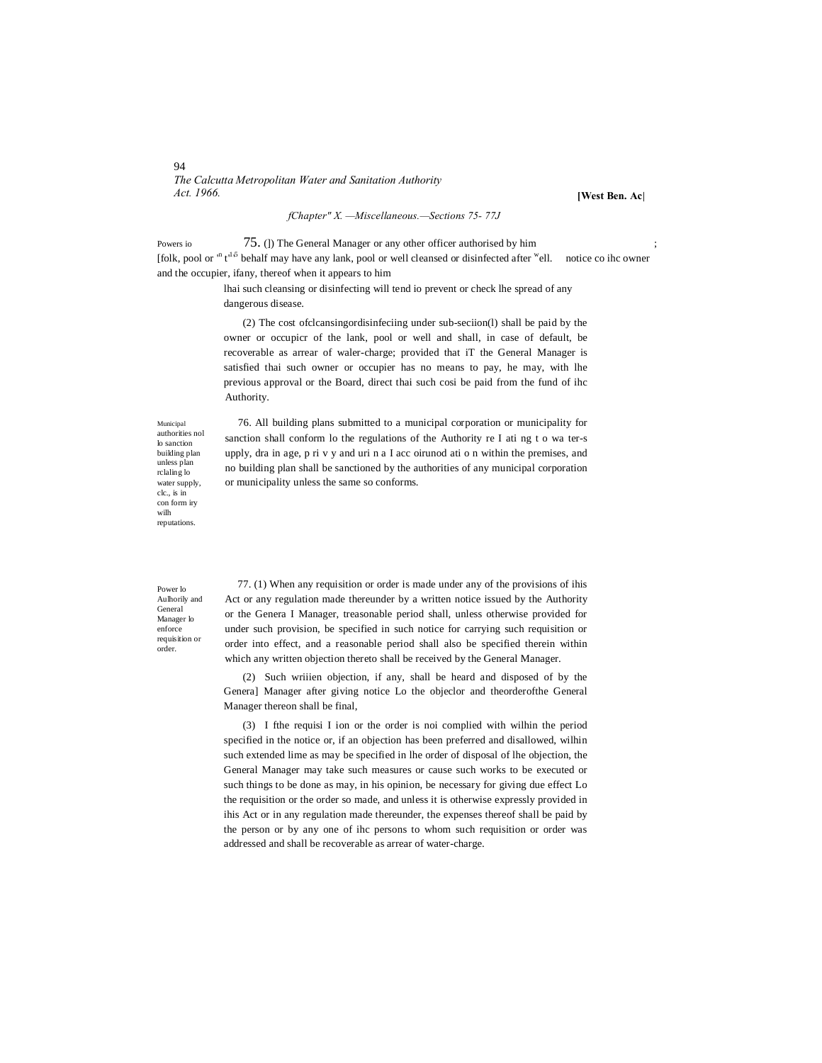#### 94 *The Calcutta Metropolitan Water and Sanitation Authority Act. 1966.*

**[West Ben. Ac|**

Powers io 75. (J) The General Manager or any other officer authorised by him [folk, pool or <sup>in</sup> t<sup>15</sup> behalf may have any lank, pool or well cleansed or disinfected after <sup>w</sup>ell. notice co ihc owner and the occupier, ifany, thereof when it appears to him

> lhai such cleansing or disinfecting will tend io prevent or check lhe spread of any dangerous disease.

*fChapter" X. —Miscellaneous.—Sections 75- 77J*

(2) The cost ofclcansingordisinfeciing under sub-seciion(l) shall be paid by the owner or occupicr of the lank, pool or well and shall, in case of default, be recoverable as arrear of waler-charge; provided that iT the General Manager is satisfied thai such owner or occupier has no means to pay, he may, with lhe previous approval or the Board, direct thai such cosi be paid from the fund of ihc Authority.

Municipal authorities nol lo sanction building plan unless plan rclaling lo water supply, clc., is in con form iry wilh reputations.

76. All building plans submitted to a municipal corporation or municipality for sanction shall conform lo the regulations of the Authority re I ati ng t o wa ter-s upply, dra in age, p ri v y and uri n a I acc oirunod ati o n within the premises, and no building plan shall be sanctioned by the authorities of any municipal corporation or municipality unless the same so conforms.

Power lo Aulhorily and General Manager lo enforce requisition or order.

77. (1) When any requisition or order is made under any of the provisions of ihis Act or any regulation made thereunder by a written notice issued by the Authority or the Genera I Manager, treasonable period shall, unless otherwise provided for under such provision, be specified in such notice for carrying such requisition or order into effect, and a reasonable period shall also be specified therein within which any written objection thereto shall be received by the General Manager.

(2) Such wriiien objection, if any, shall be heard and disposed of by the Genera] Manager after giving notice Lo the objeclor and theorderofthe General Manager thereon shall be final,

(3) I fthe requisi I ion or the order is noi complied with wilhin the period specified in the notice or, if an objection has been preferred and disallowed, wilhin such extended lime as may be specified in lhe order of disposal of lhe objection, the General Manager may take such measures or cause such works to be executed or such things to be done as may, in his opinion, be necessary for giving due effect Lo the requisition or the order so made, and unless it is otherwise expressly provided in ihis Act or in any regulation made thereunder, the expenses thereof shall be paid by the person or by any one of ihc persons to whom such requisition or order was addressed and shall be recoverable as arrear of water-charge.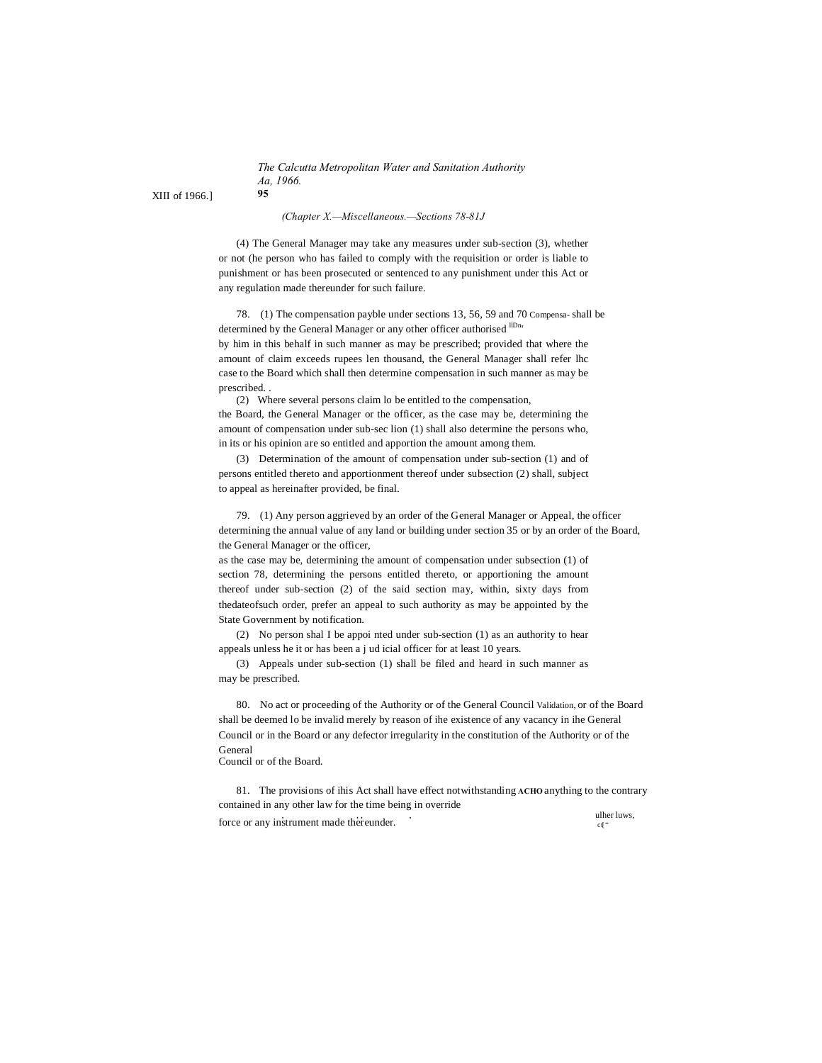*The Calcutta Metropolitan Water and Sanitation Authority Aa, 1966.*

XIII of 1966.] **95**

*(Chapter X.—Miscellaneous.—Sections 78-81J*

(4) The General Manager may take any measures under sub-section (3), whether or not (he person who has failed to comply with the requisition or order is liable to punishment or has been prosecuted or sentenced to any punishment under this Act or any regulation made thereunder for such failure.

78. (1) The compensation payble under sections 13, 56, 59 and 70 Compensa- shall be determined by the General Manager or any other officer authorised lDn, by him in this behalf in such manner as may be prescribed; provided that where the amount of claim exceeds rupees len thousand, the General Manager shall refer lhc case to the Board which shall then determine compensation in such manner as may be prescribed. .

(2) Where several persons claim lo be entitled to the compensation, the Board, the General Manager or the officer, as the case may be, determining the amount of compensation under sub-sec lion (1) shall also determine the persons who, in its or his opinion are so entitled and apportion the amount among them.

(3) Determination of the amount of compensation under sub-section (1) and of persons entitled thereto and apportionment thereof under subsection (2) shall, subject to appeal as hereinafter provided, be final.

79. (1) Any person aggrieved by an order of the General Manager or Appeal, the officer determining the annual value of any land or building under section 35 or by an order of the Board, the General Manager or the officer,

as the case may be, determining the amount of compensation under subsection (1) of section 78, determining the persons entitled thereto, or apportioning the amount thereof under sub-section (2) of the said section may, within, sixty days from thedateofsuch order, prefer an appeal to such authority as may be appointed by the State Government by notification.

(2) No person shal I be appoi nted under sub-section (1) as an authority to hear appeals unless he it or has been a j ud icial officer for at least 10 years.

(3) Appeals under sub-section (1) shall be filed and heard in such manner as may be prescribed.

80. No act or proceeding of the Authority or of the General Council Validation, or of the Board shall be deemed lo be invalid merely by reason of ihe existence of any vacancy in ihe General Council or in the Board or any defector irregularity in the constitution of the Authority or of the General

Council or of the Board.

81. The provisions of ihis Act shall have effect notwithstanding **ACHO** anything to the contrary contained in any other law for the time being in override  $\frac{1}{2}$  ,  $\frac{1}{2}$  and  $\frac{1}{2}$  and  $\frac{1}{2}$  and  $\frac{1}{2}$  and  $\frac{1}{2}$  current made thereunder.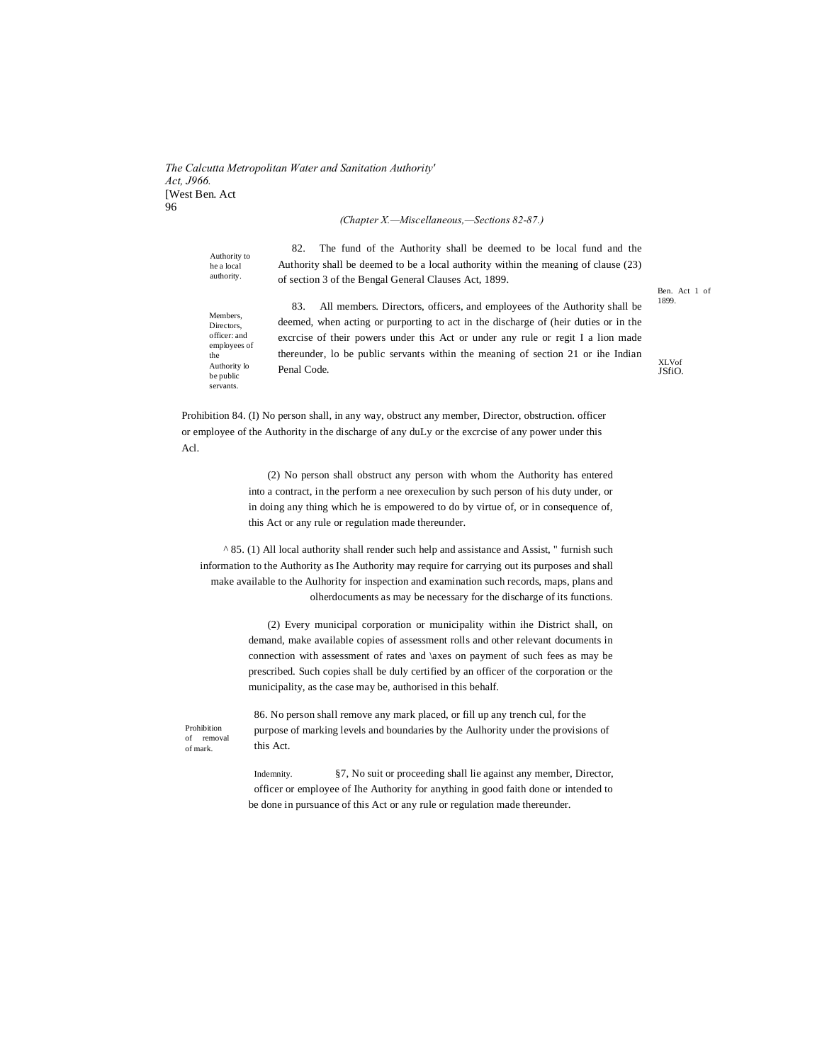*The Calcutta Metropolitan Water and Sanitation Authority' Act, J966.* [West Ben. Act 96

*(Chapter X.—Miscellaneous,—Sections 82-87.)*

Authority to he a local authority. 82. The fund of the Authority shall be deemed to be local fund and the Authority shall be deemed to be a local authority within the meaning of clause (23) of section 3 of the Bengal General Clauses Act, 1899.

Members, Directors, officer: and employees of the Authority lo be public servants.

83. All members. Directors, officers, and employees of the Authority shall be deemed, when acting or purporting to act in the discharge of (heir duties or in the excrcise of their powers under this Act or under any rule or regit I a lion made thereunder, lo be public servants within the meaning of section 21 or ihe Indian Penal Code.

Ben. Act 1 of 1899.

XLVof JSfiO.

Prohibition 84. (I) No person shall, in any way, obstruct any member, Director, obstruction. officer or employee of the Authority in the discharge of any duLy or the excrcise of any power under this Acl.

> (2) No person shall obstruct any person with whom the Authority has entered into a contract, in the perform a nee orexeculion by such person of his duty under, or in doing any thing which he is empowered to do by virtue of, or in consequence of, this Act or any rule or regulation made thereunder.

 $^{\wedge}$  85. (1) All local authority shall render such help and assistance and Assist, " furnish such information to the Authority as Ihe Authority may require for carrying out its purposes and shall make available to the Aulhority for inspection and examination such records, maps, plans and olherdocuments as may be necessary for the discharge of its functions.

> (2) Every municipal corporation or municipality within ihe District shall, on demand, make available copies of assessment rolls and other relevant documents in connection with assessment of rates and \axes on payment of such fees as may be prescribed. Such copies shall be duly certified by an officer of the corporation or the municipality, as the case may be, authorised in this behalf.

Prohibition of removal of mark.

86. No person shall remove any mark placed, or fill up any trench cul, for the purpose of marking levels and boundaries by the Aulhority under the provisions of this Act.

Indemnity. §7, No suit or proceeding shall lie against any member, Director, officer or employee of Ihe Authority for anything in good faith done or intended to be done in pursuance of this Act or any rule or regulation made thereunder.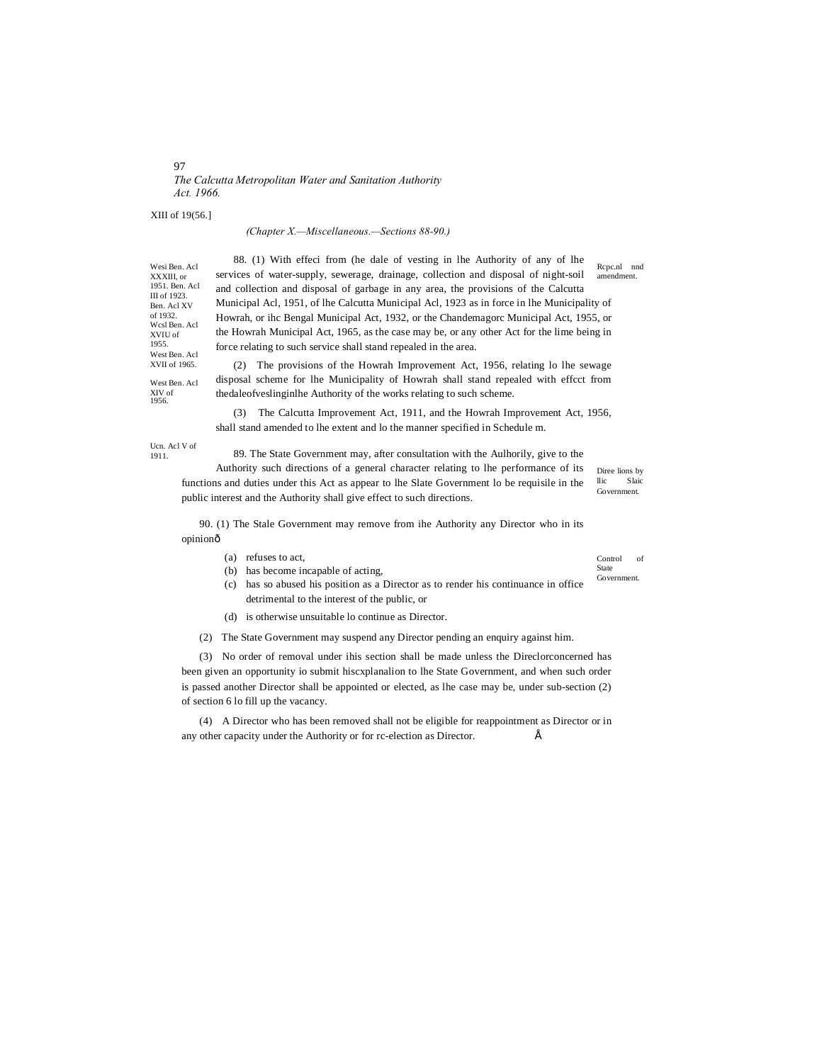#### 97 *The Calcutta Metropolitan Water and Sanitation Authority Act. 1966.*

XIII of 19(56.]

XXXIII, or

III of 1923.

of 1932.

XVIU of 1955.

#### *(Chapter X.—Miscellaneous.—Sections 88-90.)*

Wesi Ben. Acl 1951. Ben. Acl Ben. Acl XV Wcsl Ben. Acl West Ben. Acl XVII of 1965. 88. (1) With effeci from (he dale of vesting in lhe Authority of any of lhe services of water-supply, sewerage, drainage, collection and disposal of night-soil and collection and disposal of garbage in any area, the provisions of the Calcutta Municipal Acl, 1951, of lhe Calcutta Municipal Acl, 1923 as in force in lhe Municipality of Howrah, or ihc Bengal Municipal Act, 1932, or the Chandemagorc Municipal Act, 1955, or the Howrah Municipal Act, 1965, as the case may be, or any other Act for the lime being in force relating to such service shall stand repealed in the area.

West Ben. Acl XIV of 1956.

(2) The provisions of the Howrah Improvement Act, 1956, relating lo lhe sewage disposal scheme for lhe Municipality of Howrah shall stand repealed with effcct from thedaleofveslinginlhe Authority of the works relating to such scheme.

(3) The Calcutta Improvement Act, 1911, and the Howrah Improvement Act, 1956, shall stand amended to lhe extent and lo the manner specified in Schedule m.

Ucn. Acl V of 1911.

89. The State Government may, after consultation with the Aulhorily, give to the

Diree lions by llic Slaic Government. Authority such directions of a general character relating to lhe performance of its functions and duties under this Act as appear to lhe Slate Government lo be requisile in the public interest and the Authority shall give effect to such directions.

90. (1) The Stale Government may remove from ihe Authority any Director who in its opinionô

- (a) refuses to act,
- (b) has become incapable of acting,

(c) has so abused his position as a Director as to render his continuance in office detrimental to the interest of the public, or

(d) is otherwise unsuitable lo continue as Director.

(2) The State Government may suspend any Director pending an enquiry against him.

(3) No order of removal under ihis section shall be made unless the Direclorconcerned has been given an opportunity io submit hiscxplanalion to lhe State Government, and when such order is passed another Director shall be appointed or elected, as lhe case may be, under sub-section (2) of section 6 lo fill up the vacancy.

(4) A Director who has been removed shall not be eligible for reappointment as Director or in any other capacity under the Authority or for rc-election as Director. •

Control of State

Rcpc.nl nnd amendment.

**Government**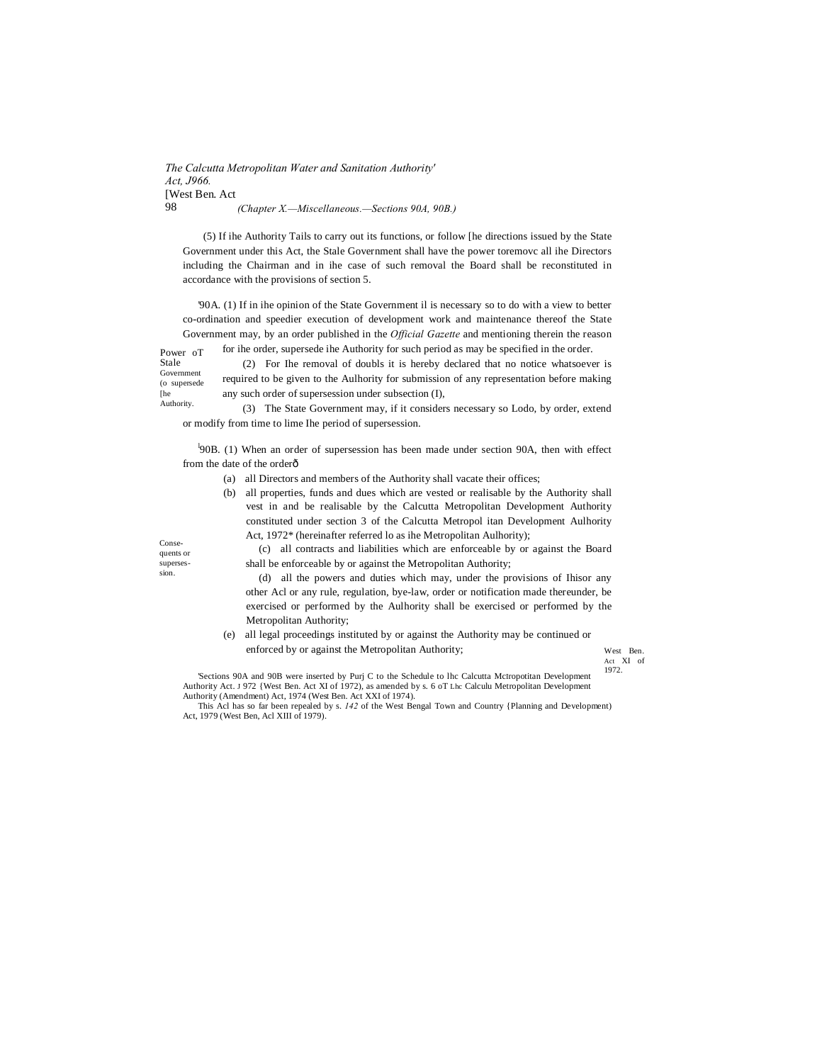*The Calcutta Metropolitan Water and Sanitation Authority' Act, J966.* [West Ben. Act 98 *(Chapter X.—Miscellaneous.—Sections 90A, 90B.)*

(5) If ihe Authority Tails to carry out its functions, or follow [he directions issued by the State Government under this Act, the Stale Government shall have the power toremovc all ihe Directors including the Chairman and in ihe case of such removal the Board shall be reconstituted in accordance with the provisions of section 5.

'90A. (1) If in ihe opinion of the State Government il is necessary so to do with a view to better co-ordination and speedier execution of development work and maintenance thereof the State Government may, by an order published in the *Official Gazette* and mentioning therein the reason

Power oT Stale Government for ihe order, supersede ihe Authority for such period as may be specified in the order. (2) For Ihe removal of doubls it is hereby declared that no notice whatsoever is

(o supersede required to be given to the Aulhority for submission of any representation before making any such order of supersession under subsection (I),

**Authority** (3) The State Government may, if it considers necessary so Lodo, by order, extend or modify from time to lime Ihe period of supersession.

<sup>1</sup>90B. (1) When an order of supersession has been made under section 90A, then with effect from the date of the orderô

- (a) all Directors and members of the Authority shall vacate their offices;
- (b) all properties, funds and dues which are vested or realisable by the Authority shall vest in and be realisable by the Calcutta Metropolitan Development Authority constituted under section 3 of the Calcutta Metropol itan Development Aulhority Act, 1972\* (hereinafter referred lo as ihe Metropolitan Aulhority);

(c) all contracts and liabilities which are enforceable by or against the Board shall be enforceable by or against the Metropolitan Authority;

(d) all the powers and duties which may, under the provisions of Ihisor any other Acl or any rule, regulation, bye-law, order or notification made thereunder, be exercised or performed by the Aulhority shall be exercised or performed by the Metropolitan Authority;

(e) all legal proceedings instituted by or against the Authority may be continued or enforced by or against the Metropolitan Authority;

West Ben. Act XI of 1972.

'Sections 90A and 90B were inserted by Purj C to the Schedule to lhc Calcutta McIropotitan Development Authority Act. J 972 {West Ben. Act XI of 1972), as amended by s. 6 oT Lhc Calculu Metropolitan Development Authority (Amendment) Act, 1974 (West Ben. Act XXI of 1974).

This Acl has so far been repealed by s. *142* of the West Bengal Town and Country {Planning and Development) Act, 1979 (West Ben, Acl XIII of 1979).

Consequents or supersession.

[he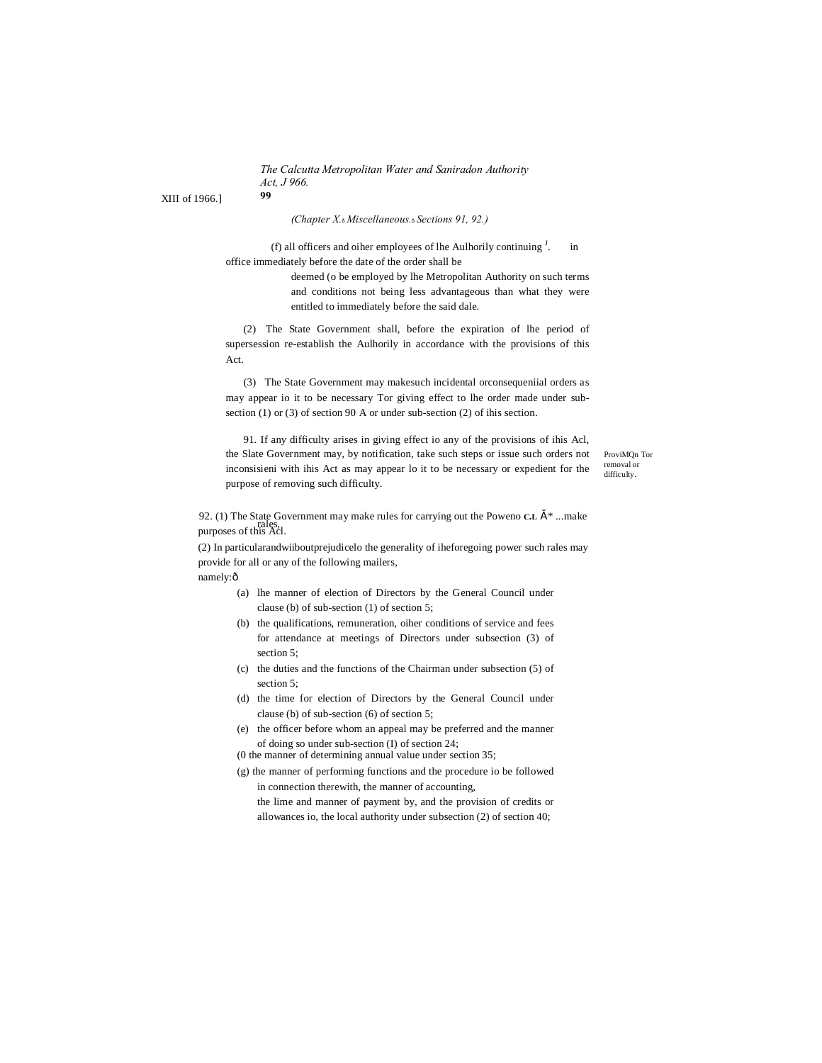*The Calcutta Metropolitan Water and Saniradon Authority Act, J 966.* **99**

XIII of 1966.]

*(Chapter X.*—*Miscellaneous.*—*Sections 91, 92.)*

(f) all officers and oiher employees of lhe Aulhorily continuing  $<sup>J</sup>$ .</sup> . in office immediately before the date of the order shall be

> deemed (o be employed by lhe Metropolitan Authority on such terms and conditions not being less advantageous than what they were entitled to immediately before the said dale.

(2) The State Government shall, before the expiration of lhe period of supersession re-establish the Aulhorily in accordance with the provisions of this Act.

(3) The State Government may makesuch incidental orconsequeniial orders as may appear io it to be necessary Tor giving effect to lhe order made under subsection (1) or (3) of section 90 A or under sub-section (2) of ihis section.

91. If any difficulty arises in giving effect io any of the provisions of ihis Acl, the Slate Government may, by notification, take such steps or issue such orders not inconsisieni with ihis Act as may appear lo it to be necessary or expedient for the purpose of removing such difficulty.

ProviMQn Tor removal or difficulty.

92. (1) The State Government may make rules for carrying out the Poweno  $CL \times$  \* ...make rales,<br>purposes of this Acl.

(2) In particularandwiiboutprejudicelo the generality of iheforegoing power such rales may provide for all or any of the following mailers,

namely:ô

- (a) lhe manner of election of Directors by the General Council under clause (b) of sub-section (1) of section 5;
- (b) the qualifications, remuneration, oiher conditions of service and fees for attendance at meetings of Directors under subsection (3) of section 5:
- (c) the duties and the functions of the Chairman under subsection (5) of section 5:
- (d) the time for election of Directors by the General Council under clause (b) of sub-section (6) of section 5;
- (e) the officer before whom an appeal may be preferred and the manner of doing so under sub-section (I) of section 24;
- (0 the manner of determining annual value under section 35;
- (g) the manner of performing functions and the procedure io be followed in connection therewith, the manner of accounting,

the lime and manner of payment by, and the provision of credits or allowances io, the local authority under subsection (2) of section 40;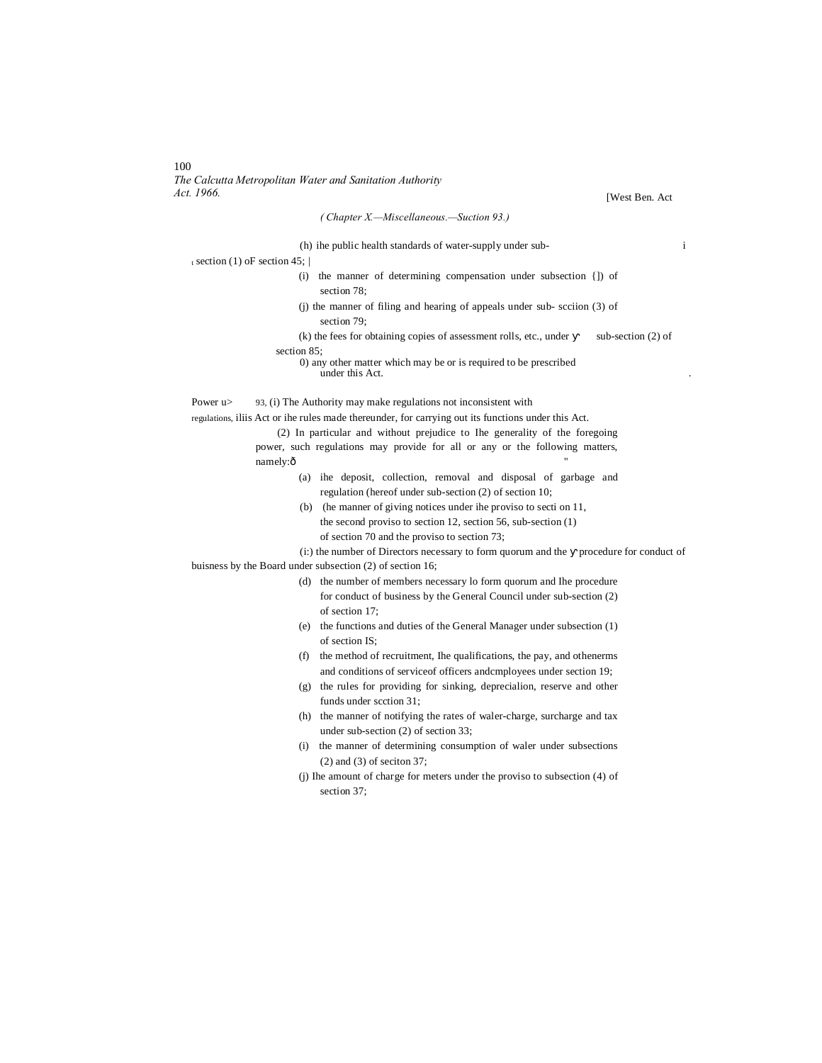100 *The Calcutta Metropolitan Water and Sanitation Authority*

[West Ben. Act

| (Chapter X.-Miscellaneous.-Suction 93.)                                                             |  |
|-----------------------------------------------------------------------------------------------------|--|
| $\mathbf{i}$<br>(h) ihe public health standards of water-supply under sub-                          |  |
| $_{t}$ section (1) oF section 45;                                                                   |  |
| the manner of determining compensation under subsection {]) of<br>(i)<br>section 78:                |  |
| (j) the manner of filing and hearing of appeals under sub-scciion (3) of<br>section 79:             |  |
| (k) the fees for obtaining copies of assessment rolls, etc., under<br>sub-section $(2)$ of          |  |
| section 85;                                                                                         |  |
| 0) any other matter which may be or is required to be prescribed<br>under this Act.                 |  |
| Power $u$<br>93, (i) The Authority may make regulations not inconsistent with                       |  |
| regulations, iliis Act or ihe rules made thereunder, for carrying out its functions under this Act. |  |
| (2) In particular and without prejudice to Ihe generality of the foregoing                          |  |
| power, such regulations may provide for all or any or the following matters,                        |  |
| namely:ô                                                                                            |  |
| (a) ihe deposit, collection, removal and disposal of garbage and                                    |  |
| regulation (hereof under sub-section (2) of section 10;                                             |  |
| (b) (he manner of giving notices under ihe proviso to section 11,                                   |  |
| the second proviso to section 12, section 56, sub-section $(1)$                                     |  |
| of section 70 and the proviso to section 73;                                                        |  |
| (i:) the number of Directors necessary to form quorum and the procedure for conduct of              |  |
| buisness by the Board under subsection (2) of section 16;                                           |  |
| (d) the number of members necessary lo form quorum and Ihe procedure                                |  |
| for conduct of business by the General Council under sub-section (2)                                |  |
| of section 17;                                                                                      |  |
| (e) the functions and duties of the General Manager under subsection (1)                            |  |
| of section IS;                                                                                      |  |
| the method of recruitment, Ihe qualifications, the pay, and other herms<br>(f)                      |  |
| and conditions of serviceof officers and mployees under section 19;                                 |  |
| (g) the rules for providing for sinking, deprecialion, reserve and other                            |  |
| funds under section 31;                                                                             |  |

- (h) the manner of notifying the rates of waler-charge, surcharge and tax under sub-section (2) of section 33;
- (i) the manner of determining consumption of waler under subsections (2) and (3) of seciton 37;
- (j) Ihe amount of charge for meters under the proviso to subsection (4) of section 37;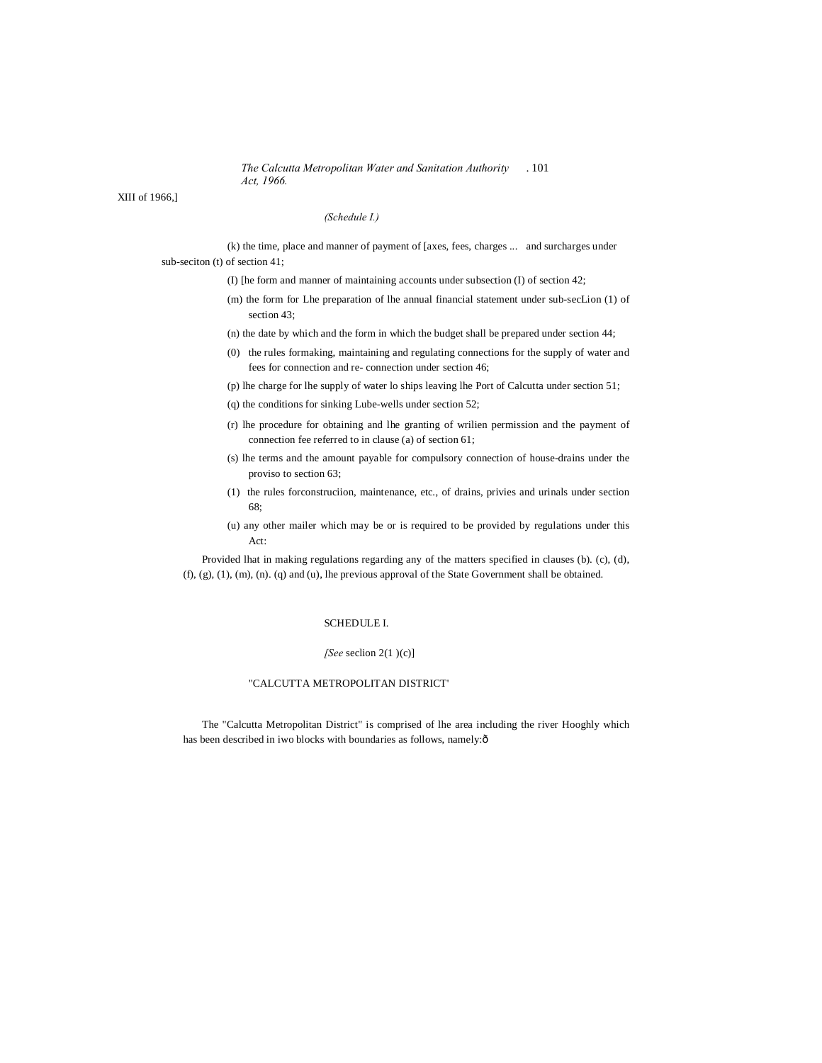*The Calcutta Metropolitan Water and Sanitation Authority* . 101 *Act, 1966.*

XIII of 1966,]

#### *(Schedule I.)*

(k) the time, place and manner of payment of [axes, fees, charges ... and surcharges under sub-seciton (t) of section 41;

(I) [he form and manner of maintaining accounts under subsection (I) of section 42;

(m) the form for Lhe preparation of lhe annual financial statement under sub-secLion (1) of section 43;

(n) the date by which and the form in which the budget shall be prepared under section 44;

- (0) the rules formaking, maintaining and regulating connections for the supply of water and fees for connection and re- connection under section 46;
- (p) lhe charge for lhe supply of water lo ships leaving lhe Port of Calcutta under section 51;
- (q) the conditions for sinking Lube-wells under section 52;
- (r) lhe procedure for obtaining and lhe granting of wrilien permission and the payment of connection fee referred to in clause (a) of section 61;
- (s) lhe terms and the amount payable for compulsory connection of house-drains under the proviso to section 63;
- (1) the rules forconstruciion, maintenance, etc., of drains, privies and urinals under section 68;
- (u) any other mailer which may be or is required to be provided by regulations under this Act:

Provided lhat in making regulations regarding any of the matters specified in clauses (b). (c), (d), (f), (g), (1), (m), (n). (q) and (u), lhe previous approval of the State Government shall be obtained.

#### SCHEDULE I.

#### *[See* seclion 2(1 )(c)]

#### "CALCUTTA METROPOLITAN DISTRICT'

The "Calcutta Metropolitan District" is comprised of lhe area including the river Hooghly which has been described in iwo blocks with boundaries as follows, namely: $\hat{o}$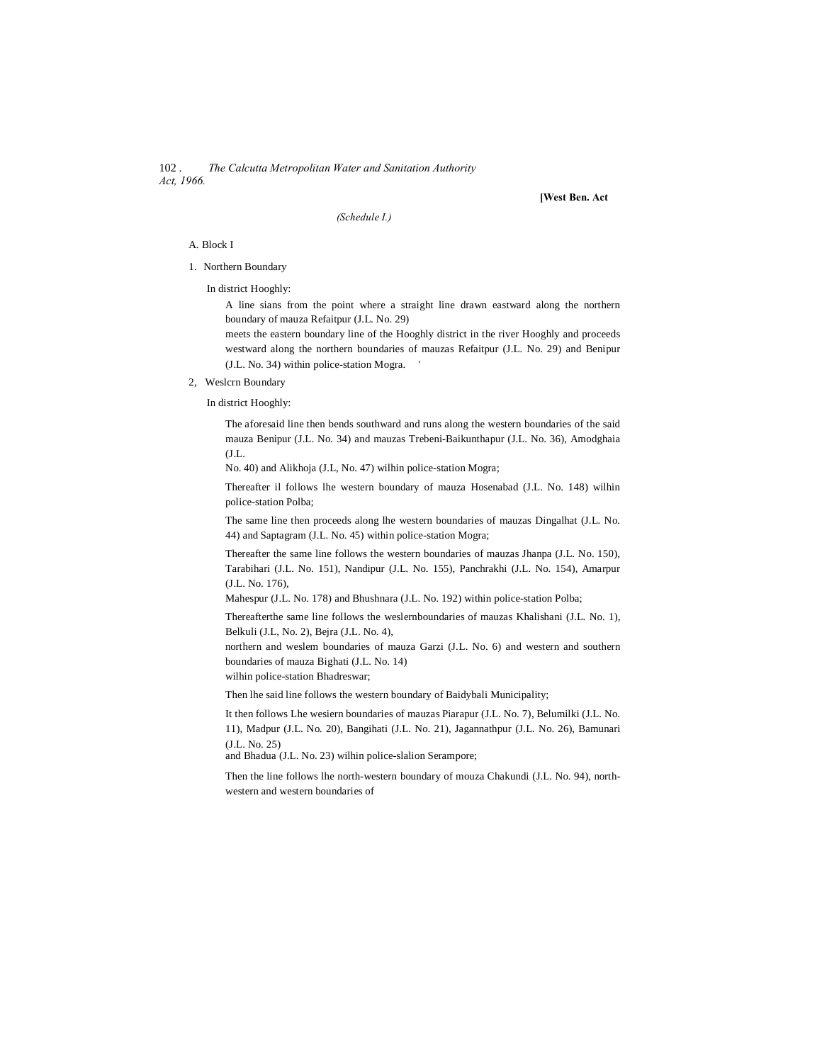102 . *The Calcutta Metropolitan Water and Sanitation Authority Act, 1966.*

**[West Ben. Act**

*(Schedule I.)*

#### A. Block I

- 1. Northern Boundary
	- In district Hooghly:

A line sians from the point where a straight line drawn eastward along the northern boundary of mauza Refaitpur (J.L. No. 29)

meets the eastern boundary line of the Hooghly district in the river Hooghly and proceeds westward along the northern boundaries of mauzas Refaitpur (J.L. No. 29) and Benipur (J.L. No. 34) within police-station Mogra. '

2, Weslcrn Boundary

In district Hooghly:

The aforesaid line then bends southward and runs along the western boundaries of the said mauza Benipur (J.L. No. 34) and mauzas Trebeni-Baikunthapur (J.L. No. 36), Amodghaia (J.L.

No. 40) and Alikhoja (J.L, No. 47) wilhin police-station Mogra;

Thereafter il follows lhe western boundary of mauza Hosenabad (J.L. No. 148) wilhin police-station Polba;

The same line then proceeds along lhe western boundaries of mauzas Dingalhat (J.L. No. 44) and Saptagram (J.L. No. 45) within police-station Mogra;

Thereafter the same line follows the western boundaries of mauzas Jhanpa (J.L. No. 150), Tarabihari (J.L. No. 151), Nandipur (J.L. No. 155), Panchrakhi (J.L. No. 154), Amarpur (J.L. No. 176),

Mahespur (J.L. No. 178) and Bhushnara (J.L. No. 192) within police-station Polba;

Thereafterthe same line follows the weslernboundaries of mauzas Khalishani (J.L. No. 1), Belkuli (J.L, No. 2), Bejra (J.L. No. 4),

northern and weslem boundaries of mauza Garzi (J.L. No. 6) and western and southern boundaries of mauza Bighati (J.L. No. 14)

wilhin police-station Bhadreswar;

Then lhe said line follows the western boundary of Baidybali Municipality;

It then follows Lhe wesiern boundaries of mauzas Piarapur (J.L. No. 7), Belumilki (J.L. No. 11), Madpur (J.L. No. 20), Bangihati (J.L. No. 21), Jagannathpur (J.L. No. 26), Bamunari (J.L. No. 25)

and Bhadua (J.L. No. 23) wilhin police-slalion Serampore;

Then the line follows lhe north-western boundary of mouza Chakundi (J.L. No. 94), northwestern and western boundaries of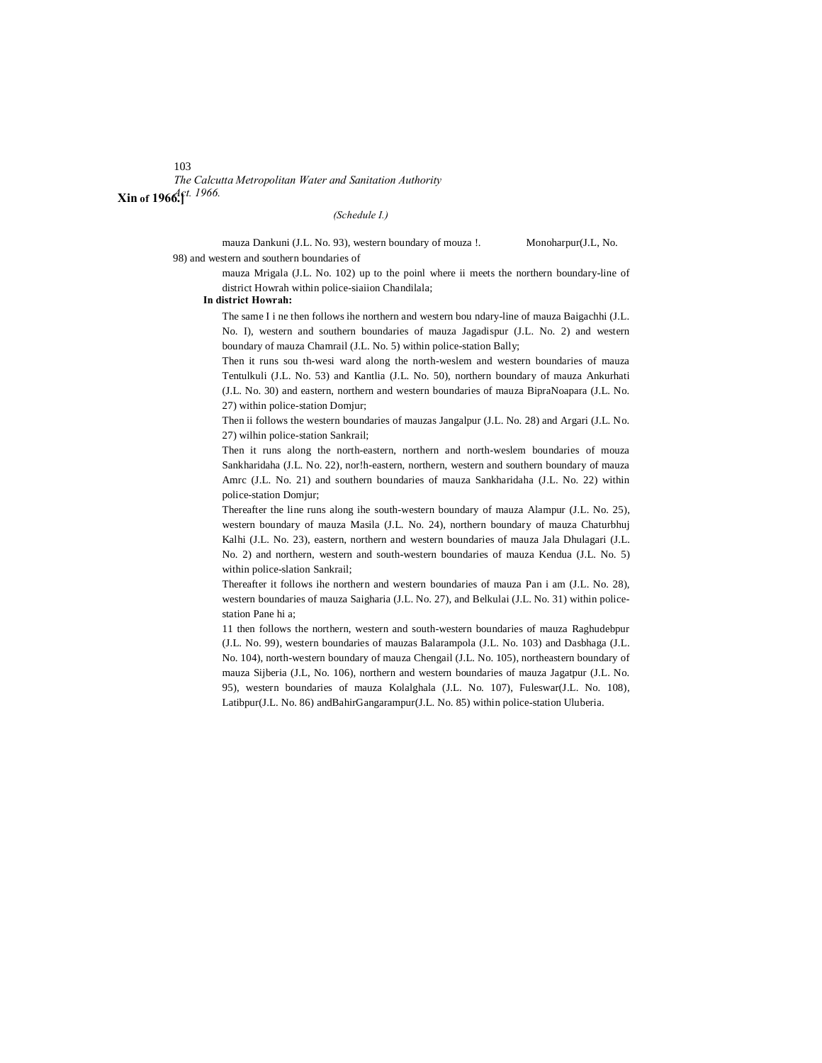103

*The Calcutta Metropolitan Water and Sanitation Authority Act. 1966.* **Xin of 1966.]**

#### *(Schedule I.)*

mauza Dankuni (J.L. No. 93), western boundary of mouza !. Monoharpur(J.L, No. 98) and western and southern boundaries of

> mauza Mrigala (J.L. No. 102) up to the poinl where ii meets the northern boundary-line of district Howrah within police-siaiion Chandilala;

#### **In district Howrah:**

The same I i ne then follows ihe northern and western bou ndary-line of mauza Baigachhi (J.L. No. I), western and southern boundaries of mauza Jagadispur (J.L. No. 2) and western boundary of mauza Chamrail (J.L. No. 5) within police-station Bally;

Then it runs sou th-wesi ward along the north-weslem and western boundaries of mauza Tentulkuli (J.L. No. 53) and Kantlia (J.L. No. 50), northern boundary of mauza Ankurhati (J.L. No. 30) and eastern, northern and western boundaries of mauza BipraNoapara (J.L. No. 27) within police-station Domjur;

Then ii follows the western boundaries of mauzas Jangalpur (J.L. No. 28) and Argari (J.L. No. 27) wilhin police-station Sankrail;

Then it runs along the north-eastern, northern and north-weslem boundaries of mouza Sankharidaha (J.L. No. 22), nor!h-eastern, northern, western and southern boundary of mauza Amrc (J.L. No. 21) and southern boundaries of mauza Sankharidaha (J.L. No. 22) within police-station Domjur;

Thereafter the line runs along ihe south-western boundary of mauza Alampur (J.L. No. 25), western boundary of mauza Masila (J.L. No. 24), northern boundary of mauza Chaturbhuj Kalhi (J.L. No. 23), eastern, northern and western boundaries of mauza Jala Dhulagari (J.L. No. 2) and northern, western and south-western boundaries of mauza Kendua (J.L. No. 5) within police-slation Sankrail;

Thereafter it follows ihe northern and western boundaries of mauza Pan i am (J.L. No. 28), western boundaries of mauza Saigharia (J.L. No. 27), and Belkulai (J.L. No. 31) within policestation Pane hi a;

11 then follows the northern, western and south-western boundaries of mauza Raghudebpur (J.L. No. 99), western boundaries of mauzas Balarampola (J.L. No. 103) and Dasbhaga (J.L. No. 104), north-western boundary of mauza Chengail (J.L. No. 105), northeastern boundary of mauza Sijberia (J.L, No. 106), northern and western boundaries of mauza Jagatpur (J.L. No. 95), western boundaries of mauza Kolalghala (J.L. No. 107), Fuleswar(J.L. No. 108), Latibpur(J.L. No. 86) andBahirGangarampur(J.L. No. 85) within police-station Uluberia.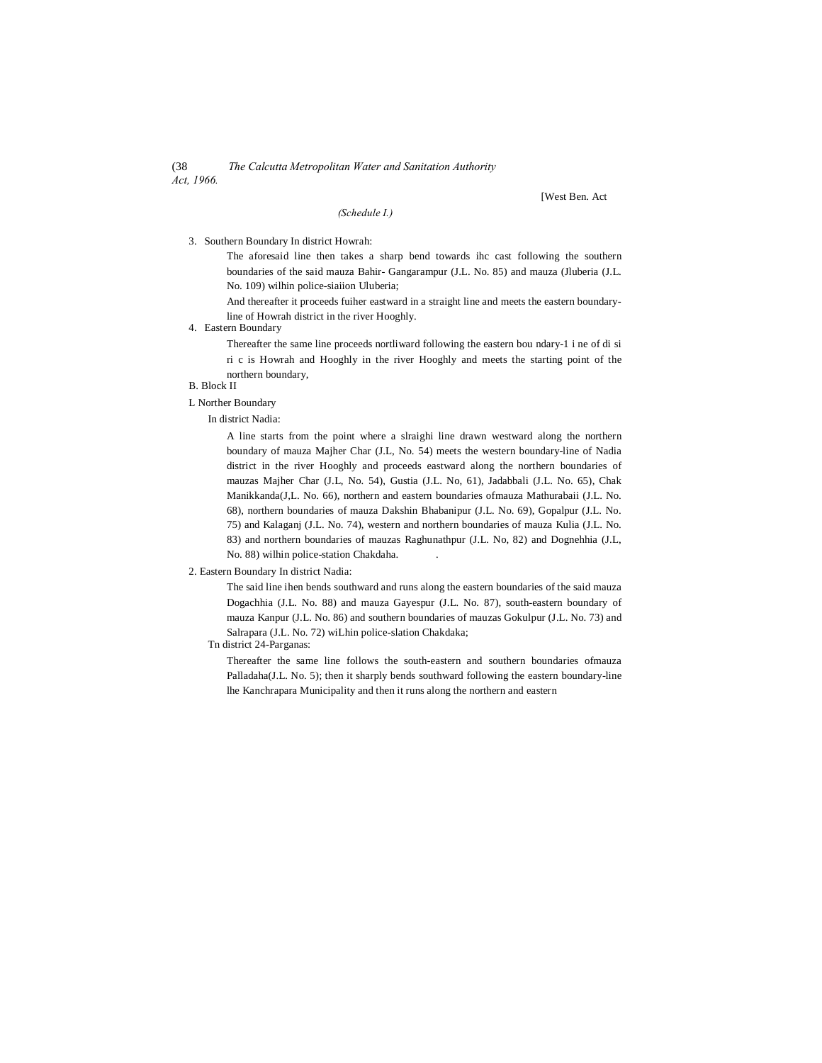(38 *The Calcutta Metropolitan Water and Sanitation Authority Act, 1966.*

*(Schedule I.)*

[West Ben. Act

#### 3. Southern Boundary In district Howrah:

The aforesaid line then takes a sharp bend towards ihc cast following the southern boundaries of the said mauza Bahir- Gangarampur (J.L. No. 85) and mauza (Jluberia (J.L. No. 109) wilhin police-siaiion Uluberia;

And thereafter it proceeds fuiher eastward in a straight line and meets the eastern boundaryline of Howrah district in the river Hooghly.

# 4. Eastern Boundary

Thereafter the same line proceeds nortliward following the eastern bou ndary-1 i ne of di si ri c is Howrah and Hooghly in the river Hooghly and meets the starting point of the northern boundary,

# B. Block II

# L Norther Boundary

In district Nadia:

A line starts from the point where a slraighi line drawn westward along the northern boundary of mauza Majher Char (J.L, No. 54) meets the western boundary-line of Nadia district in the river Hooghly and proceeds eastward along the northern boundaries of mauzas Majher Char (J.L, No. 54), Gustia (J.L. No, 61), Jadabbali (J.L. No. 65), Chak Manikkanda(J,L. No. 66), northern and eastern boundaries ofmauza Mathurabaii (J.L. No. 68), northern boundaries of mauza Dakshin Bhabanipur (J.L. No. 69), Gopalpur (J.L. No. 75) and Kalaganj (J.L. No. 74), western and northern boundaries of mauza Kulia (J.L. No. 83) and northern boundaries of mauzas Raghunathpur (J.L. No, 82) and Dognehhia (J.L, No. 88) wilhin police-station Chakdaha. .

#### 2. Eastern Boundary In district Nadia:

The said line ihen bends southward and runs along the eastern boundaries of the said mauza Dogachhia (J.L. No. 88) and mauza Gayespur (J.L. No. 87), south-eastern boundary of mauza Kanpur (J.L. No. 86) and southern boundaries of mauzas Gokulpur (J.L. No. 73) and Salrapara (J.L. No. 72) wiLhin police-slation Chakdaka;

#### Tn district 24-Parganas:

Thereafter the same line follows the south-eastern and southern boundaries ofmauza Palladaha(J.L. No. 5); then it sharply bends southward following the eastern boundary-line lhe Kanchrapara Municipality and then it runs along the northern and eastern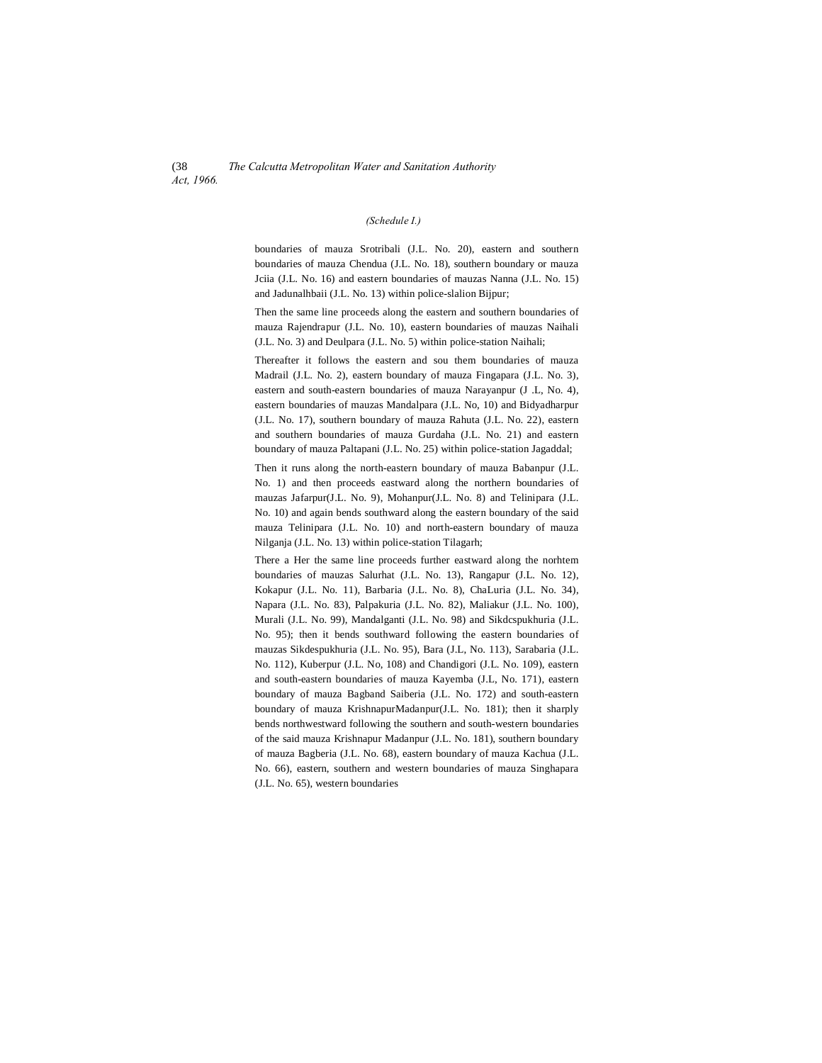#### *(Schedule I.)*

boundaries of mauza Srotribali (J.L. No. 20), eastern and southern boundaries of mauza Chendua (J.L. No. 18), southern boundary or mauza Jciia (J.L. No. 16) and eastern boundaries of mauzas Nanna (J.L. No. 15) and Jadunalhbaii (J.L. No. 13) within police-slalion Bijpur;

Then the same line proceeds along the eastern and southern boundaries of mauza Rajendrapur (J.L. No. 10), eastern boundaries of mauzas Naihali (J.L. No. 3) and Deulpara (J.L. No. 5) within police-station Naihali;

Thereafter it follows the eastern and sou them boundaries of mauza Madrail (J.L. No. 2), eastern boundary of mauza Fingapara (J.L. No. 3), eastern and south-eastern boundaries of mauza Narayanpur (J .L, No. 4), eastern boundaries of mauzas Mandalpara (J.L. No, 10) and Bidyadharpur (J.L. No. 17), southern boundary of mauza Rahuta (J.L. No. 22), eastern and southern boundaries of mauza Gurdaha (J.L. No. 21) and eastern boundary of mauza Paltapani (J.L. No. 25) within police-station Jagaddal;

Then it runs along the north-eastern boundary of mauza Babanpur (J.L. No. 1) and then proceeds eastward along the northern boundaries of mauzas Jafarpur(J.L. No. 9), Mohanpur(J.L. No. 8) and Telinipara (J.L. No. 10) and again bends southward along the eastern boundary of the said mauza Telinipara (J.L. No. 10) and north-eastern boundary of mauza Nilganja (J.L. No. 13) within police-station Tilagarh;

There a Her the same line proceeds further eastward along the norhtem boundaries of mauzas Salurhat (J.L. No. 13), Rangapur (J.L. No. 12), Kokapur (J.L. No. 11), Barbaria (J.L. No. 8), ChaLuria (J.L. No. 34), Napara (J.L. No. 83), Palpakuria (J.L. No. 82), Maliakur (J.L. No. 100), Murali (J.L. No. 99), Mandalganti (J.L. No. 98) and Sikdcspukhuria (J.L. No. 95); then it bends southward following the eastern boundaries of mauzas Sikdespukhuria (J.L. No. 95), Bara (J.L, No. 113), Sarabaria (J.L. No. 112), Kuberpur (J.L. No, 108) and Chandigori (J.L. No. 109), eastern and south-eastern boundaries of mauza Kayemba (J.L, No. 171), eastern boundary of mauza Bagband Saiberia (J.L. No. 172) and south-eastern boundary of mauza KrishnapurMadanpur(J.L. No. 181); then it sharply bends northwestward following the southern and south-western boundaries of the said mauza Krishnapur Madanpur (J.L. No. 181), southern boundary of mauza Bagberia (J.L. No. 68), eastern boundary of mauza Kachua (J.L. No. 66), eastern, southern and western boundaries of mauza Singhapara (J.L. No. 65), western boundaries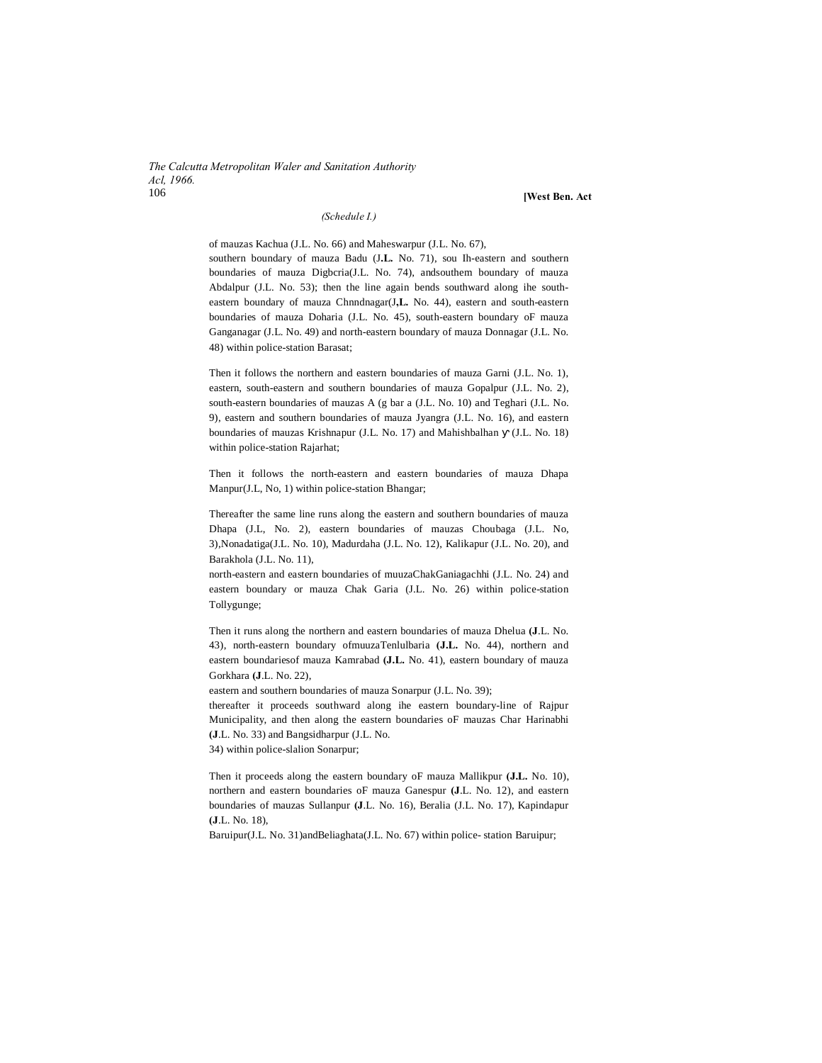*The Calcutta Metropolitan Waler and Sanitation Authority Acl, 1966.* 106 **[West Ben. Act**

#### *(Schedule I.)*

of mauzas Kachua (J.L. No. 66) and Maheswarpur (J.L. No. 67), southern boundary of mauza Badu (J**.L.** No. 71), sou Ih-eastern and southern boundaries of mauza Digbcria(J.L. No. 74), andsouthem boundary of mauza Abdalpur (J.L. No. 53); then the line again bends southward along ihe southeastern boundary of mauza Chnndnagar(J**,L.** No. 44), eastern and south-eastern boundaries of mauza Doharia (J.L. No. 45), south-eastern boundary oF mauza Ganganagar (J.L. No. 49) and north-eastern boundary of mauza Donnagar (J.L. No. 48) within police-station Barasat;

Then it follows the northern and eastern boundaries of mauza Garni (J.L. No. 1), eastern, south-eastern and southern boundaries of mauza Gopalpur (J.L. No. 2), south-eastern boundaries of mauzas A (g bar a (J.L. No. 10) and Teghari (J.L. No. 9), eastern and southern boundaries of mauza Jyangra (J.L. No. 16), and eastern boundaries of mauzas Krishnapur (J.L. No. 17) and Mahishbalhan (J.L. No. 18) within police-station Rajarhat;

Then it follows the north-eastern and eastern boundaries of mauza Dhapa Manpur(J.L, No, 1) within police-station Bhangar;

Thereafter the same line runs along the eastern and southern boundaries of mauza Dhapa (J.L, No. 2), eastern boundaries of mauzas Choubaga (J.L. No, 3),Nonadatiga(J.L. No. 10), Madurdaha (J.L. No. 12), Kalikapur (J.L. No. 20), and Barakhola (J.L. No. 11),

north-eastern and eastern boundaries of muuzaChakGaniagachhi (J.L. No. 24) and eastern boundary or mauza Chak Garia (J.L. No. 26) within police-station Tollygunge;

Then it runs along the northern and eastern boundaries of mauza Dhelua **(J**.L. No. 43), north-eastern boundary ofmuuzaTenlulbaria **(J.L.** No. 44), northern and eastern boundariesof mauza Kamrabad **(J.L.** No. 41), eastern boundary of mauza Gorkhara **(J**.L. No. 22),

eastern and southern boundaries of mauza Sonarpur (J.L. No. 39);

thereafter it proceeds southward along ihe eastern boundary-line of Rajpur Municipality, and then along the eastern boundaries oF mauzas Char Harinabhi **(J**.L. No. 33) and Bangsidharpur (J.L. No.

34) within police-slalion Sonarpur;

Then it proceeds along the eastern boundary oF mauza Mallikpur **(J.L.** No. 10), northern and eastern boundaries oF mauza Ganespur **(J**.L. No. 12), and eastern boundaries of mauzas Sullanpur **(J**.L. No. 16), Beralia (J.L. No. 17), Kapindapur **(J**.L. No. 18),

Baruipur(J.L. No. 31)andBeliaghata(J.L. No. 67) within police- station Baruipur;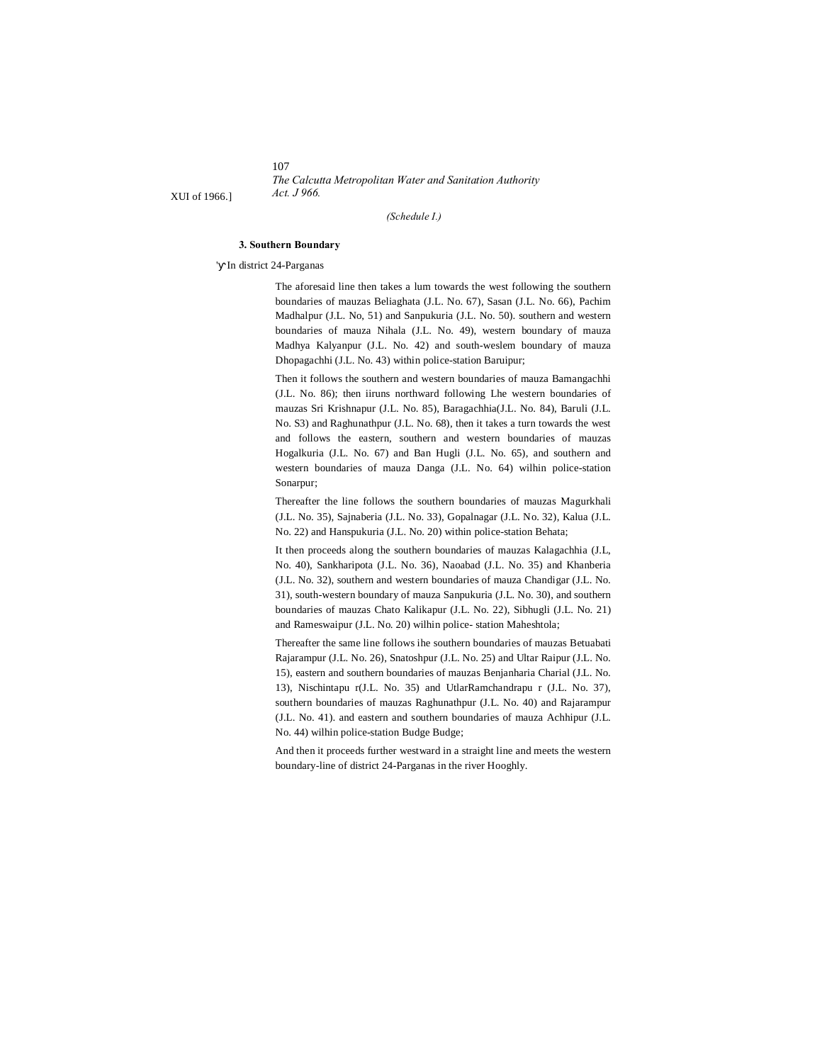107 *The Calcutta Metropolitan Water and Sanitation Authority*

XUI of 1966.] *Act. J 966.*

#### *(Schedule I.)*

#### **3. Southern Boundary**

' In district 24-Parganas

The aforesaid line then takes a lum towards the west following the southern boundaries of mauzas Beliaghata (J.L. No. 67), Sasan (J.L. No. 66), Pachim Madhalpur (J.L. No, 51) and Sanpukuria (J.L. No. 50). southern and western boundaries of mauza Nihala (J.L. No. 49), western boundary of mauza Madhya Kalyanpur (J.L. No. 42) and south-weslem boundary of mauza Dhopagachhi (J.L. No. 43) within police-station Baruipur;

Then it follows the southern and western boundaries of mauza Bamangachhi (J.L. No. 86); then iiruns northward following Lhe western boundaries of mauzas Sri Krishnapur (J.L. No. 85), Baragachhia(J.L. No. 84), Baruli (J.L. No. S3) and Raghunathpur (J.L. No. 68), then it takes a turn towards the west and follows the eastern, southern and western boundaries of mauzas Hogalkuria (J.L. No. 67) and Ban Hugli (J.L. No. 65), and southern and western boundaries of mauza Danga (J.L. No. 64) wilhin police-station Sonarpur;

Thereafter the line follows the southern boundaries of mauzas Magurkhali (J.L. No. 35), Sajnaberia (J.L. No. 33), Gopalnagar (J.L. No. 32), Kalua (J.L. No. 22) and Hanspukuria (J.L. No. 20) within police-station Behata;

It then proceeds along the southern boundaries of mauzas Kalagachhia (J.L, No. 40), Sankharipota (J.L. No. 36), Naoabad (J.L. No. 35) and Khanberia (J.L. No. 32), southern and western boundaries of mauza Chandigar (J.L. No. 31), south-western boundary of mauza Sanpukuria (J.L. No. 30), and southern boundaries of mauzas Chato Kalikapur (J.L. No. 22), Sibhugli (J.L. No. 21) and Rameswaipur (J.L. No. 20) wilhin police- station Maheshtola;

Thereafter the same line follows ihe southern boundaries of mauzas Betuabati Rajarampur (J.L. No. 26), Snatoshpur (J.L. No. 25) and Ultar Raipur (J.L. No. 15), eastern and southern boundaries of mauzas Benjanharia Charial (J.L. No. 13), Nischintapu r(J.L. No. 35) and UtlarRamchandrapu r (J.L. No. 37), southern boundaries of mauzas Raghunathpur (J.L. No. 40) and Rajarampur (J.L. No. 41). and eastern and southern boundaries of mauza Achhipur (J.L. No. 44) wilhin police-station Budge Budge;

And then it proceeds further westward in a straight line and meets the western boundary-line of district 24-Parganas in the river Hooghly.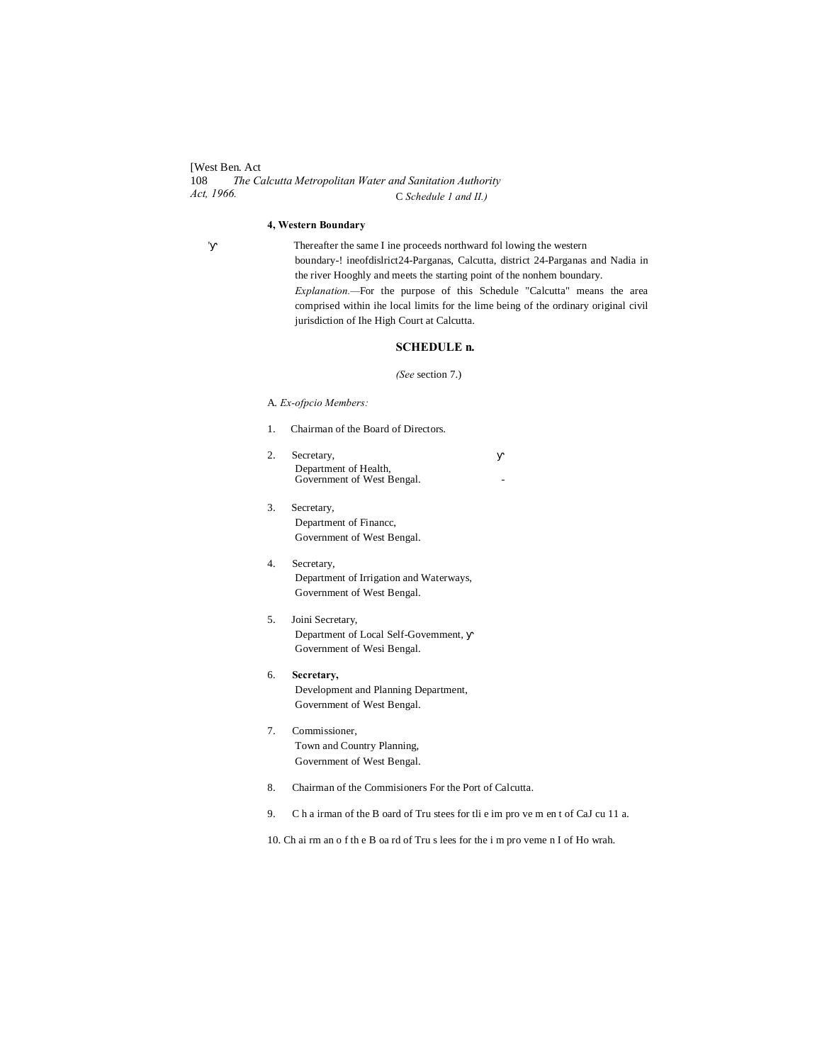[West Ben. Act 108 *The Calcutta Metropolitan Water and Sanitation Authority Act, 1966.* C *Schedule 1 and II.)*

#### **4, Western Boundary**

 Thereafter the same I ine proceeds northward fol lowing the western boundary-! ineofdislrict24-Parganas, Calcutta, district 24-Parganas and Nadia in the river Hooghly and meets the starting point of the nonhem boundary. *Explanation.—*For the purpose of this Schedule "Calcutta" means the area comprised within ihe local limits for the lime being of the ordinary original civil jurisdiction of Ihe High Court at Calcutta.

#### **SCHEDULE n.**

#### *(See* section 7.)

A. *Ex-ofpcio Members:*

- 1. Chairman of the Board of Directors.
- 2. Secretary, Department of Health, Government of West Bengal.
- 3. Secretary, Department of Financc, Government of West Bengal.
- 4. Secretary, Department of Irrigation and Waterways, Government of West Bengal.
- 5. Joini Secretary, Department of Local Self-Govemment, Government of Wesi Bengal.
- 6. **Secretary,** Development and Planning Department, Government of West Bengal.
- 7. Commissioner, Town and Country Planning, Government of West Bengal.
- 8. Chairman of the Commisioners For the Port of Calcutta.
- 9. C h a irman of the B oard of Tru stees for tli e im pro ve m en t of CaJ cu 11 a.

10. Ch ai rm an o f th e B oa rd of Tru s lees for the i m pro veme n I of Ho wrah.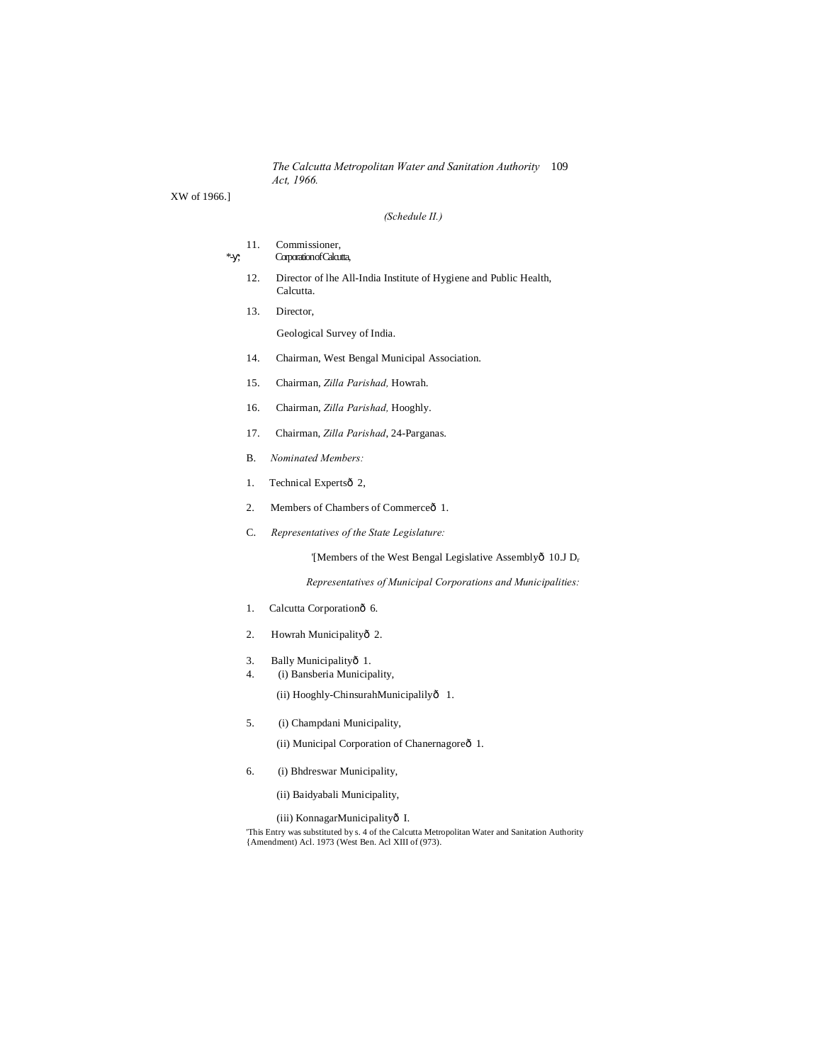*The Calcutta Metropolitan Water and Sanitation Authority* 109 *Act, 1966.*

XW of 1966.]

#### *(Schedule II.)*

#### 11. Commissioner, \*- ; Corporation of Calcutta,

- 12. Director of lhe All-India Institute of Hygiene and Public Health, Calcutta.
- 13. Director,

Geological Survey of India.

- 14. Chairman, West Bengal Municipal Association.
- 15. Chairman, *Zilla Parishad,* Howrah.
- 16. Chairman, *Zilla Parishad,* Hooghly.
- 17. Chairman, *Zilla Parishad*, 24-Parganas.
- B. *Nominated Members:*
- 1. Technical Expertsô 2,
- 2. Members of Chambers of Commerce<sub>o</sub> 1.
- C. *Representatives of the State Legislature:*

'[Members of the West Bengal Legislative Assemblyô 10.J D<sub>r</sub>

*Representatives of Municipal Corporations and Municipalities:*

- 1. Calcutta Corporationô 6.
- 2. Howrah Municipalityô 2.
- 3. Bally Municipalityô 1.
- 4. (i) Bansberia Municipality,

(ii) Hooghly-ChinsurahMunicipalily— 1.

5. (i) Champdani Municipality,

(ii) Municipal Corporation of Chanernagoreô 1.

- 6. (i) Bhdreswar Municipality,
	- (ii) Baidyabali Municipality,

(iii) KonnagarMunicipalityô I. 'This Entry was substituted by s. 4 of the Calcutta Metropolitan Water and Sanitation Authority {Amendment) Acl. 1973 (West Ben. Acl XIII of (973).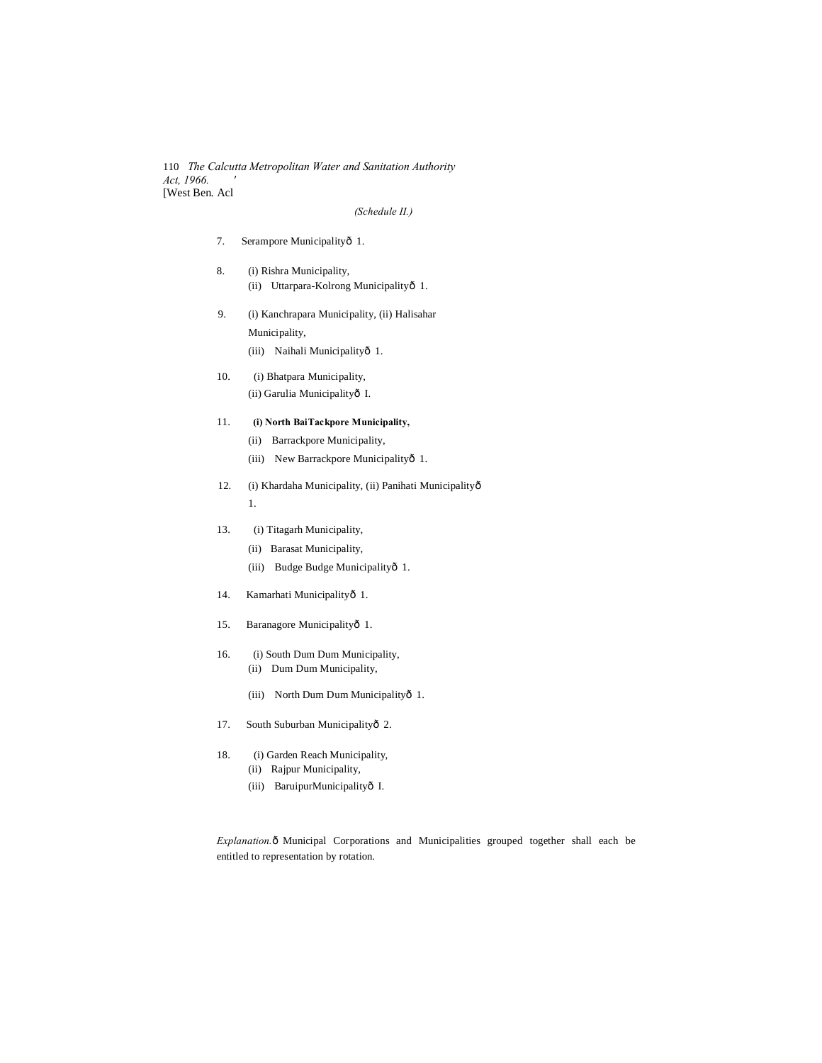110 *The Calcutta Metropolitan Water and Sanitation Authority Act, 1966. '* [West Ben. Acl

#### *(Schedule II.)*

- 7. Serampore Municipalityô 1.
- 8. (i) Rishra Municipality, (ii) Uttarpara-Kolrong Municipalityô 1.
- 9. (i) Kanchrapara Municipality, (ii) Halisahar Municipality,
	- (iii) Naihali Municipalityô 1.
- 10. (i) Bhatpara Municipality, (ii) Garulia Municipalityô I.
- 11. **(i) North BaiTackpore Municipality,**
	- (ii) Barrackpore Municipality,
	- (iii) New Barrackpore Municipalityô 1.
- 12. (i) Khardaha Municipality, (ii) Panihati Municipalityô 1.
- 13. (i) Titagarh Municipality,
	- (ii) Barasat Municipality,
	- (iii) Budge Budge Municipalityô 1.
- 14. Kamarhati Municipalityô 1.
- 15. Baranagore Municipalityô 1.
- 16. (i) South Dum Dum Municipality,
	- (ii) Dum Dum Municipality,
	- (iii) North Dum Dum Municipalityô 1.
- 17. South Suburban Municipalityô 2.
- 18. (i) Garden Reach Municipality, (ii) Rajpur Municipality,
	- (iii) BaruipurMunicipalityô I.

*Explanation.* ô Municipal Corporations and Municipalities grouped together shall each be entitled to representation by rotation.